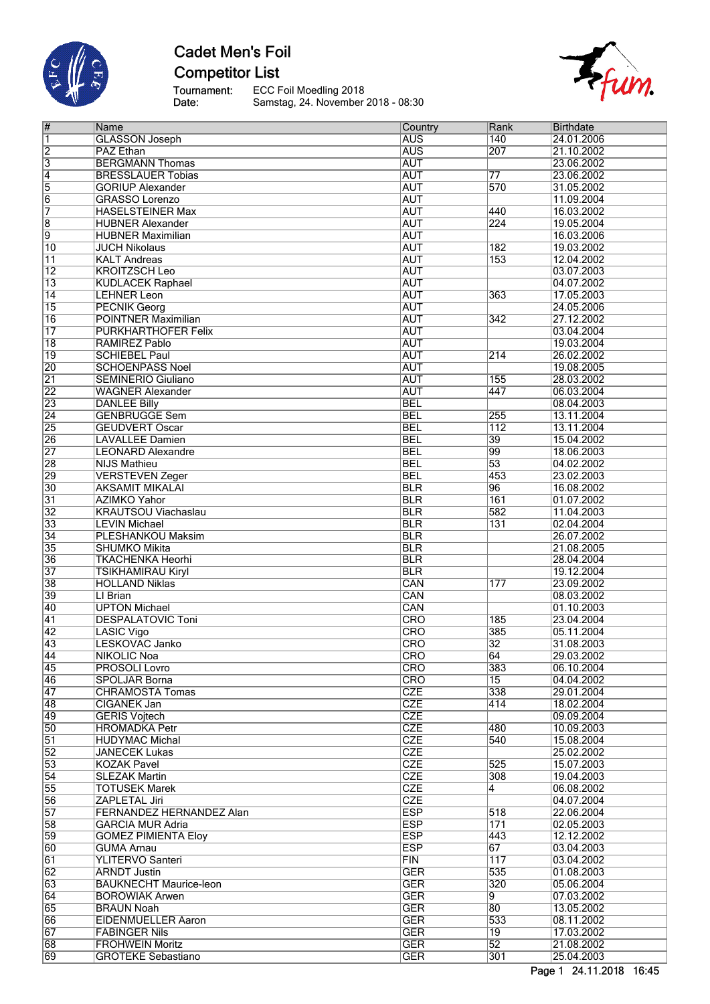

# **Cadet Men's Foil Competitor List**

Tournament:<br>Date: ECC Foil Moedling 2018 Samstag, 24. November 2018 - 08:30



| #               | Name                            | Country    | Rank             | <b>Birthdate</b> |
|-----------------|---------------------------------|------------|------------------|------------------|
| 1               | <b>GLASSON Joseph</b>           | <b>AUS</b> | 140              | 24.01.2006       |
| $\overline{2}$  | <b>PAZ Ethan</b>                | <b>AUS</b> | 207              | 21.10.2002       |
| $\overline{3}$  | <b>BERGMANN Thomas</b>          | <b>AUT</b> |                  | 23.06.2002       |
|                 | <b>BRESSLAUER Tobias</b>        | <b>AUT</b> | $\overline{77}$  | 23.06.2002       |
| $\overline{4}$  |                                 |            |                  |                  |
| 5               | <b>GORIUP Alexander</b>         | <b>AUT</b> | 570              | 31.05.2002       |
| $\overline{6}$  | <b>GRASSO Lorenzo</b>           | <b>AUT</b> |                  | 11.09.2004       |
| 7               | <b>HASELSTEINER Max</b>         | <b>AUT</b> | 440              | 16.03.2002       |
| $\overline{8}$  | <b>HUBNER Alexander</b>         | <b>AUT</b> | 224              | 19.05.2004       |
| 9               | <b>HUBNER Maximilian</b>        | <b>AUT</b> |                  | 16.03.2006       |
| $\overline{10}$ | <b>JUCH Nikolaus</b>            | <b>AUT</b> | 182              | 19.03.2002       |
| $\overline{11}$ | <b>KALT Andreas</b>             | <b>AUT</b> | 153              | 12.04.2002       |
| $\overline{12}$ | <b>KROITZSCH Leo</b>            | <b>AUT</b> |                  | 03.07.2003       |
| $\overline{13}$ | <b>KUDLACEK Raphael</b>         | <b>AUT</b> |                  | 04.07.2002       |
| 14              | <b>LEHNER Leon</b>              | <b>AUT</b> | 363              | 17.05.2003       |
| $\overline{15}$ | <b>PECNIK Georg</b>             | <b>AUT</b> |                  | 24.05.2006       |
| $\overline{16}$ | <b>POINTNER Maximilian</b>      | <b>AUT</b> |                  | 27.12.2002       |
|                 |                                 |            | 342              |                  |
| 17              | PURKHARTHOFER Felix             | <b>AUT</b> |                  | 03.04.2004       |
| $\overline{18}$ | RAMIREZ Pablo                   | <b>AUT</b> |                  | 19.03.2004       |
| $\overline{19}$ | <b>SCHIEBEL Paul</b>            | <b>AUT</b> | 214              | 26.02.2002       |
| $\overline{20}$ | <b>SCHOENPASS Noel</b>          | <b>AUT</b> |                  | 19.08.2005       |
| $\overline{21}$ | <b>SEMINERIO Giuliano</b>       | <b>AUT</b> | 155              | 28.03.2002       |
| $\overline{22}$ | <b>WAGNER Alexander</b>         | <b>AUT</b> | 447              | 06.03.2004       |
| $\overline{23}$ | <b>DANLEE Billy</b>             | <b>BEL</b> |                  | 08.04.2003       |
| $\overline{24}$ | <b>GENBRUGGE Sem</b>            | <b>BEL</b> | 255              | 13.11.2004       |
| $\overline{25}$ | <b>GEUDVERT Oscar</b>           | <b>BEL</b> | $\overline{112}$ | 13.11.2004       |
| 26              | <b>LAVALLEE Damien</b>          | <b>BEL</b> | 39               | 15.04.2002       |
|                 |                                 |            | 99               |                  |
| $\overline{27}$ | <b>LEONARD Alexandre</b>        | <b>BEL</b> |                  | 18.06.2003       |
| $\overline{28}$ | <b>NIJS Mathieu</b>             | <b>BEL</b> | $\overline{53}$  | 04.02.2002       |
| 29              | <b>VERSTEVEN Zeger</b>          | <b>BEL</b> | 453              | 23.02.2003       |
| $\overline{30}$ | <b>AKSAMIT MIKALAI</b>          | <b>BLR</b> | 96               | 16.08.2002       |
| $\overline{31}$ | <b>AZIMKO Yahor</b>             | <b>BLR</b> | 161              | 01.07.2002       |
| $\overline{32}$ | <b>KRAUTSOU Viachaslau</b>      | <b>BLR</b> | 582              | 11.04.2003       |
| $\overline{33}$ | <b>LEVIN Michael</b>            | <b>BLR</b> | 131              | 02.04.2004       |
| $\overline{34}$ | <b>PLESHANKOU Maksim</b>        | <b>BLR</b> |                  | 26.07.2002       |
| $\overline{35}$ | <b>SHUMKO Mikita</b>            | <b>BLR</b> |                  | 21.08.2005       |
| $\overline{36}$ | <b>TKACHENKA Heorhi</b>         | <b>BLR</b> |                  | 28.04.2004       |
| $\overline{37}$ | TSIKHAMIRAU Kiryl               | <b>BLR</b> |                  | 19.12.2004       |
| $\overline{38}$ | <b>HOLLAND Niklas</b>           | CAN        | 177              | 23.09.2002       |
| 39              | LI Brian                        | CAN        |                  |                  |
|                 |                                 |            |                  | 08.03.2002       |
| $\overline{40}$ | <b>UPTON Michael</b>            | CAN        |                  | 01.10.2003       |
| $\overline{41}$ | <b>DESPALATOVIC Toni</b>        | CRO        | 185              | 23.04.2004       |
| $\overline{42}$ | LASIC Vigo                      | CRO        | 385              | 05.11.2004       |
| $\overline{43}$ | LESKOVAC Janko                  | CRO        | $\overline{32}$  | 31.08.2003       |
| 44              | <b>NIKOLIC Noa</b>              | CRO        | 64               | 29.03.2002       |
| 45              | <b>PROSOLI Lovro</b>            | <b>CRO</b> | 383              | 06.10.2004       |
| 46              | <b>SPOLJAR Borna</b>            | <b>CRO</b> | 15               | 04.04.2002       |
| 47              | <b>CHRAMOSTA Tomas</b>          | <b>CZE</b> | 338              | 29.01.2004       |
| 48              | CIGANEK Jan                     | <b>CZE</b> | 414              | 18.02.2004       |
| 49              | <b>GERIS Vojtech</b>            | <b>CZE</b> |                  | 09.09.2004       |
| $\overline{50}$ | <b>HROMADKA Petr</b>            | <b>CZE</b> | 480              | 10.09.2003       |
| $\overline{51}$ | <b>HUDYMAC Michal</b>           | <b>CZE</b> | 540              | 15.08.2004       |
|                 |                                 |            |                  |                  |
| 52              | JANECEK Lukas                   | <b>CZE</b> |                  | 25.02.2002       |
| $\overline{53}$ | <b>KOZAK Pavel</b>              | <b>CZE</b> | 525              | 15.07.2003       |
| $\overline{54}$ | <b>SLEZAK Martin</b>            | <b>CZE</b> | 308              | 19.04.2003       |
| $\overline{55}$ | TOTUSEK Marek                   | <b>CZE</b> | $\overline{4}$   | 06.08.2002       |
| 56              | ZAPLETAL Jiri                   | <b>CZE</b> |                  | 04.07.2004       |
| $\overline{57}$ | <b>FERNANDEZ HERNANDEZ Alan</b> | <b>ESP</b> | 518              | 22.06.2004       |
| $\overline{58}$ | GARCIA MUR Adria                | <b>ESP</b> | 171              | 02.05.2003       |
| 59              | <b>GOMEZ PIMIENTA Eloy</b>      | <b>ESP</b> | 443              | 12.12.2002       |
| 60              | <b>GUMA Arnau</b>               | <b>ESP</b> | 67               | 03.04.2003       |
| 61              | YLITERVO Santeri                | FIN        | 117              | 03.04.2002       |
| 62              | <b>ARNDT Justin</b>             | <b>GER</b> | 535              | 01.08.2003       |
| 63              | <b>BAUKNECHT Maurice-leon</b>   | <b>GER</b> | 320              | 05.06.2004       |
|                 |                                 |            |                  |                  |
| 64              | <b>BOROWIAK Arwen</b>           | <b>GER</b> | 9                | 07.03.2002       |
| 65              | <b>BRAUN Noah</b>               | <b>GER</b> | 80               | 13.05.2002       |
| 66              | <b>EIDENMUELLER Aaron</b>       | <b>GER</b> | 533              | 08.11.2002       |
| 67              | <b>FABINGER Nils</b>            | <b>GER</b> | 19               | 17.03.2002       |
| 68              | <b>FROHWEIN Moritz</b>          | <b>GER</b> | $\overline{52}$  | 21.08.2002       |
| 69              | <b>GROTEKE Sebastiano</b>       | <b>GER</b> | 301              | 25.04.2003       |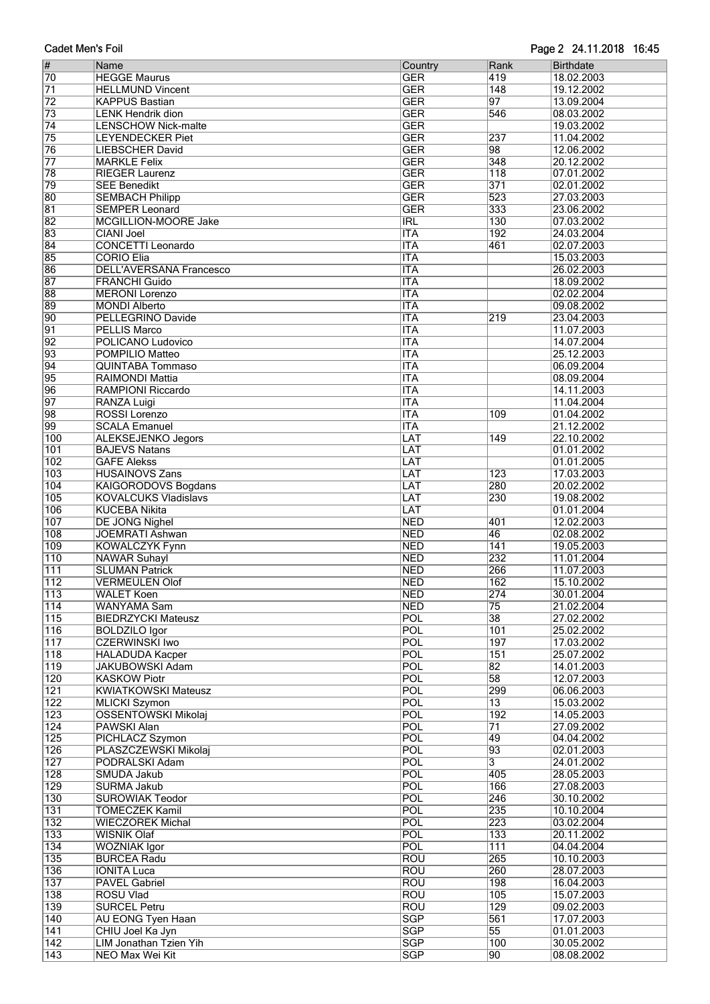| #                | Name                           | Country    | Rank             | <b>Birthdate</b> |
|------------------|--------------------------------|------------|------------------|------------------|
| 70               | <b>HEGGE Maurus</b>            | <b>GER</b> | 419              | 18.02.2003       |
| $\overline{71}$  | <b>HELLMUND Vincent</b>        | <b>GER</b> | $\overline{148}$ | 19.12.2002       |
| $\overline{72}$  | <b>KAPPUS Bastian</b>          | <b>GER</b> | $\overline{97}$  | 13.09.2004       |
| 73               | <b>LENK Hendrik dion</b>       | <b>GER</b> | 546              | 08.03.2002       |
| $\overline{74}$  | <b>LENSCHOW Nick-malte</b>     | <b>GER</b> |                  | 19.03.2002       |
| 75               | <b>LEYENDECKER Piet</b>        | <b>GER</b> | 237              | 11.04.2002       |
| 76               | <b>LIEBSCHER David</b>         | <b>GER</b> | 98               | 12.06.2002       |
| $\overline{77}$  | <b>MARKLE Felix</b>            | <b>GER</b> | 348              | 20.12.2002       |
| 78               |                                | <b>GER</b> | 118              | 07.01.2002       |
|                  | <b>RIEGER Laurenz</b>          |            |                  |                  |
| 79               | <b>SEE Benedikt</b>            | <b>GER</b> | 371              | 02.01.2002       |
| 80               | <b>SEMBACH Philipp</b>         | <b>GER</b> | 523              | 27.03.2003       |
| 81               | <b>SEMPER Leonard</b>          | <b>GER</b> | 333              | 23.06.2002       |
| 82               | MCGILLION-MOORE Jake           | IRL        | 130              | 07.03.2002       |
| 83               | <b>CIANI Joel</b>              | <b>ITA</b> | 192              | 24.03.2004       |
| 84               | <b>CONCETTI Leonardo</b>       | <b>ITA</b> | 461              | 02.07.2003       |
| 85               | <b>CORIO Elia</b>              | <b>ITA</b> |                  | 15.03.2003       |
| 86               | <b>DELL'AVERSANA Francesco</b> | <b>ITA</b> |                  | 26.02.2003       |
| 87               | <b>FRANCHI Guido</b>           | <b>ITA</b> |                  | 18.09.2002       |
| 88               | <b>MERONI</b> Lorenzo          | <b>ITA</b> |                  | 02.02.2004       |
| 89               | <b>MONDI Alberto</b>           | <b>ITA</b> |                  | 09.08.2002       |
| 90               | PELLEGRINO Davide              | <b>ITA</b> | 219              | 23.04.2003       |
| $\overline{91}$  | <b>PELLIS Marco</b>            | <b>ITA</b> |                  | 11.07.2003       |
| 92               | <b>POLICANO Ludovico</b>       | <b>ITA</b> |                  | 14.07.2004       |
| 93               | POMPILIO Matteo                | <b>ITA</b> |                  | 25.12.2003       |
| 94               | <b>QUINTABA Tommaso</b>        | <b>ITA</b> |                  | 06.09.2004       |
| 95               | <b>RAIMONDI Mattia</b>         | <b>ITA</b> |                  | 08.09.2004       |
| 96               | <b>RAMPIONI Riccardo</b>       | <b>ITA</b> |                  | 14.11.2003       |
| 97               |                                | <b>ITA</b> |                  | 11.04.2004       |
|                  | <b>RANZA Luigi</b>             |            |                  |                  |
| 98               | ROSSI Lorenzo                  | <b>ITA</b> | 109              | 01.04.2002       |
| 99               | <b>SCALA Emanuel</b>           | <b>ITA</b> | 149              | 21.12.2002       |
| 100              | <b>ALEKSEJENKO Jegors</b>      | LAT        |                  | 22.10.2002       |
| 101              | <b>BAJEVS Natans</b>           | LAT        |                  | 01.01.2002       |
| 102              | <b>GAFE Alekss</b>             | LAT        |                  | 01.01.2005       |
| 103              | <b>HUSAINOVS Zans</b>          | LAT        | 123              | 17.03.2003       |
| 104              | <b>KAIGORODOVS Bogdans</b>     | LAT        | 280              | 20.02.2002       |
| 105              | <b>KOVALCUKS Vladislavs</b>    | LAT        | 230              | 19.08.2002       |
| 106              | <b>KUCEBA Nikita</b>           | LAT        |                  | 01.01.2004       |
| 107              | <b>DE JONG Nighel</b>          | <b>NED</b> | 401              | 12.02.2003       |
| 108              | <b>JOEMRATI Ashwan</b>         | <b>NED</b> | 46               | 02.08.2002       |
| 109              | <b>KOWALCZYK Fynn</b>          | <b>NED</b> | 141              | 19.05.2003       |
| $\overline{110}$ | <b>NAWAR Suhayl</b>            | <b>NED</b> | 232              | 11.01.2004       |
| 111              | <b>SLUMAN Patrick</b>          | <b>NED</b> | 266              | 11.07.2003       |
| 112              | <b>VERMEULEN Olof</b>          | <b>NED</b> | 162              | 15.10.2002       |
| $\overline{113}$ | <b>WALET Koen</b>              | <b>NED</b> | $\overline{274}$ | 30.01.2004       |
| $\overline{114}$ | WANYAMA Sam                    | <b>NED</b> | 75               | 21.02.2004       |
| 115              | <b>BIEDRZYCKI Mateusz</b>      | POL        | 38               | 27.02.2002       |
| $\overline{116}$ | <b>BOLDZILO Igor</b>           | POL        | 101              | 25.02.2002       |
| 117              | <b>CZERWINSKI Iwo</b>          | <b>POL</b> | 197              | 17.03.2002       |
| 118              | <b>HALADUDA Kacper</b>         | <b>POL</b> | 151              | 25.07.2002       |
| 119              | <b>JAKUBOWSKI Adam</b>         | POL        | 82               | 14.01.2003       |
| 120              | <b>KASKOW Piotr</b>            | <b>POL</b> | 58               | 12.07.2003       |
| 121              | <b>KWIATKOWSKI Mateusz</b>     | POL        | 299              | 06.06.2003       |
| 122              | <b>MLICKI Szymon</b>           | POL        | $\overline{13}$  | 15.03.2002       |
| 123              | <b>OSSENTOWSKI Mikolaj</b>     | POL        | 192              | 14.05.2003       |
| 124              | <b>PAWSKI Alan</b>             | POL        | $\overline{71}$  | 27.09.2002       |
| 125              | PICHLACZ Szymon                | POL        | 49               | 04.04.2002       |
| 126              | PLASZCZEWSKI Mikolaj           | POL        | 93               | 02.01.2003       |
| 127              | PODRALSKI Adam                 | <b>POL</b> | $\overline{3}$   | 24.01.2002       |
| $\overline{128}$ | SMUDA Jakub                    | POL        | 405              | 28.05.2003       |
| 129              | SURMA Jakub                    | POL        | 166              | 27.08.2003       |
| 130              | <b>SUROWIAK Teodor</b>         | <b>POL</b> | 246              | 30.10.2002       |
| 131              | <b>TOMECZEK Kamil</b>          | <b>POL</b> | 235              | 10.10.2004       |
| 132              | <b>WIECZOREK Michal</b>        | POL        | 223              | 03.02.2004       |
|                  | <b>WISNIK Olaf</b>             | <b>POL</b> | 133              | 20.11.2002       |
| 133<br>134       |                                | POL        | $\overline{111}$ | 04.04.2004       |
| 135              | <b>WOZNIAK Igor</b>            |            | 265              |                  |
|                  | <b>BURCEA Radu</b>             | <b>ROU</b> |                  | 10.10.2003       |
| 136              | <b>IONITA Luca</b>             | <b>ROU</b> | 260              | 28.07.2003       |
| 137              | <b>PAVEL Gabriel</b>           | <b>ROU</b> | 198              | 16.04.2003       |
| 138              | <b>ROSU Vlad</b>               | <b>ROU</b> | 105              | 15.07.2003       |
| 139              | <b>SURCEL Petru</b>            | <b>ROU</b> | 129              | 09.02.2003       |
| 140              | <b>AU EONG Tyen Haan</b>       | <b>SGP</b> | 561              | 17.07.2003       |
| 141              | CHIU Joel Ka Jyn               | <b>SGP</b> | $\overline{55}$  | 01.01.2003       |
| 142              | LIM Jonathan Tzien Yih         | <b>SGP</b> | 100              | 30.05.2002       |
| $\overline{143}$ | <b>NEO Max Wei Kit</b>         | <b>SGP</b> | 90               | 08.08.2002       |

Page 2 24.11.2018 16:45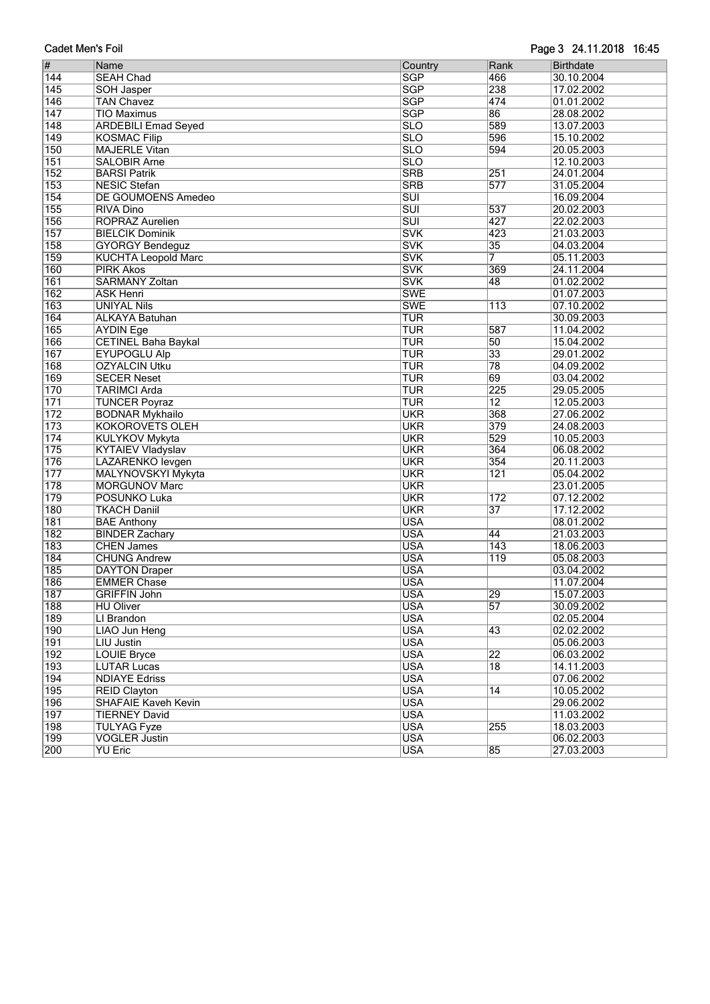| Page 3 24.11.2018 16:45<br><b>Cadet Men's Foil</b> |                                           |                         |                 |                          |  |  |  |  |  |  |
|----------------------------------------------------|-------------------------------------------|-------------------------|-----------------|--------------------------|--|--|--|--|--|--|
| #                                                  | Name                                      | Country                 | Rank            | <b>Birthdate</b>         |  |  |  |  |  |  |
| 144                                                | <b>SEAH Chad</b>                          | <b>SGP</b>              | 466             | 30.10.2004               |  |  |  |  |  |  |
| 145                                                | <b>SOH Jasper</b>                         | <b>SGP</b>              | 238             | 17.02.2002               |  |  |  |  |  |  |
| $\overline{146}$                                   | <b>TAN Chavez</b>                         | <b>SGP</b>              | 474             | 01.01.2002               |  |  |  |  |  |  |
| 147                                                | <b>TIO Maximus</b>                        | <b>SGP</b>              | 86              | 28.08.2002               |  |  |  |  |  |  |
| 148                                                | <b>ARDEBILI Emad Seyed</b>                | $\overline{\text{SLO}}$ | 589             | 13.07.2003               |  |  |  |  |  |  |
| 149                                                | <b>KOSMAC Filip</b>                       | $\overline{\text{SLO}}$ | 596             | 15.10.2002               |  |  |  |  |  |  |
| 150                                                | <b>MAJERLE Vitan</b>                      | $\overline{\text{SLO}}$ | 594             | 20.05.2003               |  |  |  |  |  |  |
| 151                                                | <b>SALOBIR Arne</b>                       | $\overline{\text{SLO}}$ |                 | 12.10.2003               |  |  |  |  |  |  |
| 152                                                | <b>BARSI Patrik</b>                       | <b>SRB</b>              | 251             | 24.01.2004               |  |  |  |  |  |  |
| 153                                                | <b>NESIC Stefan</b>                       | <b>SRB</b>              | 577             | 31.05.2004               |  |  |  |  |  |  |
| 154                                                | DE GOUMOENS Amedeo                        | $\overline{\text{SUI}}$ |                 | 16.09.2004               |  |  |  |  |  |  |
| 155                                                | <b>RIVA Dino</b>                          | $\overline{\text{SUI}}$ | 537             | 20.02.2003               |  |  |  |  |  |  |
| 156                                                | <b>ROPRAZ Aurelien</b>                    | $\overline{\text{SUI}}$ | 427             | 22.02.2003               |  |  |  |  |  |  |
| 157                                                | <b>BIELCIK Dominik</b>                    | <b>SVK</b>              | 423             | 21.03.2003               |  |  |  |  |  |  |
| 158                                                | <b>GYORGY Bendeguz</b>                    | <b>SVK</b>              | 35              | 04.03.2004               |  |  |  |  |  |  |
| 159                                                | <b>KUCHTA Leopold Marc</b>                | <b>SVK</b>              | 7               | 05.11.2003               |  |  |  |  |  |  |
| 160                                                | <b>PIRK Akos</b>                          | <b>SVK</b>              | 369             | 24.11.2004               |  |  |  |  |  |  |
| 161                                                | <b>SARMANY Zoltan</b>                     | <b>SVK</b>              | 48              | 01.02.2002               |  |  |  |  |  |  |
| 162                                                | <b>ASK Henri</b>                          | <b>SWE</b>              |                 | 01.07.2003               |  |  |  |  |  |  |
| 163                                                | <b>UNIYAL Nils</b>                        | <b>SWE</b>              | 113             | 07.10.2002               |  |  |  |  |  |  |
| 164                                                | <b>ALKAYA Batuhan</b>                     | <b>TUR</b>              |                 | 30.09.2003               |  |  |  |  |  |  |
| 165                                                | <b>AYDIN Ege</b>                          | <b>TUR</b>              | 587             | 11.04.2002               |  |  |  |  |  |  |
| 166                                                | <b>CETINEL Baha Baykal</b>                | <b>TUR</b>              | $\overline{50}$ | 15.04.2002               |  |  |  |  |  |  |
| 167                                                | <b>EYUPOGLU Alp</b>                       | <b>TUR</b>              | $\overline{33}$ | 29.01.2002               |  |  |  |  |  |  |
| 168                                                | <b>OZYALCIN Utku</b>                      | <b>TUR</b>              | 78              | 04.09.2002               |  |  |  |  |  |  |
| 169                                                | <b>SECER Neset</b>                        | <b>TUR</b>              | 69              | 03.04.2002               |  |  |  |  |  |  |
| 170                                                | <b>TARIMCI Arda</b>                       | <b>TUR</b>              | 225             | 29.05.2005               |  |  |  |  |  |  |
| 171                                                | <b>TUNCER Poyraz</b>                      | <b>TUR</b>              | $\overline{12}$ | 12.05.2003               |  |  |  |  |  |  |
| $\overline{172}$                                   | <b>BODNAR Mykhailo</b>                    | <b>UKR</b>              | 368             | 27.06.2002               |  |  |  |  |  |  |
| 173                                                | <b>KOKOROVETS OLEH</b>                    | <b>UKR</b>              | 379             | 24.08.2003               |  |  |  |  |  |  |
| 174                                                | <b>KULYKOV Mykyta</b>                     | <b>UKR</b>              | 529             | 10.05.2003               |  |  |  |  |  |  |
| 175                                                | <b>KYTAIEV Vladyslav</b>                  | <b>UKR</b>              | 364             | 06.08.2002               |  |  |  |  |  |  |
| 176                                                | LAZARENKO levgen                          | <b>UKR</b>              | 354             | 20.11.2003               |  |  |  |  |  |  |
| $\overline{177}$                                   | MALYNOVSKYI Mykyta                        | <b>UKR</b>              | 121             | 05.04.2002               |  |  |  |  |  |  |
| 178                                                | <b>MORGUNOV Marc</b>                      | <b>UKR</b>              |                 | 23.01.2005               |  |  |  |  |  |  |
| 179                                                | POSUNKO Luka                              | <b>UKR</b>              | 172             | 07.12.2002               |  |  |  |  |  |  |
| 180                                                | <b>TKACH Daniil</b>                       | <b>UKR</b>              | $\overline{37}$ | 17.12.2002               |  |  |  |  |  |  |
| 181                                                | <b>BAE Anthony</b>                        | <b>USA</b>              |                 | 08.01.2002               |  |  |  |  |  |  |
| 182                                                | <b>BINDER Zachary</b>                     | <b>USA</b>              | 44              | 21.03.2003               |  |  |  |  |  |  |
| 183                                                | <b>CHEN James</b>                         | <b>USA</b>              | 143             | 18.06.2003               |  |  |  |  |  |  |
| 184                                                | <b>CHUNG Andrew</b>                       | <b>USA</b>              | 119             | 05.08.2003               |  |  |  |  |  |  |
| 185                                                | <b>DAYTON Draper</b>                      | <b>USA</b>              |                 | 03.04.2002               |  |  |  |  |  |  |
| 186                                                | <b>EMMER Chase</b>                        | <b>USA</b>              |                 | 11.07.2004               |  |  |  |  |  |  |
| 187                                                | <b>GRIFFIN John</b>                       | <b>USA</b>              | 29              | 15.07.2003               |  |  |  |  |  |  |
| 188                                                | <b>HU Oliver</b>                          | <b>USA</b>              | $\overline{57}$ | 30.09.2002               |  |  |  |  |  |  |
| 189                                                | LI Brandon                                | <b>USA</b>              |                 | 02.05.2004               |  |  |  |  |  |  |
|                                                    |                                           | <b>USA</b>              |                 |                          |  |  |  |  |  |  |
| 190<br>191                                         | <b>LIAO Jun Heng</b><br><b>LIU Justin</b> | <b>USA</b>              | 43              | 02.02.2002<br>05.06.2003 |  |  |  |  |  |  |
| 192                                                | <b>LOUIE Bryce</b>                        | <b>USA</b>              | $ 22\rangle$    | 06.03.2002               |  |  |  |  |  |  |
| 193                                                | <b>LUTAR Lucas</b>                        | <b>USA</b>              | $\overline{18}$ | 14.11.2003               |  |  |  |  |  |  |
| 194                                                | <b>NDIAYE Edriss</b>                      | <b>USA</b>              |                 | 07.06.2002               |  |  |  |  |  |  |
| 195                                                |                                           | <b>USA</b>              |                 |                          |  |  |  |  |  |  |
|                                                    | <b>REID Clayton</b>                       | <b>USA</b>              | 14              | 10.05.2002               |  |  |  |  |  |  |
| 196                                                | <b>SHAFAIE Kaveh Kevin</b>                | <b>USA</b>              |                 | 29.06.2002<br>11.03.2002 |  |  |  |  |  |  |
| 197                                                | <b>TIERNEY David</b>                      | <b>USA</b>              |                 |                          |  |  |  |  |  |  |
| 198                                                | <b>TULYAG Fyze</b>                        | <b>USA</b>              | 255             | 18.03.2003               |  |  |  |  |  |  |
| 199<br>200                                         | <b>VOGLER Justin</b><br><b>YU Eric</b>    | <b>USA</b>              | 85              | 06.02.2003<br>27.03.2003 |  |  |  |  |  |  |
|                                                    |                                           |                         |                 |                          |  |  |  |  |  |  |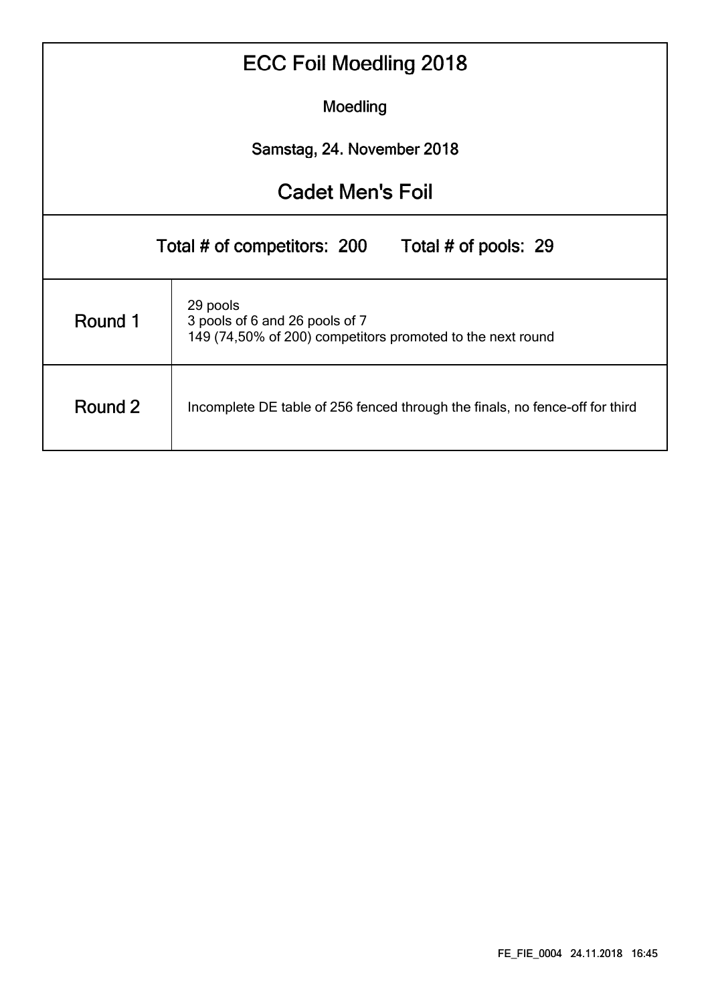| <b>ECC Foil Moedling 2018</b> |                                                                                                          |  |  |  |  |  |  |  |  |  |  |  |
|-------------------------------|----------------------------------------------------------------------------------------------------------|--|--|--|--|--|--|--|--|--|--|--|
| Moedling                      |                                                                                                          |  |  |  |  |  |  |  |  |  |  |  |
| Samstag, 24. November 2018    |                                                                                                          |  |  |  |  |  |  |  |  |  |  |  |
| <b>Cadet Men's Foil</b>       |                                                                                                          |  |  |  |  |  |  |  |  |  |  |  |
|                               | Total # of competitors: 200<br>Total # of pools: 29                                                      |  |  |  |  |  |  |  |  |  |  |  |
| Round 1                       | 29 pools<br>3 pools of 6 and 26 pools of 7<br>149 (74,50% of 200) competitors promoted to the next round |  |  |  |  |  |  |  |  |  |  |  |
| Round 2                       | Incomplete DE table of 256 fenced through the finals, no fence-off for third                             |  |  |  |  |  |  |  |  |  |  |  |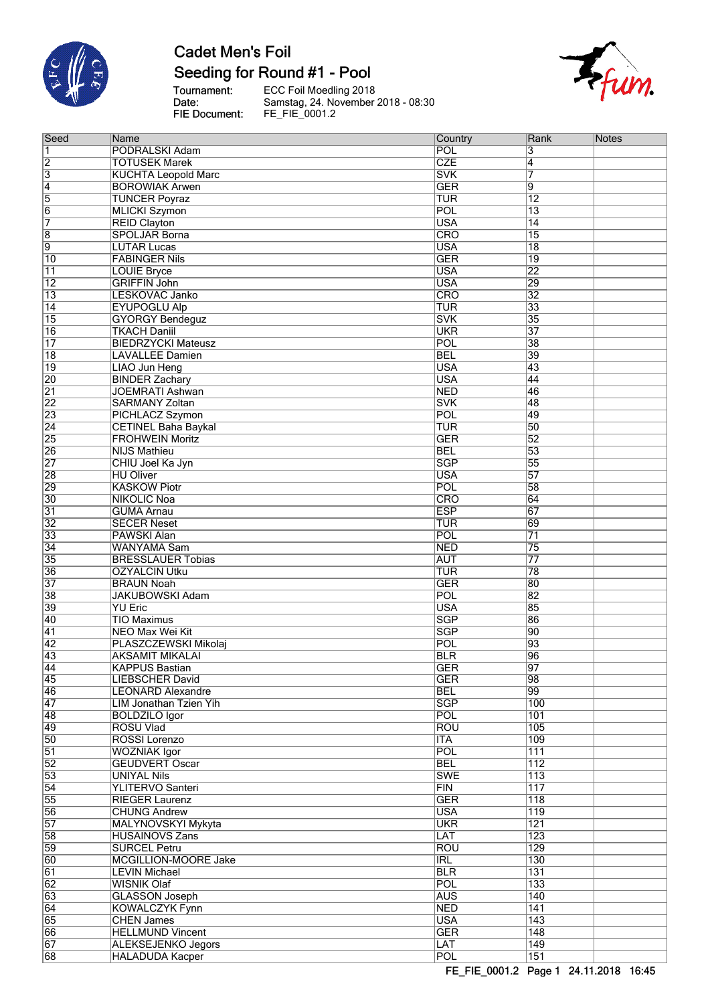

## Seeding for Round #1 - Pool

Tournament:<br>Date: FIE Document:

ECC Foil Moedling 2018<br>Samstag, 24. November 2018 - 08:30<br>FE\_FIE\_0001.2



| Seed            | Name                                                  | Country           | Rank             | <b>Notes</b> |
|-----------------|-------------------------------------------------------|-------------------|------------------|--------------|
| 1               | PODRALSKI Adam                                        | POL               | 3                |              |
| $\overline{2}$  | <b>TOTUSEK Marek</b>                                  | <b>CZE</b>        | $\overline{4}$   |              |
| $\overline{3}$  | <b>KUCHTA Leopold Marc</b>                            | <b>SVK</b>        | 7                |              |
| $\overline{4}$  | <b>BOROWIAK Arwen</b>                                 | <b>GER</b>        | 9                |              |
| $\overline{5}$  | <b>TUNCER Poyraz</b>                                  | <b>TUR</b>        | $\overline{12}$  |              |
| $\overline{6}$  | <b>MLICKI Szymon</b>                                  | POL               | $\overline{13}$  |              |
| 7               | <b>REID Clayton</b>                                   | <b>USA</b>        | $\overline{14}$  |              |
| $\overline{8}$  | <b>SPOLJAR Borna</b>                                  | CRO               | $\overline{15}$  |              |
| g               | <b>LUTAR Lucas</b>                                    | <b>USA</b>        | $\overline{18}$  |              |
| 10              | <b>FABINGER Nils</b>                                  | <b>GER</b>        | $\overline{19}$  |              |
| 11              | <b>LOUIE Bryce</b>                                    | <b>USA</b>        | $\overline{22}$  |              |
| $\overline{12}$ | <b>GRIFFIN John</b>                                   | <b>USA</b>        | 29               |              |
| $\overline{13}$ | LESKOVAC Janko                                        | <b>CRO</b>        | $\overline{32}$  |              |
| $\overline{14}$ | <b>EYUPOGLU Alp</b>                                   | <b>TUR</b>        | $\overline{33}$  |              |
| $\overline{15}$ | <b>GYORGY Bendeguz</b>                                | <b>SVK</b>        | 35               |              |
| $\overline{16}$ | <b>TKACH Daniil</b>                                   | <b>UKR</b>        | $\overline{37}$  |              |
| $\overline{17}$ | <b>BIEDRZYCKI Mateusz</b>                             | POL               | $\overline{38}$  |              |
| $\overline{18}$ | <b>LAVALLEE Damien</b>                                | <b>BEL</b>        | 39               |              |
| $\overline{19}$ | <b>LIAO Jun Heng</b>                                  | <b>USA</b>        | 43               |              |
| 20              | <b>BINDER Zachary</b>                                 | <b>USA</b>        | $\overline{44}$  |              |
| $\overline{21}$ | <b>JOEMRATI Ashwan</b>                                | <b>NED</b>        | 46               |              |
| 22              | <b>SARMANY Zoltan</b>                                 | <b>SVK</b>        | 48               |              |
| 23              | PICHLACZ Szymon                                       | POL               | 49               |              |
| $\overline{24}$ | <b>CETINEL Baha Baykal</b>                            | <b>TUR</b>        | 50               |              |
| 25              | <b>FROHWEIN Moritz</b>                                | <b>GER</b>        | $\overline{52}$  |              |
| 26              | <b>NIJS Mathieu</b>                                   | <b>BEL</b>        | $\overline{53}$  |              |
| $\overline{27}$ | CHIU Joel Ka Jyn                                      | SGP               | 55               |              |
| 28              | <b>HU Oliver</b>                                      | <b>USA</b>        | 57               |              |
| 29              | <b>KASKOW Piotr</b>                                   | POL               | 58               |              |
| $\overline{30}$ | <b>NIKOLIC Noa</b>                                    | <b>CRO</b>        | 64               |              |
| $\overline{31}$ | <b>GUMA Arnau</b>                                     | <b>ESP</b>        | 67               |              |
| $\overline{32}$ | <b>SECER Neset</b>                                    | <b>TUR</b>        | 69               |              |
| 33              | <b>PAWSKI Alan</b>                                    | POL               | $\overline{71}$  |              |
| $\overline{34}$ | WANYAMA Sam                                           | <b>NED</b>        | $\overline{75}$  |              |
| 35              | <b>BRESSLAUER Tobias</b>                              | <b>AUT</b>        | $\overline{77}$  |              |
| 36              | <b>OZYALCIN Utku</b>                                  | TUR               | $\overline{78}$  |              |
| $\overline{37}$ | <b>BRAUN Noah</b>                                     | <b>GER</b>        | 80               |              |
| 38              | <b>JAKUBOWSKI Adam</b>                                | POL               | 82               |              |
| 39              | <b>YU Eric</b>                                        | <b>USA</b>        | 85               |              |
| 40              | <b>TIO Maximus</b>                                    | <b>SGP</b>        | 86               |              |
| $\overline{41}$ | <b>NEO Max Wei Kit</b>                                | <b>SGP</b>        | 90               |              |
| $\overline{42}$ | PLASZCZEWSKI Mikolaj                                  | POL               | 93               |              |
| 43              | <b>AKSAMIT MIKALAI</b>                                | <b>BLR</b>        | 96               |              |
| 44              |                                                       | <b>GER</b>        |                  |              |
| 45              | <b>KAPPUS Bastian</b>                                 | <b>GER</b>        | 97<br>98         |              |
| 46              | LIEBSCHER David                                       | <b>BEL</b>        | 99               |              |
|                 | <b>LEONARD Alexandre</b>                              | <b>SGP</b>        |                  |              |
| 47<br>48        | <b>LIM Jonathan Tzien Yih</b><br><b>BOLDZILO Igor</b> | POL               | 100<br>101       |              |
| 49              | <b>ROSU Vlad</b>                                      | <b>ROU</b>        | 105              |              |
| 50              | <b>ROSSI Lorenzo</b>                                  | <b>ITA</b>        | 109              |              |
| $\overline{51}$ |                                                       | POL               | $\overline{111}$ |              |
| 52              | <b>WOZNIAK Igor</b><br><b>GEUDVERT Oscar</b>          | <b>BEL</b>        | $\overline{112}$ |              |
| 53              | <b>UNIYAL Nils</b>                                    | <b>SWE</b>        | 113              |              |
|                 |                                                       |                   |                  |              |
| $\overline{54}$ | <b>YLITERVO Santeri</b>                               | FIN<br><b>GER</b> | 117<br>118       |              |
| 55              | <b>RIEGER Laurenz</b>                                 |                   |                  |              |
| 56              | <b>CHUNG Andrew</b>                                   | <b>USA</b>        | 119              |              |
| 57              | MALYNOVSKYI Mykyta                                    | <b>UKR</b>        | 121              |              |
| 58              | <b>HUSAINOVS Zans</b>                                 | LAT               | $\overline{123}$ |              |
| 59              | <b>SURCEL Petru</b>                                   | <b>ROU</b>        | 129              |              |
| 60              | <b>MCGILLION-MOORE Jake</b>                           | <b>IRL</b>        | 130              |              |
| 61              | <b>LEVIN Michael</b>                                  | <b>BLR</b>        | 131              |              |
| $\overline{62}$ | <b>WISNIK Olaf</b>                                    | POL               | 133              |              |
| 63              | <b>GLASSON Joseph</b>                                 | <b>AUS</b>        | $\overline{140}$ |              |
| 64              | <b>KOWALCZYK Fynn</b>                                 | <b>NED</b>        | 141              |              |
| 65              | <b>CHEN James</b>                                     | <b>USA</b>        | 143              |              |
| 66              | <b>HELLMUND Vincent</b>                               | <b>GER</b>        | $\overline{148}$ |              |
| 67              | <b>ALEKSEJENKO Jegors</b>                             | LAT               | $\overline{149}$ |              |
| 68              | <b>HALADUDA Kacper</b>                                | <b>POL</b>        | $\overline{151}$ |              |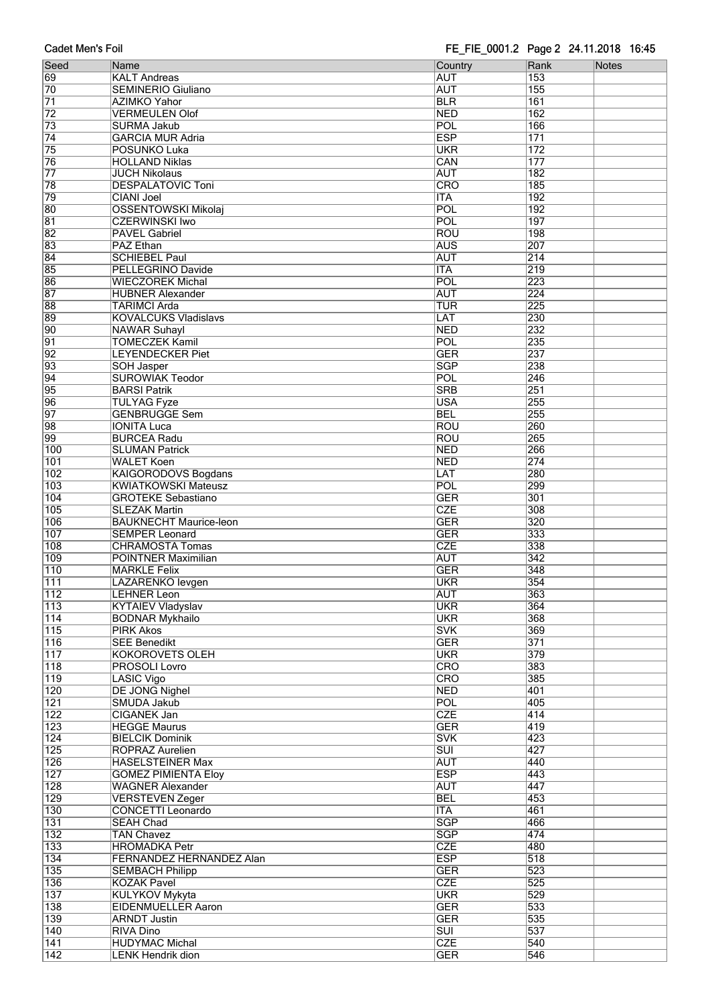| Seed             | Name                          | Country                 | Rank             | Notes |
|------------------|-------------------------------|-------------------------|------------------|-------|
| 69               | <b>KALT Andreas</b>           | <b>AUT</b>              | 153              |       |
| 70               | <b>SEMINERIO Giuliano</b>     | <b>AUT</b>              | 155              |       |
| $\overline{71}$  |                               |                         | 161              |       |
|                  | <b>AZIMKO Yahor</b>           | <b>BLR</b>              |                  |       |
| $\overline{72}$  | <b>VERMEULEN Olof</b>         | <b>NED</b>              | 162              |       |
| $\overline{73}$  | <b>SURMA Jakub</b>            | POL                     | 166              |       |
| 74               | <b>GARCIA MUR Adria</b>       | <b>ESP</b>              | 171              |       |
| 75               | <b>POSUNKO Luka</b>           | <b>UKR</b>              | $\overline{172}$ |       |
| 76               | <b>HOLLAND Niklas</b>         | CAN                     | 177              |       |
| $\overline{77}$  | <b>JUCH Nikolaus</b>          | <b>AUT</b>              | 182              |       |
| 78               | <b>DESPALATOVIC Toni</b>      | CRO                     | 185              |       |
| 79               | <b>CIANI Joel</b>             | <b>ITA</b>              | 192              |       |
| 80               | <b>OSSENTOWSKI Mikolaj</b>    | POL                     | 192              |       |
| 81               | <b>CZERWINSKI Iwo</b>         | POL                     | $\overline{197}$ |       |
| 82               | <b>PAVEL Gabriel</b>          | <b>ROU</b>              | 198              |       |
| 83               | <b>PAZ Ethan</b>              | <b>AUS</b>              | 207              |       |
|                  |                               | <b>AUT</b>              | $\overline{214}$ |       |
| 84               | <b>SCHIEBEL Paul</b>          |                         |                  |       |
| 85               | PELLEGRINO Davide             | <b>ITA</b>              | 219              |       |
| 86               | <b>WIECZOREK Michal</b>       | POL                     | $\overline{223}$ |       |
| 87               | <b>HUBNER Alexander</b>       | <b>AUT</b>              | 224              |       |
| 88               | <b>TARIMCI Arda</b>           | TUR                     | 225              |       |
| 89               | <b>KOVALCUKS Vladislavs</b>   | LAT                     | 230              |       |
| 90               | <b>NAWAR Suhayl</b>           | <b>NED</b>              | 232              |       |
| $\overline{91}$  | <b>TOMECZEK Kamil</b>         | POL                     | 235              |       |
| 92               | <b>LEYENDECKER Piet</b>       | <b>GER</b>              | 237              |       |
| 93               | <b>SOH Jasper</b>             | <b>SGP</b>              | 238              |       |
| 94               | <b>SUROWIAK Teodor</b>        | POL                     | 246              |       |
| 95               | <b>BARSI Patrik</b>           | <b>SRB</b>              | 251              |       |
| 96               |                               | <b>USA</b>              | 255              |       |
|                  | <b>TULYAG Fyze</b>            |                         |                  |       |
| $\overline{97}$  | <b>GENBRUGGE Sem</b>          | <b>BEL</b>              | 255              |       |
| 98               | <b>IONITA Luca</b>            | <b>ROU</b>              | 260              |       |
| 99               | <b>BURCEA Radu</b>            | <b>ROU</b>              | 265              |       |
| 100              | <b>SLUMAN Patrick</b>         | <b>NED</b>              | 266              |       |
| 101              | <b>WALET Koen</b>             | <b>NED</b>              | 274              |       |
| $\overline{102}$ | <b>KAIGORODOVS Bogdans</b>    | LAT                     | 280              |       |
| 103              | <b>KWIATKOWSKI Mateusz</b>    | POL                     | 299              |       |
| 104              | <b>GROTEKE Sebastiano</b>     | <b>GER</b>              | 301              |       |
| 105              | <b>SLEZAK Martin</b>          | <b>CZE</b>              | 308              |       |
| 106              | <b>BAUKNECHT Maurice-leon</b> | <b>GER</b>              | 320              |       |
| 107              | <b>SEMPER Leonard</b>         | <b>GER</b>              | 333              |       |
| 108              | <b>CHRAMOSTA Tomas</b>        | <b>CZE</b>              | 338              |       |
|                  |                               |                         |                  |       |
| 109              | POINTNER Maximilian           | <b>AUT</b>              | $\overline{342}$ |       |
| $\overline{110}$ | <b>MARKLE Felix</b>           | <b>GER</b>              | 348              |       |
| $\overline{111}$ | LAZARENKO levgen              | <b>UKR</b>              | 354              |       |
| 112              | LEHNER Leon                   | AUT                     | 363              |       |
| $\overline{113}$ | <b>KYTAIEV Vladyslav</b>      | <b>UKR</b>              | 364              |       |
| $\overline{114}$ | <b>BODNAR Mykhailo</b>        | <b>UKR</b>              | 368              |       |
| 115              | <b>PIRK Akos</b>              | <b>SVK</b>              | 369              |       |
| 116              | <b>SEE Benedikt</b>           | <b>GER</b>              | 371              |       |
| 117              | <b>KOKOROVETS OLEH</b>        | <b>UKR</b>              | 379              |       |
| 118              | PROSOLI Lovro                 | <b>CRO</b>              | 383              |       |
| 119              | <b>LASIC Vigo</b>             | <b>CRO</b>              | 385              |       |
| 120              | <b>DE JONG Nighel</b>         | <b>NED</b>              | 401              |       |
| 121              | <b>SMUDA Jakub</b>            | POL                     | 405              |       |
| $\overline{122}$ |                               | <b>CZE</b>              | 414              |       |
|                  | <b>CIGANEK Jan</b>            |                         | 419              |       |
| $\overline{123}$ | <b>HEGGE Maurus</b>           | <b>GER</b>              |                  |       |
| 124              | <b>BIELCIK Dominik</b>        | <b>SVK</b>              | 423              |       |
| 125              | <b>ROPRAZ Aurelien</b>        | $\overline{\text{SUI}}$ | 427              |       |
| 126              | <b>HASELSTEINER Max</b>       | <b>AUT</b>              | 440              |       |
| 127              | <b>GOMEZ PIMIENTA Eloy</b>    | <b>ESP</b>              | 443              |       |
| $\overline{128}$ | <b>WAGNER Alexander</b>       | <b>AUT</b>              | 447              |       |
| $\overline{129}$ | <b>VERSTEVEN Zeger</b>        | <b>BEL</b>              | 453              |       |
| 130              | <b>CONCETTI Leonardo</b>      | <b>ITA</b>              | 461              |       |
| 131              | <b>SEAH Chad</b>              | <b>SGP</b>              | 466              |       |
| $\overline{132}$ | <b>TAN Chavez</b>             | <b>SGP</b>              | 474              |       |
| 133              | <b>HROMADKA Petr</b>          | <b>CZE</b>              | 480              |       |
| 134              | FERNANDEZ HERNANDEZ Alan      | <b>ESP</b>              | $\overline{518}$ |       |
| 135              |                               | <b>GER</b>              | 523              |       |
|                  | <b>SEMBACH Philipp</b>        |                         |                  |       |
| 136              | <b>KOZAK Pavel</b>            | <b>CZE</b>              | 525              |       |
| 137              | KULYKOV Mykyta                | <b>UKR</b>              | 529              |       |
| 138              | <b>EIDENMUELLER Aaron</b>     | <b>GER</b>              | 533              |       |
| 139              | <b>ARNDT Justin</b>           | <b>GER</b>              | 535              |       |
| 140              | <b>RIVA Dino</b>              | $\overline{\text{SUI}}$ | 537              |       |
| 141              | <b>HUDYMAC Michal</b>         | <b>CZE</b>              | 540              |       |
| 142              | <b>LENK Hendrik dion</b>      | <b>GER</b>              | 546              |       |
|                  |                               |                         |                  |       |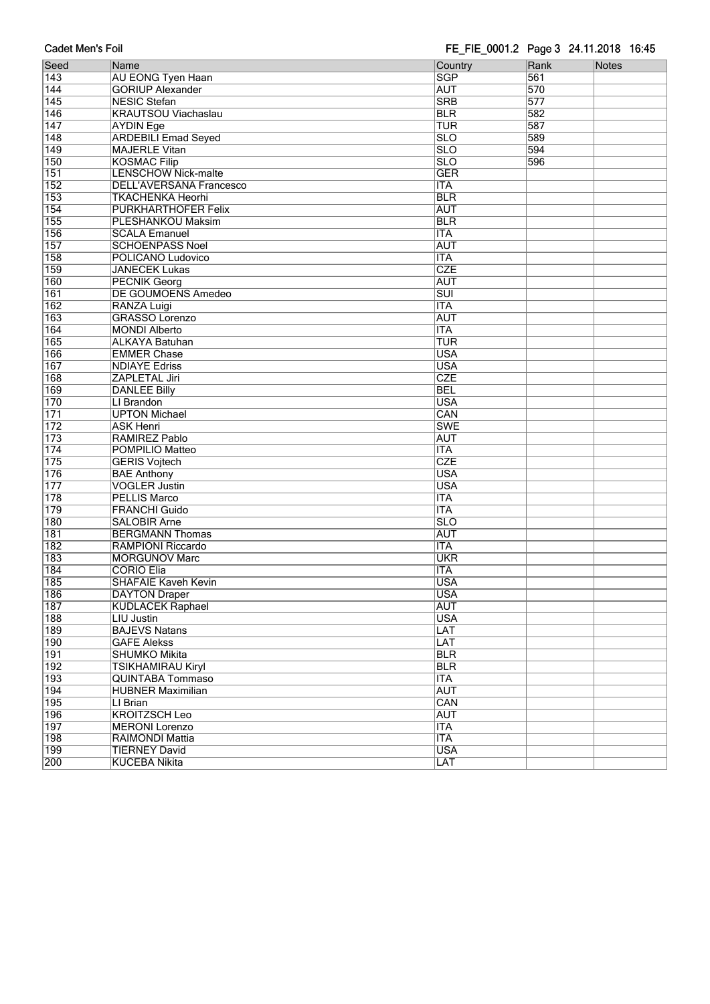| Cauci McII 3 I UII |                                                              | $1 - 1$ $-1$ $-0$ $001.2$ $-1$ $a$ $a$ $b$ $a$ $a$ $a$ $a$ $a$ $b$ $a$ $a$ $b$ $a$ $a$ |      |       |
|--------------------|--------------------------------------------------------------|----------------------------------------------------------------------------------------|------|-------|
| Seed               | Name                                                         | Country                                                                                | Rank | Notes |
| 143                | <b>AU EONG Tyen Haan</b>                                     | <b>SGP</b>                                                                             | 561  |       |
| 144                | <b>GORIUP Alexander</b>                                      | <b>AUT</b>                                                                             | 570  |       |
| 145                | <b>NESIC Stefan</b>                                          | <b>SRB</b>                                                                             | 577  |       |
| 146                | <b>KRAUTSOU Viachaslau</b>                                   | <b>BLR</b>                                                                             | 582  |       |
| 147                | <b>AYDIN Ege</b>                                             | TUR                                                                                    | 587  |       |
| $\overline{148}$   | <b>ARDEBILI Emad Seyed</b>                                   | $\overline{\text{SLO}}$                                                                | 589  |       |
| 149                | <b>MAJERLE Vitan</b>                                         | $\overline{\text{SLO}}$                                                                | 594  |       |
| 150                |                                                              | $\overline{\text{SLO}}$                                                                | 596  |       |
|                    | <b>KOSMAC Filip</b>                                          |                                                                                        |      |       |
| 151                | <b>LENSCHOW Nick-malte</b><br><b>DELL'AVERSANA Francesco</b> | <b>GER</b>                                                                             |      |       |
| $\overline{152}$   |                                                              | <b>ITA</b>                                                                             |      |       |
| 153                | <b>TKACHENKA Heorhi</b>                                      | <b>BLR</b>                                                                             |      |       |
| 154                | PURKHARTHOFER Felix                                          | <b>AUT</b>                                                                             |      |       |
| 155                | PLESHANKOU Maksim                                            | <b>BLR</b>                                                                             |      |       |
| 156                | <b>SCALA Emanuel</b>                                         | <b>ITA</b>                                                                             |      |       |
| 157                | <b>SCHOENPASS Noel</b>                                       | <b>AUT</b>                                                                             |      |       |
| 158                | POLICANO Ludovico                                            | <b>ITA</b>                                                                             |      |       |
| 159                | <b>JANECEK Lukas</b>                                         | <b>CZE</b>                                                                             |      |       |
| 160                | <b>PECNIK Georg</b>                                          | <b>AUT</b>                                                                             |      |       |
| 161                | <b>DE GOUMOENS Amedeo</b>                                    | $\overline{\text{SUI}}$                                                                |      |       |
| 162                | <b>RANZA Luigi</b>                                           | <b>ITA</b>                                                                             |      |       |
| 163                | <b>GRASSO Lorenzo</b>                                        | <b>AUT</b>                                                                             |      |       |
| 164                | <b>MONDI Alberto</b>                                         | <b>ITA</b>                                                                             |      |       |
| 165                | <b>ALKAYA Batuhan</b>                                        | TUR                                                                                    |      |       |
| 166                | <b>EMMER Chase</b>                                           | <b>USA</b>                                                                             |      |       |
| 167                | <b>NDIAYE Edriss</b>                                         | <b>USA</b>                                                                             |      |       |
| $\overline{168}$   | ZAPLETAL Jiri                                                | CZE                                                                                    |      |       |
| 169                | <b>DANLEE Billy</b>                                          | <b>BEL</b>                                                                             |      |       |
| 170                | LI Brandon                                                   | <b>USA</b>                                                                             |      |       |
| $\overline{171}$   | <b>UPTON Michael</b>                                         | CAN                                                                                    |      |       |
| $\overline{172}$   | <b>ASK Henri</b>                                             | <b>SWE</b>                                                                             |      |       |
| 173                | RAMIREZ Pablo                                                | <b>AUT</b>                                                                             |      |       |
| $\overline{174}$   | POMPILIO Matteo                                              | <b>ITA</b>                                                                             |      |       |
| $\overline{175}$   | <b>GERIS Vojtech</b>                                         | CZE                                                                                    |      |       |
| 176                | <b>BAE Anthony</b>                                           | <b>USA</b>                                                                             |      |       |
| 177                | <b>VOGLER Justin</b>                                         | <b>USA</b>                                                                             |      |       |
| 178                | <b>PELLIS Marco</b>                                          | <b>ITA</b>                                                                             |      |       |
| 179                | <b>FRANCHI Guido</b>                                         | <b>ITA</b>                                                                             |      |       |
| 180                | <b>SALOBIR Arne</b>                                          | $\overline{\text{SLO}}$                                                                |      |       |
| $\overline{181}$   | <b>BERGMANN Thomas</b>                                       | <b>AUT</b>                                                                             |      |       |
| $\overline{182}$   | RAMPIONI Riccardo                                            | <b>ITA</b>                                                                             |      |       |
| 183                | <b>MORGUNOV Marc</b>                                         | <b>UKR</b>                                                                             |      |       |
| 184                | <b>CORIO Elia</b>                                            | <b>ITA</b>                                                                             |      |       |
| 185                | <b>SHAFAIE Kaveh Kevin</b>                                   | <b>USA</b>                                                                             |      |       |
|                    |                                                              |                                                                                        |      |       |
| 186                | <b>DAYTON Draper</b>                                         | <b>USA</b>                                                                             |      |       |
| 187                | <b>KUDLACEK Raphael</b>                                      | <b>AUT</b>                                                                             |      |       |
| 188                | <b>LIU Justin</b>                                            | <b>USA</b>                                                                             |      |       |
| 189                | <b>BAJEVS Natans</b>                                         | LAT                                                                                    |      |       |
| 190                | <b>GAFE Alekss</b>                                           | LAT                                                                                    |      |       |
| 191                | <b>SHUMKO Mikita</b>                                         | <b>BLR</b>                                                                             |      |       |
| 192                | <b>TSIKHAMIRAU Kiryl</b>                                     | <b>BLR</b>                                                                             |      |       |
| 193                | <b>QUINTABA Tommaso</b>                                      | <b>ITA</b>                                                                             |      |       |
| 194                | <b>HUBNER Maximilian</b>                                     | <b>AUT</b>                                                                             |      |       |
| 195                | LI Brian                                                     | CAN                                                                                    |      |       |
| 196                | <b>KROITZSCH Leo</b>                                         | <b>AUT</b>                                                                             |      |       |
| 197                | <b>MERONI</b> Lorenzo                                        | <b>ITA</b>                                                                             |      |       |
| 198                | <b>RAIMONDI Mattia</b>                                       | <b>ITA</b>                                                                             |      |       |
| 199                | <b>TIERNEY David</b>                                         | <b>USA</b>                                                                             |      |       |
| 200                | <b>KUCEBA Nikita</b>                                         | LAT                                                                                    |      |       |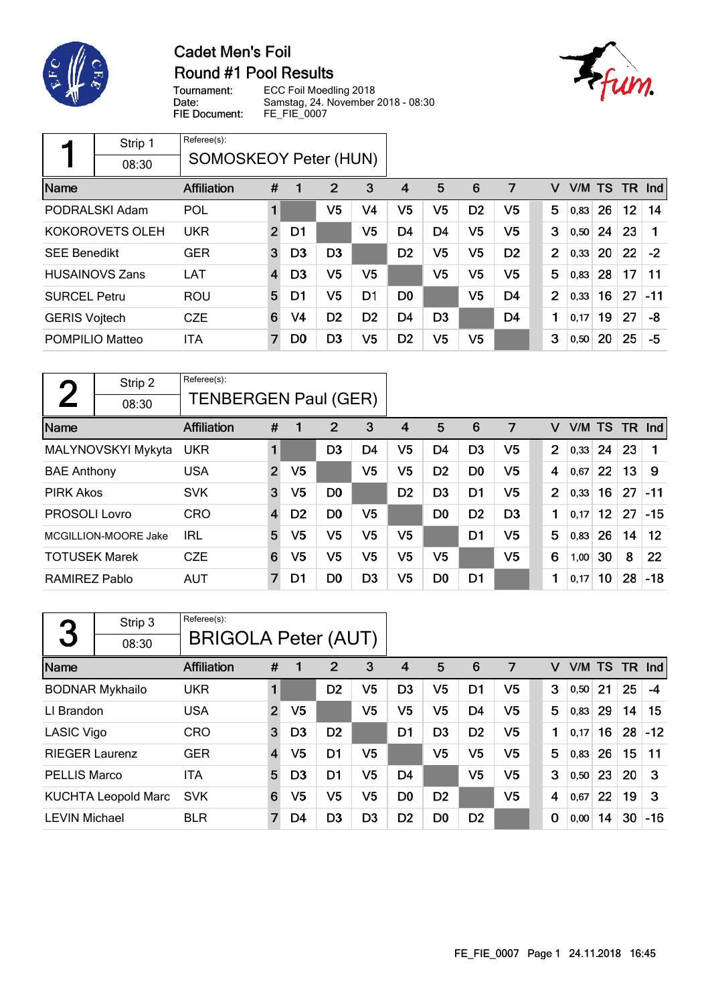

# **Cadet Men's Foil** Round #1 Pool Results



ECC Foil Moedling 2018 Tournament: Date: Samstag, 24. November 2018 - 08:30 FIE Document: FE\_FIE\_0007

|                                       | Strip 1                | Referee(s):        |                |                |                |                |                |                |                |                |                |      |           |     |                      |
|---------------------------------------|------------------------|--------------------|----------------|----------------|----------------|----------------|----------------|----------------|----------------|----------------|----------------|------|-----------|-----|----------------------|
| <b>SOMOSKEOY Peter (HUN)</b><br>08:30 |                        |                    |                |                |                |                |                |                |                |                |                |      |           |     |                      |
| Name                                  |                        | <b>Affiliation</b> | #              |                | 2              | 3              | 4              | 5              | 6              | 7              | v              | V/M  | <b>TS</b> | TR. | $\lfloor nd \rfloor$ |
|                                       | PODRALSKI Adam         | POL                |                |                | V <sub>5</sub> | V4             | V <sub>5</sub> | V <sub>5</sub> | D <sub>2</sub> | V5             | 5              | 0,83 | 26        | 12  | 14                   |
|                                       | KOKOROVETS OLEH        | <b>UKR</b>         | $\overline{2}$ | D1             |                | V5             | D4             | D <sub>4</sub> | V5             | V5             | 3              | 0,50 | 24        | 23  |                      |
| <b>SEE Benedikt</b>                   |                        | <b>GER</b>         | 3              | D <sub>3</sub> | D <sub>3</sub> |                | D <sub>2</sub> | V5             | V5             | D <sub>2</sub> | 2              | 0,33 | 20        | 22  | $-2$                 |
|                                       | <b>HUSAINOVS Zans</b>  | <b>LAT</b>         | $\overline{4}$ | D <sub>3</sub> | V5             | V5             |                | V5             | V <sub>5</sub> | V5             | 5              | 0,83 | 28        | 17  | 11                   |
| <b>SURCEL Petru</b>                   |                        | <b>ROU</b>         | 5              | D1             | V5             | D <sub>1</sub> | D0             |                | V <sub>5</sub> | D4             | $\overline{2}$ | 0,33 | 16        | 27  | -11                  |
| <b>GERIS Vojtech</b>                  |                        | <b>CZE</b>         | 6              | V <sub>4</sub> | D <sub>2</sub> | D <sub>2</sub> | D4             | D <sub>3</sub> |                | D <sub>4</sub> | 1              | 0,17 | 19        | 27  | -8                   |
|                                       | <b>POMPILIO Matteo</b> | <b>ITA</b>         | 7              | D <sub>0</sub> | D <sub>3</sub> | V5             | D <sub>2</sub> | V5             | V5             |                | 3              | 0,50 | 20        | 25  | -5                   |

|                      | Strip 2              | Referee(s):                 |                |                |                |                |                |                |                |                |                |      |                 |    |                   |
|----------------------|----------------------|-----------------------------|----------------|----------------|----------------|----------------|----------------|----------------|----------------|----------------|----------------|------|-----------------|----|-------------------|
|                      | 08:30                | <b>TENBERGEN Paul (GER)</b> |                |                |                |                |                |                |                |                |                |      |                 |    |                   |
| Name                 |                      | <b>Affiliation</b>          | #              |                | $\overline{2}$ | 3              | 4              | 5              | 6              | 7              | v              | V/M  | <b>TS</b>       |    | $TR$ Ind          |
|                      | MALYNOVSKYI Mykyta   | <b>UKR</b>                  |                |                | D <sub>3</sub> | D4             | V <sub>5</sub> | D <sub>4</sub> | D <sub>3</sub> | V <sub>5</sub> | 2              | 0,33 | 24              | 23 |                   |
| <b>BAE Anthony</b>   |                      | <b>USA</b>                  | $\overline{2}$ | V5             |                | V5             | V <sub>5</sub> | D <sub>2</sub> | D <sub>0</sub> | V5             | 4              | 0,67 | 22              | 13 | 9                 |
| <b>PIRK Akos</b>     |                      | <b>SVK</b>                  | 3              | V <sub>5</sub> | D <sub>0</sub> |                | D <sub>2</sub> | D <sub>3</sub> | D1             | V <sub>5</sub> | $\overline{2}$ | 0,33 | 16              | 27 | -11               |
| <b>PROSOLI Lovro</b> |                      | <b>CRO</b>                  | 4              | D <sub>2</sub> | D <sub>0</sub> | V5             |                | D <sub>0</sub> | D <sub>2</sub> | D <sub>3</sub> | 1              | 0,17 | 12 <sup>°</sup> | 27 | $-15$             |
|                      | MCGILLION-MOORE Jake | <b>IRL</b>                  | 5              | V5             | V5             | V5             | V5             |                | D1             | V5             | 5              | 0,83 | 26              | 14 | $12 \overline{ }$ |
| <b>TOTUSEK Marek</b> |                      | <b>CZE</b>                  | 6              | V5             | V5             | V <sub>5</sub> | V <sub>5</sub> | V <sub>5</sub> |                | V <sub>5</sub> | 6              | 1,00 | 30              | 8  | 22                |
| RAMIREZ Pablo        |                      | <b>AUT</b>                  | 7              | D1             | D <sub>0</sub> | D <sub>3</sub> | V5             | D <sub>0</sub> | D <sub>1</sub> |                | 1              | 0,17 | 10              | 28 | $-18$             |

| 3                     | Strip 3<br>08:30           | Referee(s):<br><b>BRIGOLA Peter (AUT)</b> |                         |                |                |                |                |                |                |                |   |        |    |      |       |
|-----------------------|----------------------------|-------------------------------------------|-------------------------|----------------|----------------|----------------|----------------|----------------|----------------|----------------|---|--------|----|------|-------|
| <b>Name</b>           |                            | <b>Affiliation</b>                        | #                       | 1              | $\overline{2}$ | 3              | 4              | 5              | 6              | 7              | v | V/M TS |    | TR . | Ind   |
|                       | <b>BODNAR Mykhailo</b>     | <b>UKR</b>                                |                         |                | D <sub>2</sub> | V5             | D <sub>3</sub> | V <sub>5</sub> | D1             | V5             | 3 | 0,50   | 21 | 25   | -4    |
| LI Brandon            |                            | <b>USA</b>                                | $\overline{2}$          | V <sub>5</sub> |                | V5             | V5             | V <sub>5</sub> | D <sub>4</sub> | V <sub>5</sub> | 5 | 0,83   | 29 | 14   | 15    |
| <b>LASIC Vigo</b>     |                            | <b>CRO</b>                                | 3                       | D <sub>3</sub> | D <sub>2</sub> |                | D1             | D <sub>3</sub> | D <sub>2</sub> | V <sub>5</sub> | 1 | 0,17   | 16 | 28   | $-12$ |
| <b>RIEGER Laurenz</b> |                            | <b>GER</b>                                | $\overline{\mathbf{4}}$ | V <sub>5</sub> | D <sub>1</sub> | V5             |                | V <sub>5</sub> | V <sub>5</sub> | V <sub>5</sub> | 5 | 0,83   | 26 | 15   | 11    |
| <b>PELLIS Marco</b>   |                            | ITA                                       | 5                       | D <sub>3</sub> | D <sub>1</sub> | V5             | D <sub>4</sub> |                | V <sub>5</sub> | V <sub>5</sub> | 3 | 0,50   | 23 | 20   | 3     |
|                       | <b>KUCHTA Leopold Marc</b> | <b>SVK</b>                                | 6                       | V5             | V5             | V5             | D <sub>0</sub> | D <sub>2</sub> |                | V <sub>5</sub> | 4 | 0.67   | 22 | 19   | 3     |
| <b>LEVIN Michael</b>  |                            | <b>BLR</b>                                | 7                       | D4             | D <sub>3</sub> | D <sub>3</sub> | D <sub>2</sub> | D <sub>0</sub> | D <sub>2</sub> |                | 0 | 0,00   | 14 | 30   | $-16$ |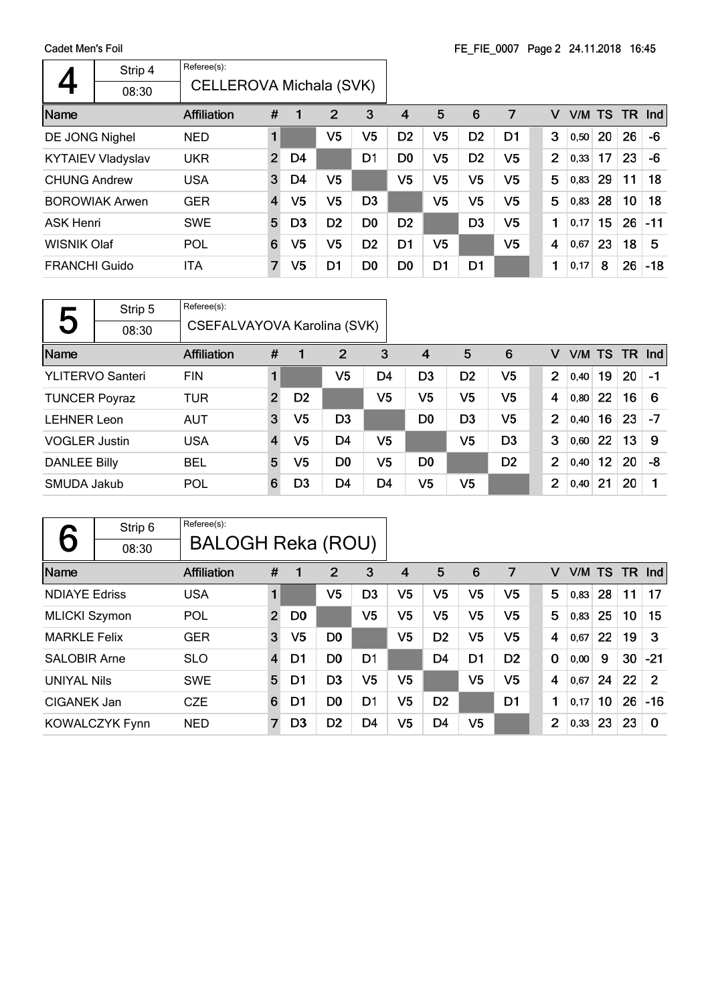|                      | Strip 4                  | Referee(s):        |                         |                |                |                |                |                |                |                |                |      |        |           |       |
|----------------------|--------------------------|--------------------|-------------------------|----------------|----------------|----------------|----------------|----------------|----------------|----------------|----------------|------|--------|-----------|-------|
|                      | 08:30                    |                    | CELLEROVA Michala (SVK) |                |                |                |                |                |                |                |                |      |        |           |       |
| Name                 |                          | <b>Affiliation</b> | #                       |                | 2              | 3              | 4              | 5              | 6              | 7              | v              |      | V/M TS | <b>TR</b> | Ind   |
| DE JONG Nighel       |                          | <b>NED</b>         | 1                       |                | V5             | V <sub>5</sub> | D <sub>2</sub> | V <sub>5</sub> | D <sub>2</sub> | D1             | 3              | 0,50 | 20     | 26        | -6    |
|                      | <b>KYTAIEV Vladyslav</b> | <b>UKR</b>         | $\overline{2}$          | D4             |                | D <sub>1</sub> | D <sub>0</sub> | V5             | D <sub>2</sub> | V5             | $\overline{2}$ | 0,33 | 17     | 23        | -6    |
| <b>CHUNG Andrew</b>  |                          | <b>USA</b>         | 3                       | D4             | V <sub>5</sub> |                | V5             | V5             | V <sub>5</sub> | V5             | 5              | 0,83 | 29     | 11        | 18    |
|                      | <b>BOROWIAK Arwen</b>    | <b>GER</b>         | $\overline{4}$          | V <sub>5</sub> | V <sub>5</sub> | D <sub>3</sub> |                | V5             | V <sub>5</sub> | V <sub>5</sub> | 5              | 0,83 | 28     | 10        | 18    |
| <b>ASK Henri</b>     |                          | <b>SWE</b>         | 5                       | D <sub>3</sub> | D <sub>2</sub> | D <sub>0</sub> | D <sub>2</sub> |                | D <sub>3</sub> | V <sub>5</sub> | 1              | 0,17 | 15     | 26        | $-11$ |
| <b>WISNIK Olaf</b>   |                          | POL                | 6                       | V <sub>5</sub> | V5             | D <sub>2</sub> | D <sub>1</sub> | V <sub>5</sub> |                | V5             | 4              | 0,67 | 23     | 18        | 5     |
| <b>FRANCHI Guido</b> |                          | ITA                | 7                       | V5             | D1             | D <sub>0</sub> | D <sub>0</sub> | D <sub>1</sub> | D1             |                | 1              | 0,17 | 8      | 26        | $-18$ |

|                      | Strip 5                 | Referee(s):                 |                |                |                |                |                |                |                |                |        |    |      |         |
|----------------------|-------------------------|-----------------------------|----------------|----------------|----------------|----------------|----------------|----------------|----------------|----------------|--------|----|------|---------|
| 5                    | 08:30                   | CSEFALVAYOVA Karolina (SVK) |                |                |                |                |                |                |                |                |        |    |      |         |
| Name                 |                         | <b>Affiliation</b>          | #              |                | $\overline{2}$ | 3              | $\overline{4}$ | 5              | 6              | v              | V/M TS |    | - TR | $\ln d$ |
|                      | <b>YLITERVO Santeri</b> | <b>FIN</b>                  |                |                | V5             | D4             | D <sub>3</sub> | D <sub>2</sub> | V <sub>5</sub> | $\overline{2}$ | 0.40   | 19 | 20   | -1      |
| <b>TUNCER Poyraz</b> |                         | <b>TUR</b>                  | $\overline{2}$ | D <sub>2</sub> |                | V5             | V5             | V5             | V <sub>5</sub> | 4              | 0,80   | 22 | 16   | 6       |
| <b>LEHNER Leon</b>   |                         | <b>AUT</b>                  | 3              | V5             | D <sub>3</sub> |                | D <sub>0</sub> | D <sub>3</sub> | V5             | 2              | 0,40   | 16 | 23   | $-7$    |
| <b>VOGLER Justin</b> |                         | <b>USA</b>                  | $\overline{4}$ | V5             | D4             | V <sub>5</sub> |                | V <sub>5</sub> | D <sub>3</sub> | 3              | 0,60   | 22 | 13   | 9       |
| <b>DANLEE Billy</b>  |                         | <b>BEL</b>                  | 5              | V5             | D <sub>0</sub> | V <sub>5</sub> | D <sub>0</sub> |                | D <sub>2</sub> | 2              | 0,40   | 12 | 20   | -8      |
| SMUDA Jakub          |                         | POL                         | 6              | D3             | D4             | D4             | V5             | V5             |                | $\overline{2}$ | 0,40   | 21 | 20   | 1       |

| 6                    | Strip 6               | Referee(s):              |                |                |                |                |                |                |                |                |                |      |    |           |               |
|----------------------|-----------------------|--------------------------|----------------|----------------|----------------|----------------|----------------|----------------|----------------|----------------|----------------|------|----|-----------|---------------|
|                      | 08:30                 | <b>BALOGH Reka (ROU)</b> |                |                |                |                |                |                |                |                |                |      |    |           |               |
| Name                 |                       | <b>Affiliation</b>       | #              |                | 2              | 3              | 4              | 5              | 6              | 7              | v              |      |    | V/M TS TR | <b>Ind</b>    |
| <b>NDIAYE Edriss</b> |                       | <b>USA</b>               | $\blacksquare$ |                | V <sub>5</sub> | D <sub>3</sub> | V <sub>5</sub> | V <sub>5</sub> | V <sub>5</sub> | V5             | 5              | 0,83 | 28 | 11        | 17            |
| <b>MLICKI Szymon</b> |                       | POL                      | $\overline{2}$ | D <sub>0</sub> |                | V <sub>5</sub> | V <sub>5</sub> | V <sub>5</sub> | V <sub>5</sub> | V <sub>5</sub> | 5              | 0,83 | 25 | 10        | 15            |
| <b>MARKLE Felix</b>  |                       | <b>GER</b>               | 3              | V <sub>5</sub> | D <sub>0</sub> |                | V <sub>5</sub> | D <sub>2</sub> | V <sub>5</sub> | V <sub>5</sub> | $\overline{4}$ | 0,67 | 22 | 19        | 3             |
| <b>SALOBIR Arne</b>  |                       | <b>SLO</b>               | $\overline{4}$ | D1             | D <sub>0</sub> | D1             |                | D4             | D1             | D <sub>2</sub> | $\mathbf 0$    | 0,00 | 9  | 30        | $-21$         |
| <b>UNIYAL Nils</b>   |                       | <b>SWE</b>               | 5              | D1             | D <sub>3</sub> | V <sub>5</sub> | V <sub>5</sub> |                | V <sub>5</sub> | V <sub>5</sub> | 4              | 0.67 | 24 | 22        | $\mathcal{P}$ |
| CIGANEK Jan          |                       | <b>CZE</b>               | 6              | D1             | D <sub>0</sub> | D1             | V <sub>5</sub> | D <sub>2</sub> |                | D1             | 1              | 0,17 | 10 | 26        | $-16$         |
|                      | <b>KOWALCZYK Fynn</b> | <b>NED</b>               | 7              | D <sub>3</sub> | D <sub>2</sub> | D4             | V <sub>5</sub> | D4             | V5             |                | $\overline{2}$ | 0,33 | 23 | 23        | $\Omega$      |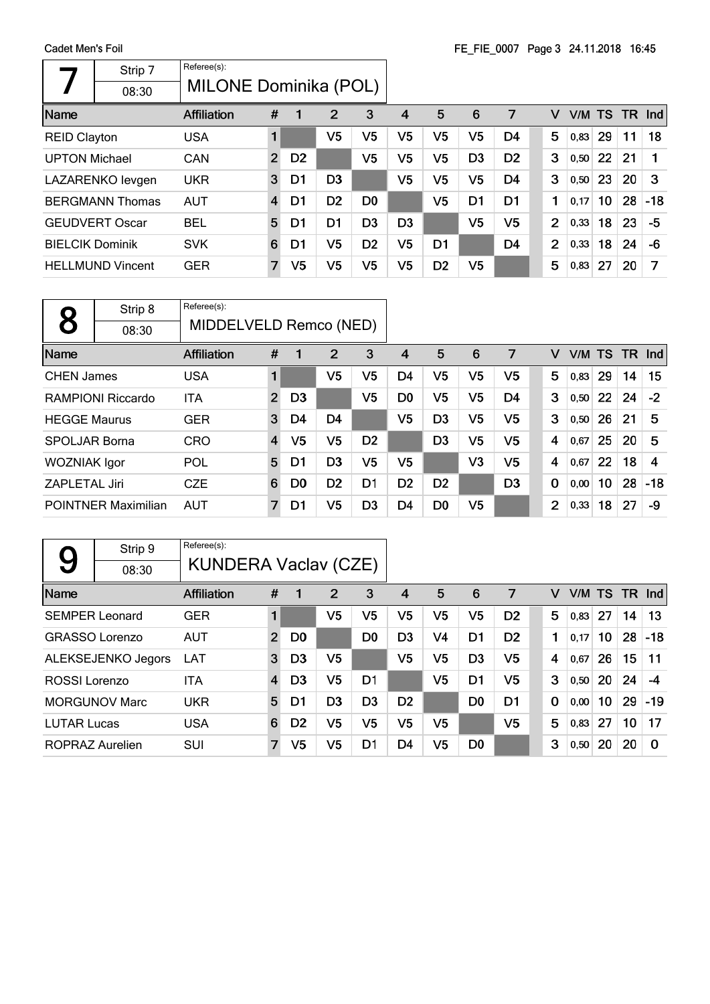|                        | Strip 7                 | Referee(s):                  |                |                |                |                |                |                |                |                |                |        |    |     |       |
|------------------------|-------------------------|------------------------------|----------------|----------------|----------------|----------------|----------------|----------------|----------------|----------------|----------------|--------|----|-----|-------|
|                        | 08:30                   | <b>MILONE Dominika (POL)</b> |                |                |                |                |                |                |                |                |                |        |    |     |       |
| Name                   |                         | <b>Affiliation</b>           | #              | 1              | $\overline{2}$ | 3              | 4              | 5              | 6              | 7              | v              | V/M TS |    | TR. | Ind   |
| <b>REID Clayton</b>    |                         | <b>USA</b>                   |                |                | V5             | V5             | V5             | V <sub>5</sub> | V <sub>5</sub> | D4             | 5              | 0.83   | 29 | 11  | 18    |
| <b>UPTON Michael</b>   |                         | CAN                          | $\overline{2}$ | D <sub>2</sub> |                | V5             | V5             | V5             | D <sub>3</sub> | D <sub>2</sub> | 3              | 0,50   | 22 | 21  |       |
|                        | LAZARENKO levgen        | <b>UKR</b>                   | 3              | D <sub>1</sub> | D <sub>3</sub> |                | V <sub>5</sub> | V5             | V <sub>5</sub> | D <sub>4</sub> | 3              | 0,50   | 23 | 20  | 3     |
|                        | <b>BERGMANN Thomas</b>  | <b>AUT</b>                   | $\overline{4}$ | D1             | D <sub>2</sub> | D <sub>0</sub> |                | V5             | D <sub>1</sub> | D <sub>1</sub> | 1              | 0,17   | 10 | 28  | $-18$ |
|                        | <b>GEUDVERT Oscar</b>   | <b>BEL</b>                   | 5              | D1             | D <sub>1</sub> | D <sub>3</sub> | D <sub>3</sub> |                | V <sub>5</sub> | V5             | $\overline{2}$ | 0,33   | 18 | 23  | -5    |
| <b>BIELCIK Dominik</b> |                         | <b>SVK</b>                   | 6              | D1             | V5             | D <sub>2</sub> | V5             | D <sub>1</sub> |                | D <sub>4</sub> | $\overline{2}$ | 0,33   | 18 | 24  | -6    |
|                        | <b>HELLMUND Vincent</b> | <b>GER</b>                   | $\overline{7}$ | V5             | V5             | V5             | V5             | D <sub>2</sub> | V5             |                | 5              | 0,83   | 27 | 20  | 7     |

|                      | Strip 8                    | Referee(s):            |                |                |                |                |                |                |                |                |                |        |    |           |       |
|----------------------|----------------------------|------------------------|----------------|----------------|----------------|----------------|----------------|----------------|----------------|----------------|----------------|--------|----|-----------|-------|
|                      | 08:30                      | MIDDELVELD Remco (NED) |                |                |                |                |                |                |                |                |                |        |    |           |       |
| Name                 |                            | <b>Affiliation</b>     | #              | 1              | $\overline{2}$ | 3              | 4              | 5              | 6              | 7              | v              | V/M TS |    | <b>TR</b> | Ind   |
| <b>CHEN James</b>    |                            | <b>USA</b>             | 1              |                | V5             | V5             | D4             | V <sub>5</sub> | V <sub>5</sub> | V5             | 5              | 0,83   | 29 | 14        | 15    |
|                      | RAMPIONI Riccardo          | ITA                    | $\overline{2}$ | D <sub>3</sub> |                | V5             | D <sub>0</sub> | V5             | V <sub>5</sub> | D4             | 3              | 0,50   | 22 | 24        | $-2$  |
| <b>HEGGE Maurus</b>  |                            | <b>GER</b>             | 3              | D4             | D <sub>4</sub> |                | V5             | D <sub>3</sub> | V <sub>5</sub> | V <sub>5</sub> | 3              | 0,50   | 26 | 21        | 5     |
| <b>SPOLJAR Borna</b> |                            | <b>CRO</b>             | 4              | V5             | V <sub>5</sub> | D <sub>2</sub> |                | D <sub>3</sub> | V <sub>5</sub> | V <sub>5</sub> | 4              | 0,67   | 25 | 20        | 5     |
| <b>WOZNIAK Igor</b>  |                            | POL                    | 5              | D1             | D <sub>3</sub> | V5             | V <sub>5</sub> |                | V3             | V <sub>5</sub> | 4              | 0.67   | 22 | 18        | 4     |
| <b>ZAPLETAL Jiri</b> |                            | <b>CZE</b>             | 6              | D <sub>0</sub> | D <sub>2</sub> | D1             | D <sub>2</sub> | D <sub>2</sub> |                | D <sub>3</sub> | 0              | 0,00   | 10 | 28        | $-18$ |
|                      | <b>POINTNER Maximilian</b> | <b>AUT</b>             | 7              | D1             | V5             | D <sub>3</sub> | D <sub>4</sub> | D <sub>0</sub> | V5             |                | $\overline{2}$ | 0,33   | 18 | 27        | -9    |

|                    | Strip 9               | Referee(s):                 |                |                |                |                |                |                |                |                |             |      |           |           |          |
|--------------------|-----------------------|-----------------------------|----------------|----------------|----------------|----------------|----------------|----------------|----------------|----------------|-------------|------|-----------|-----------|----------|
| 9                  | 08:30                 | <b>KUNDERA Vaclav (CZE)</b> |                |                |                |                |                |                |                |                |             |      |           |           |          |
| Name               |                       | <b>Affiliation</b>          | #              |                | 2              | 3              | $\overline{4}$ | 5              | 6              | 7              | v           | V/M  | <b>TS</b> | <b>TR</b> | Ind      |
|                    | <b>SEMPER Leonard</b> | <b>GER</b>                  | 1              |                | V <sub>5</sub> | V5             | V5             | V5             | V5             | D <sub>2</sub> | 5           | 0.83 | 27        | 14        | 13       |
|                    | <b>GRASSO Lorenzo</b> | <b>AUT</b>                  | $\overline{2}$ | D <sub>0</sub> |                | D <sub>0</sub> | D <sub>3</sub> | V4             | D <sub>1</sub> | D <sub>2</sub> | 1           | 0.17 | 10        | 28        | $-18$    |
|                    | ALEKSEJENKO Jegors    | <b>LAT</b>                  | 3              | D <sub>3</sub> | V <sub>5</sub> |                | V <sub>5</sub> | V <sub>5</sub> | D <sub>3</sub> | V5             | 4           | 0,67 | 26        | 15        | 11       |
| ROSSI Lorenzo      |                       | ITA                         | 4              | D <sub>3</sub> | V <sub>5</sub> | D <sub>1</sub> |                | V <sub>5</sub> | D <sub>1</sub> | V <sub>5</sub> | 3           | 0,50 | 20        | 24        | -4       |
|                    | <b>MORGUNOV Marc</b>  | <b>UKR</b>                  | 5              | D1             | D <sub>3</sub> | D <sub>3</sub> | D <sub>2</sub> |                | D <sub>0</sub> | D1             | $\mathbf 0$ | 0,00 | 10        | 29        | $-19$    |
| <b>LUTAR Lucas</b> |                       | <b>USA</b>                  | 6              | D <sub>2</sub> | V <sub>5</sub> | V <sub>5</sub> | V <sub>5</sub> | V <sub>5</sub> |                | V <sub>5</sub> | 5           | 0,83 | 27        | 10        | 17       |
| ROPRAZ Aurelien    |                       | SUI                         | $\overline{7}$ | V5             | V <sub>5</sub> | D1             | D4             | V5             | D <sub>0</sub> |                | 3           | 0,50 | 20        | 20        | $\Omega$ |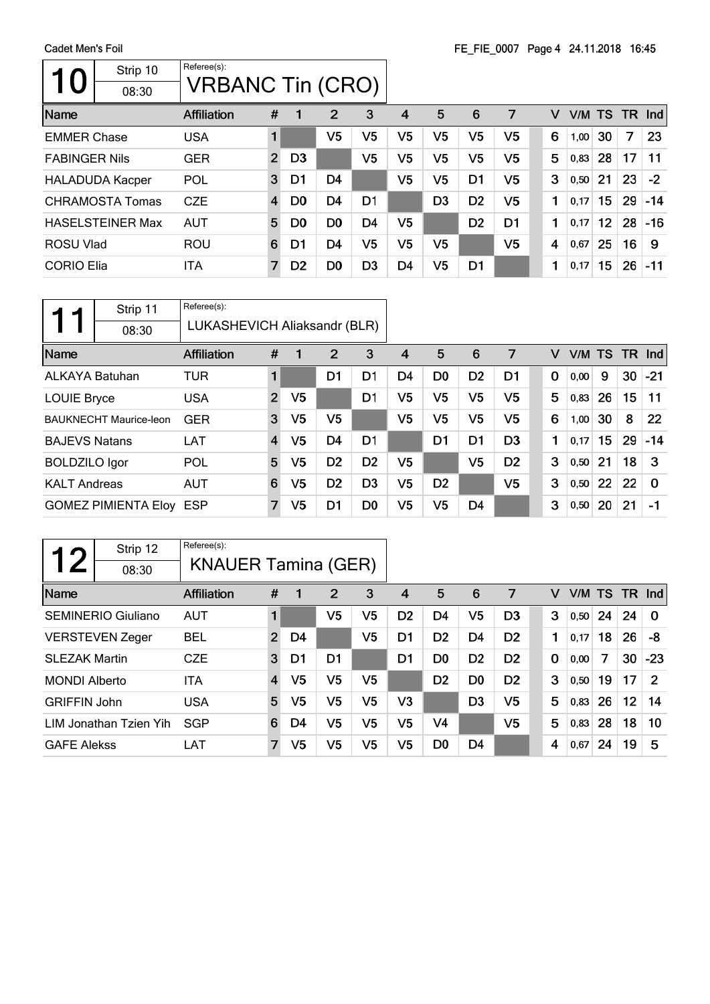$\mathbf{r}$ 

|                      | Strip 10<br>08:30       | Referee(s):<br><b>VRBANC Tin (CRO)</b> |                |                |                |                |                |                |                |                |   |      |        |           |       |
|----------------------|-------------------------|----------------------------------------|----------------|----------------|----------------|----------------|----------------|----------------|----------------|----------------|---|------|--------|-----------|-------|
| Name                 |                         | <b>Affiliation</b>                     | #              | 1              | 2              | 3              | 4              | 5              | 6              | 7              | v |      | V/M TS | <b>TR</b> | Ind   |
| <b>EMMER Chase</b>   |                         | <b>USA</b>                             |                |                | V5             | V <sub>5</sub> | V5             | V5             | V <sub>5</sub> | V5             | 6 | 1,00 | 30     | 7         | 23    |
| <b>FABINGER Nils</b> |                         | <b>GER</b>                             | $\overline{2}$ | D <sub>3</sub> |                | V5             | V5             | V5             | V5             | V5             | 5 | 0,83 | 28     | 17        | 11    |
|                      | <b>HALADUDA Kacper</b>  | POL                                    | 3              | D1             | D <sub>4</sub> |                | V5             | V5             | D <sub>1</sub> | V <sub>5</sub> | 3 | 0,50 | 21     | 23        | $-2$  |
|                      | CHRAMOSTA Tomas         | <b>CZE</b>                             | $\overline{4}$ | D <sub>0</sub> | D <sub>4</sub> | D <sub>1</sub> |                | D <sub>3</sub> | D <sub>2</sub> | V <sub>5</sub> | 1 | 0,17 | 15     | 29        | $-14$ |
|                      | <b>HASELSTEINER Max</b> | <b>AUT</b>                             | 5              | D <sub>0</sub> | D <sub>0</sub> | D <sub>4</sub> | V5             |                | D <sub>2</sub> | D <sub>1</sub> | 1 | 0,17 | 12     | 28        | $-16$ |
| ROSU Vlad            |                         | <b>ROU</b>                             | 6              | D1             | D <sub>4</sub> | V5             | V5             | V <sub>5</sub> |                | V <sub>5</sub> | 4 | 0.67 | 25     | 16        | 9     |
| <b>CORIO Elia</b>    |                         | ITA                                    | 7              | D <sub>2</sub> | D <sub>0</sub> | D <sub>3</sub> | D <sub>4</sub> | V5             | D <sub>1</sub> |                | 1 | 0,17 | 15     | 26        | $-11$ |

|                       | Strip 11                      | Referee(s):                  |                |                |                |                |    |                |                |                |             |        |    |      |            |
|-----------------------|-------------------------------|------------------------------|----------------|----------------|----------------|----------------|----|----------------|----------------|----------------|-------------|--------|----|------|------------|
|                       | 08:30                         | LUKASHEVICH Aliaksandr (BLR) |                |                |                |                |    |                |                |                |             |        |    |      |            |
| Name                  |                               | <b>Affiliation</b>           | #              | 1              | 2              | 3              | 4  | 5              | 6              | 7              | v           | V/M TS |    | - TR | <b>Ind</b> |
| <b>ALKAYA Batuhan</b> |                               | TUR                          | 1              |                | D1             | D <sub>1</sub> | D4 | D <sub>0</sub> | D <sub>2</sub> | D1             | $\mathbf 0$ | 0,00   | 9  | 30   | $-21$      |
| <b>LOUIE Bryce</b>    |                               | <b>USA</b>                   | $\overline{2}$ | V <sub>5</sub> |                | D1             | V5 | V5             | V <sub>5</sub> | V5             | 5           | 0,83   | 26 | 15   | 11         |
|                       | <b>BAUKNECHT Maurice-leon</b> | <b>GER</b>                   | 3              | V <sub>5</sub> | V <sub>5</sub> |                | V5 | V5             | V <sub>5</sub> | V5             | 6           | 1,00   | 30 | 8    | 22         |
| <b>BAJEVS Natans</b>  |                               | LAT                          | 4              | V <sub>5</sub> | D <sub>4</sub> | D <sub>1</sub> |    | D <sub>1</sub> | D <sub>1</sub> | D <sub>3</sub> | 1           | 0,17   | 15 | 29   | $-14$      |
| <b>BOLDZILO</b> Igor  |                               | POL                          | 5              | V5             | D <sub>2</sub> | D <sub>2</sub> | V5 |                | V5             | D <sub>2</sub> | 3           | 0,50   | 21 | 18   | 3          |
| <b>KALT Andreas</b>   |                               | <b>AUT</b>                   | 6              | V5             | D <sub>2</sub> | D <sub>3</sub> | V5 | D <sub>2</sub> |                | V5             | 3           | 0,50   | 22 | 22   | $\Omega$   |
|                       | <b>GOMEZ PIMIENTA Eloy</b>    | <b>ESP</b>                   | $\overline{7}$ | V5             | D <sub>1</sub> | D <sub>0</sub> | V5 | V <sub>5</sub> | D <sub>4</sub> |                | 3           | 0,50   | 20 | 21   | -1         |

| つ                    | Strip 12                  | Referee(s):                |                |    |                |    |                |                |                |                |             |        |    |    |               |
|----------------------|---------------------------|----------------------------|----------------|----|----------------|----|----------------|----------------|----------------|----------------|-------------|--------|----|----|---------------|
|                      | 08:30                     | <b>KNAUER Tamina (GER)</b> |                |    |                |    |                |                |                |                |             |        |    |    |               |
| Name                 |                           | <b>Affiliation</b>         | #              | 1  | $\overline{2}$ | 3  | 4              | 5              | 6              | 7              | v           | V/M TS |    | TR | Ind           |
|                      | <b>SEMINERIO Giuliano</b> | <b>AUT</b>                 | 1              |    | V5             | V5 | D <sub>2</sub> | D <sub>4</sub> | V <sub>5</sub> | D3             | 3           | 0,50   | 24 | 24 | $\Omega$      |
|                      | <b>VERSTEVEN Zeger</b>    | <b>BEL</b>                 | $\overline{2}$ | D4 |                | V5 | D1             | D <sub>2</sub> | D4             | D <sub>2</sub> | 1           | 0.17   | 18 | 26 | -8            |
| <b>SLEZAK Martin</b> |                           | <b>CZE</b>                 | 3              | D1 | D <sub>1</sub> |    | D <sub>1</sub> | D0             | D <sub>2</sub> | D <sub>2</sub> | $\mathbf 0$ | 0,00   | 7  | 30 | $-23$         |
| <b>MONDI Alberto</b> |                           | <b>ITA</b>                 | 4              | V5 | V <sub>5</sub> | V5 |                | D <sub>2</sub> | D <sub>0</sub> | D <sub>2</sub> | 3           | 0,50   | 19 | 17 | $\mathcal{P}$ |
| <b>GRIFFIN John</b>  |                           | <b>USA</b>                 | 5              | V5 | V <sub>5</sub> | V5 | V <sub>3</sub> |                | D <sub>3</sub> | V5             | 5           | 0,83   | 26 | 12 | 14            |
|                      | LIM Jonathan Tzien Yih    | <b>SGP</b>                 | 6              | D4 | V5             | V5 | V5             | V <sub>4</sub> |                | V5             | 5           | 0,83   | 28 | 18 | 10            |
| <b>GAFE Alekss</b>   |                           | LAT                        | $\overline{7}$ | V5 | V5             | V5 | V5             | D <sub>0</sub> | D4             |                | 4           | 0,67   | 24 | 19 | 5             |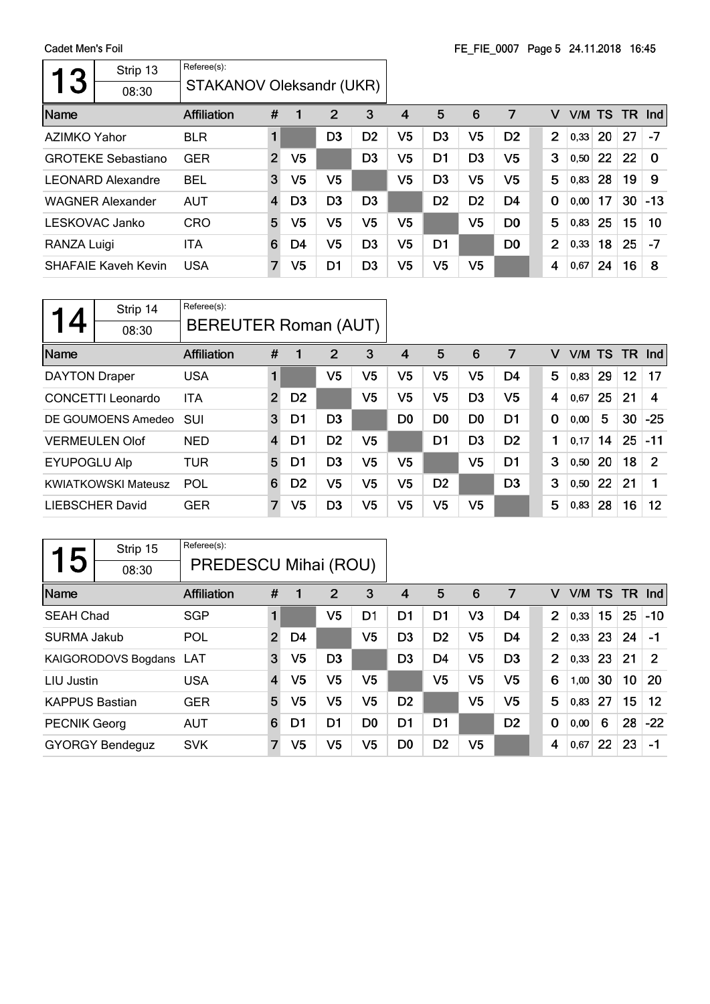| 3            | Strip 13                   | Referee(s):              |                |                |                |                |                |                |                |                |             |                |      |           |     |          |
|--------------|----------------------------|--------------------------|----------------|----------------|----------------|----------------|----------------|----------------|----------------|----------------|-------------|----------------|------|-----------|-----|----------|
|              | 08:30                      | STAKANOV Oleksandr (UKR) |                |                |                |                |                |                |                |                |             |                |      |           |     |          |
| Name         |                            | <b>Affiliation</b>       | #              | 1              | $\overline{2}$ | 3              | 4              | 5              | 6              | 7              |             | v              | V/M  | <b>TS</b> | TR. | Ind      |
| AZIMKO Yahor |                            | <b>BLR</b>               | 1              |                | D3             | D <sub>2</sub> | V <sub>5</sub> | D <sub>3</sub> | V <sub>5</sub> | D <sub>2</sub> |             | $\overline{2}$ | 0,33 | <b>20</b> | 27  | $-7$     |
|              | <b>GROTEKE Sebastiano</b>  | <b>GER</b>               | $\overline{2}$ | V <sub>5</sub> |                | D <sub>3</sub> | V5             | D <sub>1</sub> | D <sub>3</sub> | V <sub>5</sub> |             | 3              | 0,50 | 22        | 22  | $\Omega$ |
|              | <b>LEONARD Alexandre</b>   | <b>BEL</b>               | 3              | V5             | V <sub>5</sub> |                | V5             | D <sub>3</sub> | V <sub>5</sub> | V <sub>5</sub> |             | 5              | 0,83 | 28        | 19  | -9       |
|              | <b>WAGNER Alexander</b>    | <b>AUT</b>               | $\overline{4}$ | D <sub>3</sub> | D <sub>3</sub> | D <sub>3</sub> |                | D <sub>2</sub> | D <sub>2</sub> | D4             | $\mathbf 0$ |                | 0,00 | 17        | 30  | $-13$    |
|              | LESKOVAC Janko             | <b>CRO</b>               | 5              | V5             | V <sub>5</sub> | V5             | V <sub>5</sub> |                | V <sub>5</sub> | D <sub>0</sub> |             | 5              | 0,83 | 25        | 15  | 10       |
| RANZA Luigi  |                            | ITA                      | 6              | D4             | V5             | D <sub>3</sub> | V <sub>5</sub> | D <sub>1</sub> |                | D <sub>0</sub> |             | $\overline{2}$ | 0,33 | 18        | 25  | $-7$     |
|              | <b>SHAFAIE Kaveh Kevin</b> | <b>USA</b>               | $\overline{7}$ | V5             | D1             | D <sub>3</sub> | V <sub>5</sub> | V5             | V <sub>5</sub> |                |             | 4              | 0,67 | 24        | 16  | 8        |

|                      | Strip 14<br>08:30          | Referee(s):<br>BEREUTER Roman (AUT) |                |                |                |                |                |                |                |                |             |      |           |        |       |
|----------------------|----------------------------|-------------------------------------|----------------|----------------|----------------|----------------|----------------|----------------|----------------|----------------|-------------|------|-----------|--------|-------|
| Name                 |                            | <b>Affiliation</b>                  | #              | 1              | 2              | 3              | 4              | 5              | 6              | 7              | v           | V/M  | <b>TS</b> | TR Ind |       |
| <b>DAYTON Draper</b> |                            | <b>USA</b>                          |                |                | V5             | V <sub>5</sub> | V5             | V5             | V5             | D4             | 5           | 0,83 | 29        | 12     | 17    |
|                      | <b>CONCETTI Leonardo</b>   | <b>ITA</b>                          | $\overline{2}$ | D <sub>2</sub> |                | V5             | V5             | V5             | D <sub>3</sub> | V <sub>5</sub> | 4           | 0,67 | 25        | 21     | 4     |
|                      | DE GOUMOENS Amedeo         | <b>SUI</b>                          | 3              | D1             | D <sub>3</sub> |                | D <sub>0</sub> | D <sub>0</sub> | D <sub>0</sub> | D <sub>1</sub> | $\mathbf 0$ | 0,00 | 5         | 30     | $-25$ |
|                      | <b>VERMEULEN Olof</b>      | <b>NED</b>                          | 4              | D1             | D <sub>2</sub> | V5             |                | D1             | D <sub>3</sub> | D <sub>2</sub> | 1           | 0,17 | 14        | 25     | $-11$ |
| <b>EYUPOGLU Alp</b>  |                            | TUR                                 | 5              | D1             | D <sub>3</sub> | V5             | V5             |                | V5             | D1             | 3           | 0,50 | 20        | 18     | 2     |
|                      | <b>KWIATKOWSKI Mateusz</b> | POL                                 | 6              | D <sub>2</sub> | V5             | V5             | V5             | D <sub>2</sub> |                | D <sub>3</sub> | 3           | 0,50 | 22        | 21     |       |
|                      | LIEBSCHER David            | <b>GER</b>                          | 7              | V <sub>5</sub> | D <sub>3</sub> | V5             | V5             | V5             | V5             |                | 5           | 0,83 | 28        | 16     | 12    |

| 5                     | Strip 15               | Referee(s):          |                |                |                |                |                |                |                |                |                |        |    |           |         |
|-----------------------|------------------------|----------------------|----------------|----------------|----------------|----------------|----------------|----------------|----------------|----------------|----------------|--------|----|-----------|---------|
|                       | 08:30                  | PREDESCU Mihai (ROU) |                |                |                |                |                |                |                |                |                |        |    |           |         |
| Name                  |                        | <b>Affiliation</b>   | #              | 1              | $\overline{2}$ | 3              | 4              | 5              | 6              | 7              | v              | V/M TS |    | <b>TR</b> | Ind     |
| <b>SEAH Chad</b>      |                        | <b>SGP</b>           | 1              |                | V <sub>5</sub> | D1             | D1             | D <sub>1</sub> | V3             | D4             | $\overline{2}$ | 0,33   | 15 | 25        | $-10$   |
| <b>SURMA Jakub</b>    |                        | POL                  | $\overline{2}$ | D4             |                | V5             | D3             | D <sub>2</sub> | V <sub>5</sub> | D4             | $\overline{2}$ | 0,33   | 23 | 24        | -1      |
|                       | KAIGORODOVS Bogdans    | <b>LAT</b>           | 3              | V <sub>5</sub> | D <sub>3</sub> |                | D <sub>3</sub> | D4             | V <sub>5</sub> | D <sub>3</sub> | $\overline{2}$ | 0,33   | 23 | 21        | 2       |
| LIU Justin            |                        | <b>USA</b>           | 4              | V5             | V <sub>5</sub> | V5             |                | V <sub>5</sub> | V <sub>5</sub> | V5             | 6              | 1,00   | 30 | 10        | 20      |
| <b>KAPPUS Bastian</b> |                        | <b>GER</b>           | 5              | V5             | V <sub>5</sub> | V5             | D <sub>2</sub> |                | V <sub>5</sub> | V5             | 5              | 0.83   | 27 | 15        | $12 \,$ |
| <b>PECNIK Georg</b>   |                        | <b>AUT</b>           | 6              | D1             | D1             | D <sub>0</sub> | D1             | D <sub>1</sub> |                | D <sub>2</sub> | $\bf{0}$       | 0,00   | 6  | 28        | $-22$   |
|                       | <b>GYORGY Bendeguz</b> | <b>SVK</b>           | $\overline{7}$ | V5             | V5             | V5             | D <sub>0</sub> | D <sub>2</sub> | V <sub>5</sub> |                | 4              | 0,67   | 22 | 23        | $-1$    |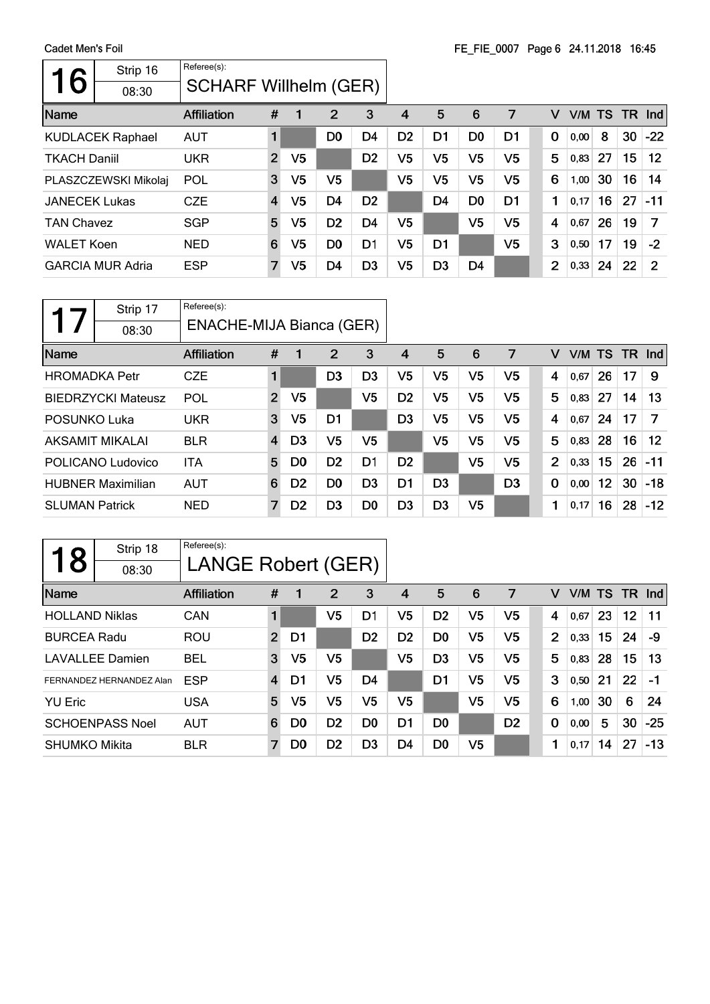| 6                    | Strip 16                | Referee(s):                  |                |                |                |                |                |                |                |                |                |        |    |     |               |
|----------------------|-------------------------|------------------------------|----------------|----------------|----------------|----------------|----------------|----------------|----------------|----------------|----------------|--------|----|-----|---------------|
|                      | 08:30                   | <b>SCHARF Willhelm (GER)</b> |                |                |                |                |                |                |                |                |                |        |    |     |               |
| Name                 |                         | <b>Affiliation</b>           | #              | 1              | $\overline{2}$ | 3              | 4              | 5              | 6              | 7              | v              | V/M TS |    | TR. | Ind           |
|                      | <b>KUDLACEK Raphael</b> | <b>AUT</b>                   |                |                | D <sub>0</sub> | D4             | D <sub>2</sub> | D1             | D <sub>0</sub> | D1             | 0              | 0,00   | 8  | 30  | $-22$         |
| <b>TKACH Daniil</b>  |                         | <b>UKR</b>                   | $\overline{2}$ | V <sub>5</sub> |                | D <sub>2</sub> | V5             | V5             | V <sub>5</sub> | V5             | 5              | 0,83   | 27 | 15  | 12            |
|                      | PLASZCZEWSKI Mikolaj    | POL                          | 3              | V5             | V5             |                | V <sub>5</sub> | V5             | V <sub>5</sub> | V5             | 6              | 1,00   | 30 | 16  | 14            |
| <b>JANECEK Lukas</b> |                         | <b>CZE</b>                   | $\overline{4}$ | V5             | D <sub>4</sub> | D <sub>2</sub> |                | D4             | D <sub>0</sub> | D <sub>1</sub> | 1              | 0,17   | 16 | 27  | $-11$         |
| <b>TAN Chavez</b>    |                         | <b>SGP</b>                   | 5              | V5             | D <sub>2</sub> | D <sub>4</sub> | V <sub>5</sub> |                | V <sub>5</sub> | V5             | 4              | 0,67   | 26 | 19  | 7             |
| <b>WALET Koen</b>    |                         | <b>NED</b>                   | 6              | V5             | D <sub>0</sub> | D1             | V5             | D <sub>1</sub> |                | V5             | 3              | 0,50   | 17 | 19  | $-2$          |
|                      | <b>GARCIA MUR Adria</b> | <b>ESP</b>                   | $\overline{7}$ | V5             | D <sub>4</sub> | D <sub>3</sub> | V5             | D <sub>3</sub> | D4             |                | $\overline{2}$ | 0,33   | 24 | 22  | $\mathcal{P}$ |

|                       | Strip 17                  | Referee(s):              |                |                |                |                |                |                |                |                |                |        |    |           |       |
|-----------------------|---------------------------|--------------------------|----------------|----------------|----------------|----------------|----------------|----------------|----------------|----------------|----------------|--------|----|-----------|-------|
|                       | 08:30                     | ENACHE-MIJA Bianca (GER) |                |                |                |                |                |                |                |                |                |        |    |           |       |
| Name                  |                           | <b>Affiliation</b>       | #              | 1              | 2              | 3              | 4              | 5              | 6              | 7              | v              | V/M TS |    | <b>TR</b> | Ind   |
| <b>HROMADKA Petr</b>  |                           | <b>CZE</b>               | 1              |                | D <sub>3</sub> | D3             | V5             | V5             | V5             | V5             | 4              | 0.67   | 26 | 17        | 9     |
|                       | <b>BIEDRZYCKI Mateusz</b> | POL                      | $\overline{2}$ | V <sub>5</sub> |                | V5             | D <sub>2</sub> | V <sub>5</sub> | V5             | V5             | 5              | 0,83   | 27 | 14        | 13    |
| POSUNKO Luka          |                           | <b>UKR</b>               | 3              | V5             | D1             |                | D <sub>3</sub> | V5             | V <sub>5</sub> | V <sub>5</sub> | 4              | 0.67   | 24 | 17        | 7     |
|                       | AKSAMIT MIKALAI           | <b>BLR</b>               | $\overline{4}$ | D <sub>3</sub> | V <sub>5</sub> | V5             |                | V5             | V <sub>5</sub> | V5             | 5              | 0,83   | 28 | 16        | 12    |
|                       | POLICANO Ludovico         | <b>ITA</b>               | 5              | D <sub>0</sub> | D <sub>2</sub> | D <sub>1</sub> | D <sub>2</sub> |                | V <sub>5</sub> | V <sub>5</sub> | $\overline{2}$ | 0,33   | 15 | 26        | $-11$ |
|                       | <b>HUBNER Maximilian</b>  | <b>AUT</b>               | 6              | D <sub>2</sub> | D <sub>0</sub> | D <sub>3</sub> | D1             | D <sub>3</sub> |                | D <sub>3</sub> | 0              | 0,00   | 12 | 30        | $-18$ |
| <b>SLUMAN Patrick</b> |                           | <b>NED</b>               | 7              | D <sub>2</sub> | D <sub>3</sub> | D0             | D <sub>3</sub> | D <sub>3</sub> | V5             |                | 1              | 0,17   | 16 | 28        | $-12$ |

| 18                    | Strip 18                 | Referee(s):        |                |                |                |                |                |                |                |                |             |      |    |                 |               |
|-----------------------|--------------------------|--------------------|----------------|----------------|----------------|----------------|----------------|----------------|----------------|----------------|-------------|------|----|-----------------|---------------|
|                       | 08:30                    | LANGE Robert (GER) |                |                |                |                |                |                |                |                |             |      |    |                 |               |
| Name                  |                          | Affiliation        | #              | 1              | 2              | 3              | 4              | 5              | 6              | 7              | v           |      |    |                 | V/M TS TR Ind |
| <b>HOLLAND Niklas</b> |                          | CAN                |                |                | V5             | D1             | V5             | D <sub>2</sub> | V5             | V <sub>5</sub> | 4           | 0,67 | 23 | 12 <sub>2</sub> | 11            |
| <b>BURCEA Radu</b>    |                          | ROU                | $\overline{2}$ | D1             |                | D <sub>2</sub> | D2             | D <sub>0</sub> | V <sub>5</sub> | V <sub>5</sub> | 2           | 0,33 | 15 | 24              | -9            |
|                       | <b>LAVALLEE Damien</b>   | <b>BEL</b>         | 3              | V <sub>5</sub> | V <sub>5</sub> |                | V <sub>5</sub> | D <sub>3</sub> | V <sub>5</sub> | V <sub>5</sub> | 5           | 0,83 | 28 | 15              | 13            |
|                       | FERNANDEZ HERNANDEZ Alan | <b>ESP</b>         | $\overline{4}$ | D1             | V5             | D4             |                | D1             | V <sub>5</sub> | V <sub>5</sub> | 3           | 0,50 | 21 | 22              | $-1$          |
| <b>YU Eric</b>        |                          | <b>USA</b>         | 5              | V <sub>5</sub> | V <sub>5</sub> | V <sub>5</sub> | V5             |                | V <sub>5</sub> | V <sub>5</sub> | 6           | 1,00 | 30 | 6               | 24            |
|                       | <b>SCHOENPASS Noel</b>   | <b>AUT</b>         | 6              | D <sub>0</sub> | D <sub>2</sub> | D <sub>0</sub> | D1             | D <sub>0</sub> |                | D <sub>2</sub> | $\mathbf 0$ | 0,00 | 5  | 30              | $-25$         |
| <b>SHUMKO Mikita</b>  |                          | <b>BLR</b>         | $\overline{7}$ | D <sub>0</sub> | D <sub>2</sub> | D <sub>3</sub> | D4             | D <sub>0</sub> | V5             |                | 1           | 0,17 | 14 | 27              | $-13$         |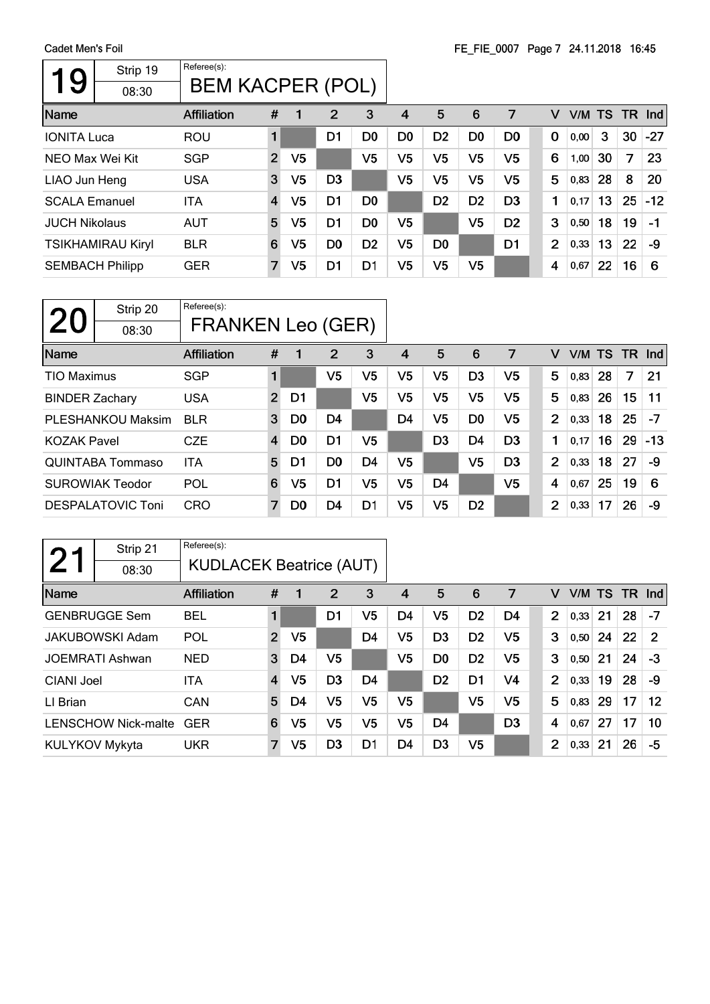| Strip 19<br>9<br>08:30   | Referee(s):<br><b>BEM KACPER (POL)</b> |                |                |                |                |                |                |                |                |                |        |    |           |       |
|--------------------------|----------------------------------------|----------------|----------------|----------------|----------------|----------------|----------------|----------------|----------------|----------------|--------|----|-----------|-------|
| Name                     | <b>Affiliation</b>                     | #              |                | 2              | 3              | 4              | 5              | 6              | 7              | v              | V/M TS |    | <b>TR</b> | Ind   |
| <b>IONITA Luca</b>       | <b>ROU</b>                             | $\blacksquare$ |                | D1             | D <sub>0</sub> | D <sub>0</sub> | D <sub>2</sub> | D <sub>0</sub> | D <sub>0</sub> | $\bf{0}$       | 0,00   | 3  | 30        | $-27$ |
| NEO Max Wei Kit          | <b>SGP</b>                             | $\overline{2}$ | V <sub>5</sub> |                | V5             | V5             | V5             | V5             | V5             | 6              | 1,00   | 30 | 7         | 23    |
| LIAO Jun Heng            | <b>USA</b>                             | 3              | V <sub>5</sub> | D <sub>3</sub> |                | V5             | V5             | V5             | V5             | 5              | 0,83   | 28 | 8         | 20    |
| <b>SCALA Emanuel</b>     | <b>ITA</b>                             | $\overline{4}$ | V <sub>5</sub> | D1             | D <sub>0</sub> |                | D <sub>2</sub> | D <sub>2</sub> | D <sub>3</sub> | 1              | 0,17   | 13 | 25        | $-12$ |
| <b>JUCH Nikolaus</b>     | <b>AUT</b>                             | 5              | V5             | D <sub>1</sub> | D <sub>0</sub> | V5             |                | V <sub>5</sub> | D <sub>2</sub> | 3              | 0,50   | 18 | 19        | $-1$  |
| <b>TSIKHAMIRAU Kiryl</b> | <b>BLR</b>                             | 6              | V5             | D <sub>0</sub> | D <sub>2</sub> | V <sub>5</sub> | D <sub>0</sub> |                | D <sub>1</sub> | $\overline{2}$ | 0,33   | 13 | 22        | -9    |
| <b>SEMBACH Philipp</b>   | <b>GER</b>                             | $\overline{7}$ | V <sub>5</sub> | D1             | D1             | V <sub>5</sub> | V5             | V <sub>5</sub> |                | 4              | 0,67   | 22 | 16        | 6     |

| 20                    | Strip 20<br>08:30        | Referee(s):<br><b>FRANKEN Leo (GER)</b> |                |                |                |                |    |                |                |                |                |   |      |     |     |            |
|-----------------------|--------------------------|-----------------------------------------|----------------|----------------|----------------|----------------|----|----------------|----------------|----------------|----------------|---|------|-----|-----|------------|
| Name                  |                          | <b>Affiliation</b>                      | #              | 1              | 2              | 3              | 4  | 5              | 6              | 7              |                | v | V/M  | TS. | TR. | <b>Ind</b> |
| <b>TIO Maximus</b>    |                          | <b>SGP</b>                              | 1              |                | V5             | V5             | V5 | V5             | D <sub>3</sub> | V <sub>5</sub> |                | 5 | 0,83 | 28  | 7   | 21         |
| <b>BINDER Zachary</b> |                          | <b>USA</b>                              | $\overline{2}$ | D1             |                | V5             | V5 | V5             | V <sub>5</sub> | V5             |                | 5 | 0,83 | 26  | 15  | 11         |
|                       | <b>PLESHANKOU Maksim</b> | <b>BLR</b>                              | 3              | D <sub>0</sub> | D <sub>4</sub> |                | D4 | V5             | D <sub>0</sub> | V5             | $\overline{2}$ |   | 0,33 | 18  | 25  | $-7$       |
| <b>KOZAK Pavel</b>    |                          | <b>CZE</b>                              | $\overline{4}$ | D <sub>0</sub> | D <sub>1</sub> | V5             |    | D <sub>3</sub> | D <sub>4</sub> | D <sub>3</sub> | 1              |   | 0,17 | 16  | 29  | $-13$      |
|                       | QUINTABA Tommaso         | <b>ITA</b>                              | 5              | D1             | D <sub>0</sub> | D <sub>4</sub> | V5 |                | V <sub>5</sub> | D <sub>3</sub> | $\overline{2}$ |   | 0,33 | 18  | 27  | -9         |
|                       | <b>SUROWIAK Teodor</b>   | POL                                     | 6              | V5             | D1             | V5             | V5 | D <sub>4</sub> |                | V <sub>5</sub> | 4              |   | 0,67 | 25  | 19  | 6          |
|                       | <b>DESPALATOVIC Toni</b> | <b>CRO</b>                              | 7              | D <sub>0</sub> | D <sub>4</sub> | D <sub>1</sub> | V5 | V5             | D <sub>2</sub> |                | $\overline{2}$ |   | 0,33 | 17  | 26  | -9         |

|                | Strip 21                   | Referee(s):                    |                         |                |                |    |    |                |                |                |                |        |    |           |                |
|----------------|----------------------------|--------------------------------|-------------------------|----------------|----------------|----|----|----------------|----------------|----------------|----------------|--------|----|-----------|----------------|
|                | 08:30                      | <b>KUDLACEK Beatrice (AUT)</b> |                         |                |                |    |    |                |                |                |                |        |    |           |                |
| Name           |                            | <b>Affiliation</b>             | #                       | 1              | $\overline{2}$ | 3  | 4  | 5              | 6              | 7              | v              | V/M TS |    | <b>TR</b> | Ind            |
|                | <b>GENBRUGGE Sem</b>       | <b>BEL</b>                     | 1                       |                | D1             | V5 | D4 | V5             | D <sub>2</sub> | D4             | $\overline{2}$ | 0,33   | 21 | 28        | -7             |
|                | <b>JAKUBOWSKI Adam</b>     | POL                            | $\overline{2}$          | V <sub>5</sub> |                | D4 | V5 | D <sub>3</sub> | D <sub>2</sub> | V5             | 3              | 0,50   | 24 | 22        | $\overline{2}$ |
|                | <b>JOEMRATI Ashwan</b>     | <b>NED</b>                     | 3                       | D4             | V <sub>5</sub> |    | V5 | D <sub>0</sub> | D <sub>2</sub> | V5             | 3              | 0,50   | 21 | 24        | $-3$           |
| CIANI Joel     |                            | <b>ITA</b>                     | $\overline{\mathbf{4}}$ | V5             | D <sub>3</sub> | D4 |    | D <sub>2</sub> | D <sub>1</sub> | V4             | $\overline{2}$ | 0,33   | 19 | 28        | -9             |
| LI Brian       |                            | CAN                            | 5                       | D4             | V <sub>5</sub> | V5 | V5 |                | V <sub>5</sub> | V5             | 5              | 0,83   | 29 | 17        | $12 \,$        |
|                | <b>LENSCHOW Nick-malte</b> | <b>GER</b>                     | 6                       | V5             | V5             | V5 | V5 | D <sub>4</sub> |                | D <sub>3</sub> | 4              | 0,67   | 27 | 17        | 10             |
| KULYKOV Mykyta |                            | <b>UKR</b>                     | $\overline{7}$          | V5             | D <sub>3</sub> | D1 | D4 | D <sub>3</sub> | V <sub>5</sub> |                | $\overline{2}$ | 0,33   | 21 | 26        | -5             |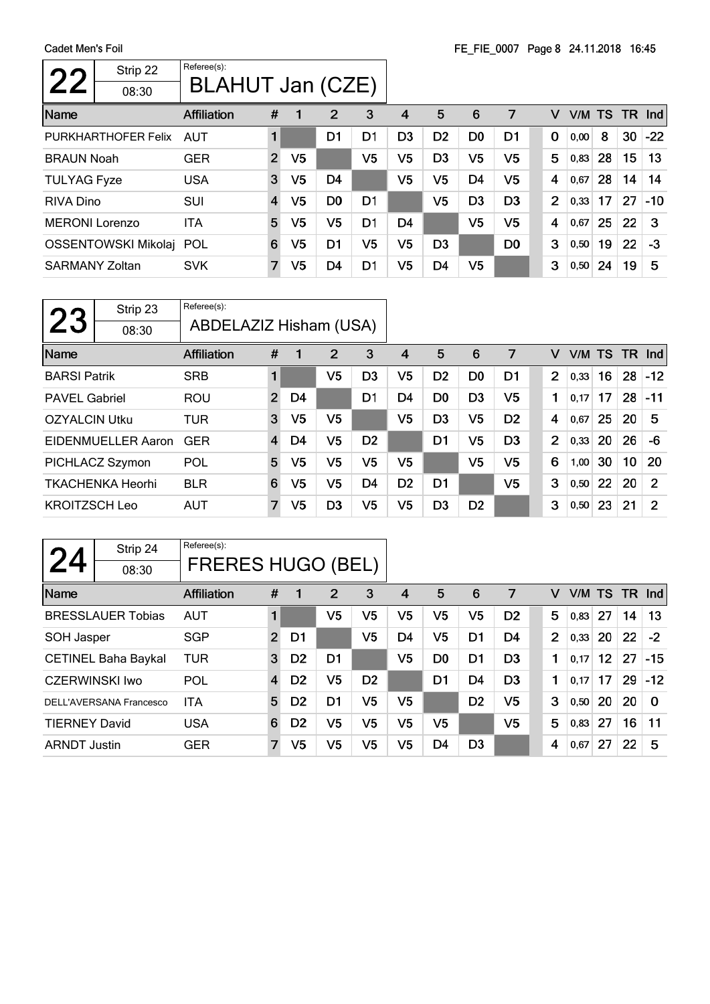$\Gamma$ 

| Strip 22<br>22<br>08:30 | Referee(s):<br>BLAHUT Jan (CZE) |                |                |                |                |                |                |                |                |                |                |      |           |     |       |
|-------------------------|---------------------------------|----------------|----------------|----------------|----------------|----------------|----------------|----------------|----------------|----------------|----------------|------|-----------|-----|-------|
| Name                    | <b>Affiliation</b>              | #              |                | 2              | 3              | 4              | 5              | 6              | 7              |                | v              | V/M  | <b>TS</b> | TR. | Ind   |
| PURKHARTHOFER Felix     | AUT                             |                |                | D1             | D <sub>1</sub> | D <sub>3</sub> | D <sub>2</sub> | D <sub>0</sub> | D <sub>1</sub> |                | $\Omega$       | 0,00 | 8         | 30  | $-22$ |
| <b>BRAUN Noah</b>       | <b>GER</b>                      | $\overline{2}$ | V5             |                | V5             | V5             | D <sub>3</sub> | V5             | V5             |                | 5              | 0,83 | 28        | 15  | 13    |
| <b>TULYAG Fyze</b>      | <b>USA</b>                      | 3              | V <sub>5</sub> | D <sub>4</sub> |                | V5             | V5             | D <sub>4</sub> | V5             | $\overline{4}$ |                | 0.67 | 28        | 14  | 14    |
| <b>RIVA Dino</b>        | SUI                             | $\overline{4}$ | V5             | D <sub>0</sub> | D <sub>1</sub> |                | V5             | D <sub>3</sub> | D <sub>3</sub> |                | $\overline{2}$ | 0,33 | 17        | 27  | $-10$ |
| <b>MERONI Lorenzo</b>   | <b>ITA</b>                      | 5              | V5             | V5             | D <sub>1</sub> | D4             |                | V <sub>5</sub> | V <sub>5</sub> |                | 4              | 0.67 | 25        | 22  | 3     |
| OSSENTOWSKI Mikolaj POL |                                 | 6              | V5             | D <sub>1</sub> | V5             | V5             | D <sub>3</sub> |                | D <sub>0</sub> |                | 3              | 0,50 | 19        | 22  | -3    |
| <b>SARMANY Zoltan</b>   | <b>SVK</b>                      | 7              | V5             | D4             | D1             | V5             | D4             | V <sub>5</sub> |                |                | 3              | 0,50 | 24        | 19  | 5     |

|                      | Strip 23                | Referee(s):            |                |    |                |                |                |                |                |                |                |        |    |                 |                |
|----------------------|-------------------------|------------------------|----------------|----|----------------|----------------|----------------|----------------|----------------|----------------|----------------|--------|----|-----------------|----------------|
| <b>23</b>            | 08:30                   | ABDELAZIZ Hisham (USA) |                |    |                |                |                |                |                |                |                |        |    |                 |                |
| Name                 |                         | <b>Affiliation</b>     | #              | 1  | 2              | 3              | 4              | 5              | 6              | 7              | v              | V/M TS |    | <b>TR</b>       | Ind            |
| <b>BARSI Patrik</b>  |                         | <b>SRB</b>             | 1              |    | V5             | D <sub>3</sub> | V <sub>5</sub> | D <sub>2</sub> | D <sub>0</sub> | D1             | $\overline{2}$ | 0,33   | 16 | 28              | $-12$          |
| <b>PAVEL Gabriel</b> |                         | <b>ROU</b>             | $\overline{2}$ | D4 |                | D1             | D4             | D <sub>0</sub> | D <sub>3</sub> | V <sub>5</sub> | 1              | 0,17   | 17 | 28              | $-11$          |
| <b>OZYALCIN Utku</b> |                         | <b>TUR</b>             | 3              | V5 | V5             |                | V5             | D <sub>3</sub> | V5             | D <sub>2</sub> | 4              | 0,67   | 25 | 20              | 5              |
|                      | EIDENMUELLER Aaron      | <b>GER</b>             | $\overline{4}$ | D4 | V5             | D <sub>2</sub> |                | D <sub>1</sub> | V5             | D <sub>3</sub> | $\overline{2}$ | 0,33   | 20 | 26              | $-6$           |
|                      | PICHLACZ Szymon         | POL                    | 5              | V5 | V5             | V5             | V <sub>5</sub> |                | V <sub>5</sub> | V <sub>5</sub> | 6              | 1,00   | 30 | 10 <sub>1</sub> | 20             |
|                      | <b>TKACHENKA Heorhi</b> | <b>BLR</b>             | 6              | V5 | V5             | D <sub>4</sub> | D <sub>2</sub> | D1             |                | V <sub>5</sub> | 3              | 0,50   | 22 | 20              | $\overline{2}$ |
| <b>KROITZSCH Leo</b> |                         | <b>AUT</b>             | $\overline{7}$ | V5 | D <sub>3</sub> | V5             | V <sub>5</sub> | D <sub>3</sub> | D <sub>2</sub> |                | 3              | 0, 50  | 23 | 21              | 2              |

| 24                    | Strip 24                   | Referee(s):              |                |                |                |                |                |                |                |                |   |        |                 |      |          |
|-----------------------|----------------------------|--------------------------|----------------|----------------|----------------|----------------|----------------|----------------|----------------|----------------|---|--------|-----------------|------|----------|
|                       | 08:30                      | <b>FRERES HUGO (BEL)</b> |                |                |                |                |                |                |                |                |   |        |                 |      |          |
| Name                  |                            | <b>Affiliation</b>       | #              | 1              | 2              | 3              | 4              | 5              | 6              | 7              | v | V/M TS |                 | - TR | nd       |
|                       | <b>BRESSLAUER Tobias</b>   | <b>AUT</b>               | 1              |                | V5             | V5             | V5             | V5             | V <sub>5</sub> | D <sub>2</sub> | 5 | 0,83   | 27              | 14   | 13       |
| SOH Jasper            |                            | <b>SGP</b>               | $\overline{2}$ | D1             |                | V5             | D4             | V5             | D1             | D4             | 2 | 0,33   | <b>20</b>       | 22   | $-2$     |
|                       | <b>CETINEL Baha Baykal</b> | <b>TUR</b>               | 3              | D <sub>2</sub> | D <sub>1</sub> |                | V5             | D <sub>0</sub> | D1             | D <sub>3</sub> | 1 | 0,17   | 12 <sup>°</sup> | 27   | $-15$    |
| <b>CZERWINSKI Iwo</b> |                            | POL                      | $\overline{4}$ | D <sub>2</sub> | V5             | D <sub>2</sub> |                | D <sub>1</sub> | D4             | D <sub>3</sub> | 1 | 0.17   | 17              | 29   | $-12$    |
|                       | DELL'AVERSANA Francesco    | <b>ITA</b>               | 5              | D <sub>2</sub> | D <sub>1</sub> | V <sub>5</sub> | V5             |                | D <sub>2</sub> | V <sub>5</sub> | 3 | 0,50   | <b>20</b>       | 20   | $\Omega$ |
| <b>TIERNEY David</b>  |                            | <b>USA</b>               | 6              | D <sub>2</sub> | V5             | V5             | V <sub>5</sub> | V5             |                | V <sub>5</sub> | 5 | 0,83   | 27              | 16   | 11       |
| <b>ARNDT Justin</b>   |                            | <b>GER</b>               | 7              | V <sub>5</sub> | V5             | V5             | V5             | D <sub>4</sub> | D3             |                | 4 | 0,67   | 27              | 22   | 5        |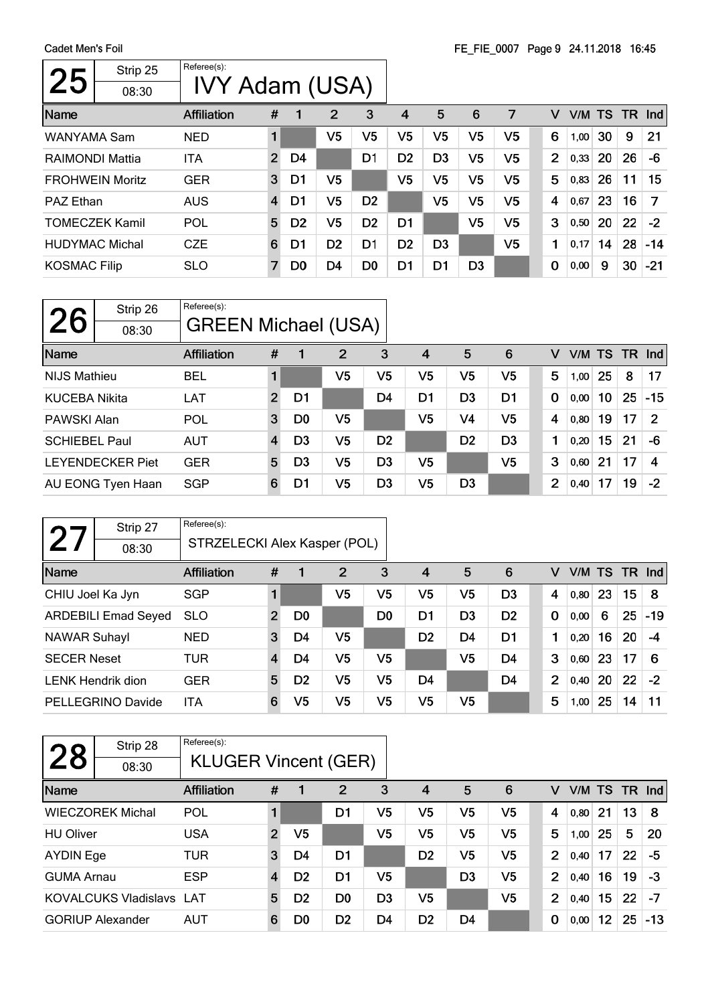$\Gamma$ 

| 25                     | Strip 25<br>08:30 | Referee(s):<br>IVY Adam (USA) |                |                |                |                |                |                |                |                |                |      |           |     |            |
|------------------------|-------------------|-------------------------------|----------------|----------------|----------------|----------------|----------------|----------------|----------------|----------------|----------------|------|-----------|-----|------------|
| Name                   |                   | <b>Affiliation</b>            | #              | 1              | 2              | 3              | 4              | 5              | 6              | 7              | v              | V/M  | <b>TS</b> | TR. | <b>Ind</b> |
| WANYAMA Sam            |                   | <b>NED</b>                    |                |                | V <sub>5</sub> | V5             | V5             | V5             | V <sub>5</sub> | V <sub>5</sub> | 6              | 1,00 | 30        | 9   | 21         |
| RAIMONDI Mattia        |                   | ITA                           | $\overline{2}$ | D4             |                | D <sub>1</sub> | D <sub>2</sub> | D <sub>3</sub> | V <sub>5</sub> | V5             | $\overline{2}$ | 0.33 | 20        | 26  | -6         |
| <b>FROHWEIN Moritz</b> |                   | <b>GER</b>                    | 3              | D1             | V5             |                | V <sub>5</sub> | V5             | V <sub>5</sub> | V <sub>5</sub> | 5              | 0,83 | 26        | 11  | 15         |
| <b>PAZ Ethan</b>       |                   | <b>AUS</b>                    | $\overline{4}$ | D1             | V5             | D <sub>2</sub> |                | V5             | V <sub>5</sub> | V <sub>5</sub> | 4              | 0,67 | 23        | 16  | 7          |
| <b>TOMECZEK Kamil</b>  |                   | POL                           | 5              | D <sub>2</sub> | V5             | D <sub>2</sub> | D <sub>1</sub> |                | V <sub>5</sub> | V5             | 3              | 0,50 | 20        | 22  | $-2$       |
| <b>HUDYMAC Michal</b>  |                   | <b>CZE</b>                    | 6              | D1             | D <sub>2</sub> | D <sub>1</sub> | D <sub>2</sub> | D <sub>3</sub> |                | V <sub>5</sub> | 1              | 0,17 | 14        | 28  | $-14$      |
| <b>KOSMAC Filip</b>    |                   | <b>SLO</b>                    | 7              | D <sub>0</sub> | D4             | D <sub>0</sub> | D1             | D1             | D <sub>3</sub> |                | 0              | 0,00 | 9         | 30  | $-21$      |

| <b>26</b>            | Strip 26<br>08:30       | Referee(s):<br><b>GREEN Michael (USA)</b> |                |                |                |                |                |                |                |             |      |    |    |                 |
|----------------------|-------------------------|-------------------------------------------|----------------|----------------|----------------|----------------|----------------|----------------|----------------|-------------|------|----|----|-----------------|
| Name                 |                         | <b>Affiliation</b>                        | #              |                | 2              | 3              | 4              | 5              | 6              | v           |      |    |    | $V/M$ TS TR Ind |
| <b>NIJS Mathieu</b>  |                         | <b>BEL</b>                                |                |                | V <sub>5</sub> | V5             | V5             | V <sub>5</sub> | V5             | 5           | 1,00 | 25 | 8  | 17              |
| <b>KUCEBA Nikita</b> |                         | LAT                                       | $\overline{2}$ | D1             |                | D <sub>4</sub> | D1             | D <sub>3</sub> | D <sub>1</sub> | $\mathbf 0$ | 0.00 | 10 | 25 | $-15$           |
| PAWSKI Alan          |                         | POL                                       | 3              | D <sub>0</sub> | V5             |                | V <sub>5</sub> | V <sub>4</sub> | V <sub>5</sub> | 4           | 0,80 | 19 | 17 | 2               |
| <b>SCHIEBEL Paul</b> |                         | <b>AUT</b>                                | 4              | D <sub>3</sub> | V <sub>5</sub> | D <sub>2</sub> |                | D <sub>2</sub> | D <sub>3</sub> | 1           | 0.20 | 15 | 21 | $-6$            |
|                      | <b>LEYENDECKER Piet</b> | <b>GER</b>                                | 5              | D <sub>3</sub> | V <sub>5</sub> | D <sub>3</sub> | V5             |                | V <sub>5</sub> | 3           | 0,60 | 21 | 17 | 4               |
|                      | AU EONG Tyen Haan       | <b>SGP</b>                                | 6              | D1             | V <sub>5</sub> | D <sub>3</sub> | V <sub>5</sub> | D <sub>3</sub> |                | 2           | 0,40 | 17 | 19 | $-2$            |

|                     | Strip 27                   | Referee(s):                  |                         |                |                |                |                |                |                |                |        |    |     |       |
|---------------------|----------------------------|------------------------------|-------------------------|----------------|----------------|----------------|----------------|----------------|----------------|----------------|--------|----|-----|-------|
| $\bf{2}$            | 08:30                      | STRZELECKI Alex Kasper (POL) |                         |                |                |                |                |                |                |                |        |    |     |       |
| Name                |                            | <b>Affiliation</b>           | #                       |                | $\overline{2}$ | 3              | $\overline{4}$ | 5              | 6              | v              | V/M TS |    | TR. | Ind   |
| CHIU Joel Ka Jyn    |                            | <b>SGP</b>                   |                         |                | V5             | V5             | V <sub>5</sub> | V5             | D <sub>3</sub> | 4              | 0,80   | 23 | 15  | 8     |
|                     | <b>ARDEBILI Emad Seyed</b> | <b>SLO</b>                   | $\overline{2}$          | D <sub>0</sub> |                | D <sub>0</sub> | D1             | D <sub>3</sub> | D <sub>2</sub> | $\bf{0}$       | 0,00   | 6  | 25  | $-19$ |
| <b>NAWAR Suhayl</b> |                            | <b>NED</b>                   | 3                       | D4             | V5             |                | D <sub>2</sub> | D <sub>4</sub> | D <sub>1</sub> |                | 0,20   | 16 | 20  | -4    |
| <b>SECER Neset</b>  |                            | TUR                          | $\overline{\mathbf{4}}$ | D4             | V5             | V5             |                | V5             | D4             | 3              | 0,60   | 23 | 17  | 6     |
|                     | <b>LENK Hendrik dion</b>   | <b>GER</b>                   | 5                       | D <sub>2</sub> | V <sub>5</sub> | V <sub>5</sub> | D4             |                | D <sub>4</sub> | $\overline{2}$ | 0,40   | 20 | 22  | $-2$  |
|                     | <b>PELLEGRINO Davide</b>   | <b>ITA</b>                   | 6                       | V5             | V <sub>5</sub> | V5             | V5             | V5             |                | 5              | 1,00   | 25 | 14  | 11    |

| 28                | Strip 28                    | Referee(s):                 |                |                |                |                |                |                |                |                |      |           |     |       |
|-------------------|-----------------------------|-----------------------------|----------------|----------------|----------------|----------------|----------------|----------------|----------------|----------------|------|-----------|-----|-------|
|                   | 08:30                       | <b>KLUGER Vincent (GER)</b> |                |                |                |                |                |                |                |                |      |           |     |       |
| Name              |                             | <b>Affiliation</b>          | #              |                | $\overline{2}$ | 3              | 4              | 5              | 6              | v              | V/M  | <b>TS</b> | TR. | Ind   |
|                   | <b>WIECZOREK Michal</b>     | POL                         |                |                | D1             | V5             | V5             | V5             | V <sub>5</sub> | $\overline{4}$ | 0,80 | 21        | 13  | 8     |
| <b>HU Oliver</b>  |                             | <b>USA</b>                  | $\overline{2}$ | V <sub>5</sub> |                | V5             | V5             | V5             | V <sub>5</sub> | 5              | 1,00 | 25        | 5   | 20    |
| <b>AYDIN Ege</b>  |                             | TUR                         | 3              | D4             | D1             |                | D <sub>2</sub> | V5             | V <sub>5</sub> | $\overline{2}$ | 0,40 | 17        | 22  | -5    |
| <b>GUMA Arnau</b> |                             | <b>ESP</b>                  | $\overline{4}$ | D <sub>2</sub> | D1             | V5             |                | D <sub>3</sub> | V <sub>5</sub> | $\overline{2}$ | 0,40 | 16        | 19  | -3    |
|                   | <b>KOVALCUKS Vladislavs</b> | LAT                         | 5              | D <sub>2</sub> | D <sub>0</sub> | D <sub>3</sub> | V5             |                | V5             | $\overline{2}$ | 0,40 | 15        | 22  | $-7$  |
|                   | <b>GORIUP Alexander</b>     | AUT                         | 6              | D <sub>0</sub> | D <sub>2</sub> | D <sub>4</sub> | D <sub>2</sub> | D4             |                | 0              | 0,00 | 12        | 25  | $-13$ |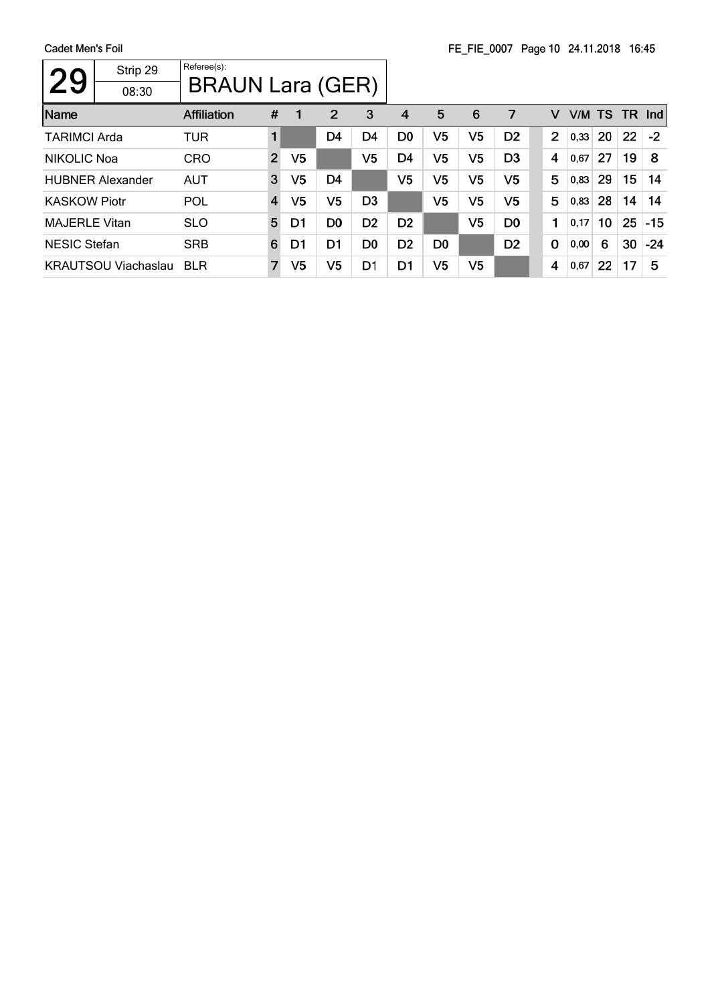| <b>29</b>            | Strip 29<br>08:30          | Referee(s):<br><b>BRAUN Lara (GER)</b> |                |                |                |                |                |                |                |                |             |      |           |     |       |
|----------------------|----------------------------|----------------------------------------|----------------|----------------|----------------|----------------|----------------|----------------|----------------|----------------|-------------|------|-----------|-----|-------|
| Name                 |                            | <b>Affiliation</b>                     | #              |                | $\overline{2}$ | 3              | 4              | 5              | 6              | 7              | V           | V/M  | <b>TS</b> | TR. | Ind   |
| <b>TARIMCI Arda</b>  |                            | TUR                                    | 1              |                | D <sub>4</sub> | D <sub>4</sub> | D <sub>0</sub> | V <sub>5</sub> | V5             | D <sub>2</sub> | 2           | 0,33 | 20        | 22  | $-2$  |
| NIKOLIC Noa          |                            | <b>CRO</b>                             | $\overline{2}$ | V <sub>5</sub> |                | V5             | D4             | V <sub>5</sub> | V <sub>5</sub> | D <sub>3</sub> | 4           | 0,67 | 27        | 19  | 8     |
|                      | <b>HUBNER Alexander</b>    | <b>AUT</b>                             | 3              | V5             | D <sub>4</sub> |                | V <sub>5</sub> | V <sub>5</sub> | V <sub>5</sub> | V5             | 5           | 0,83 | 29        | 15  | 14    |
| <b>KASKOW Piotr</b>  |                            | POL                                    | $\overline{4}$ | V5             | V5             | D <sub>3</sub> |                | V <sub>5</sub> | V <sub>5</sub> | V5             | 5           | 0,83 | 28        | 14  | 14    |
| <b>MAJERLE Vitan</b> |                            | <b>SLO</b>                             | 5              | D1             | D <sub>0</sub> | D <sub>2</sub> | D <sub>2</sub> |                | V <sub>5</sub> | D <sub>0</sub> | 1           | 0,17 | 10        | 25  | $-15$ |
| <b>NESIC Stefan</b>  |                            | <b>SRB</b>                             | 6              | D1             | D1             | D0             | D <sub>2</sub> | D0             |                | D <sub>2</sub> | $\mathbf 0$ | 0,00 | 6         | 30  | $-24$ |
|                      | <b>KRAUTSOU Viachaslau</b> | <b>BLR</b>                             | $\overline{7}$ | V5             | V <sub>5</sub> | D1             | D <sub>1</sub> | V5             | V5             |                | 4           | 0,67 | 22        | 17  | 5     |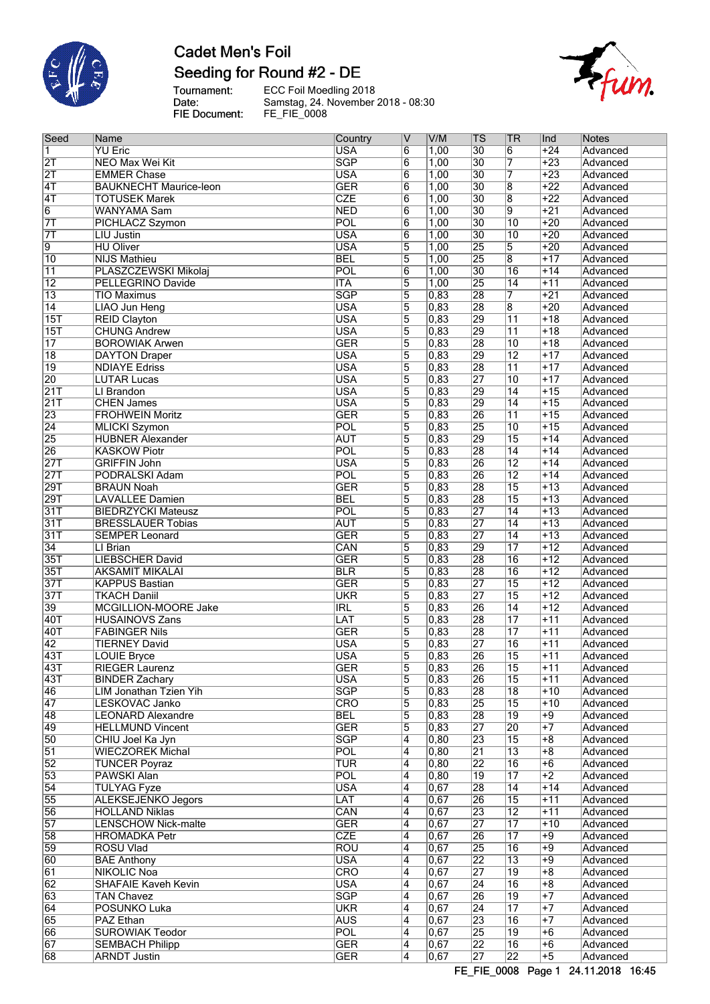

# **Cadet Men's Foil** Seeding for Round #2 - DE

fum.

Tournament:<br>Date:<br>FIE Document:

ECC Foil Moedling 2018 Samstag, 24. November 2018 - 08:30 FE\_FIE\_0008

| Seed             | Name                                       | Country                        | IV                  | V/M            | <b>TS</b>       | <b>TR</b>                          | Ind              | Notes                |
|------------------|--------------------------------------------|--------------------------------|---------------------|----------------|-----------------|------------------------------------|------------------|----------------------|
| 1                | <b>YU Eric</b>                             | <b>USA</b>                     | $\overline{6}$      | 1,00           | 30              | $6\overline{6}$                    | $+24$            | Advanced             |
| $\overline{2T}$  | <b>NEO Max Wei Kit</b>                     | $\overline{\text{SGP}}$        | $6\overline{6}$     | 1,00           | 30              | 7                                  | $+23$            | Advanced             |
| $\overline{2T}$  | <b>EMMER Chase</b>                         | <b>USA</b>                     | 6                   | 1,00           | 30              | 7                                  | $+23$            | Advanced             |
| $\overline{4T}$  | <b>BAUKNECHT Maurice-leon</b>              | <b>GER</b>                     | $\overline{6}$      | 1,00           | 30              | $\overline{8}$                     | $+22$            | Advanced             |
| $\overline{4T}$  | <b>TOTUSEK Marek</b>                       | CZE                            | $\overline{6}$      | 1,00           | 30              | $\overline{8}$                     | $+22$            | Advanced             |
| $\overline{6}$   | WANYAMA Sam                                | <b>NED</b>                     | 6                   | 1,00           | $\overline{30}$ | $\overline{9}$                     | $+21$            | Advanced             |
| $\overline{7}$   | PICHLACZ Szymon                            | POL                            | $\overline{6}$      | 1,00           | 30              | $\overline{10}$                    | $+20$            | Advanced             |
| $\overline{7}$   | <b>LIU Justin</b>                          | <b>USA</b>                     | $\overline{6}$      | 1,00           | 30              | 10                                 | $+20$            | Advanced             |
| $\overline{9}$   | <b>HU Oliver</b>                           | <b>USA</b>                     | $\overline{5}$      | 1,00           | 25              | $\overline{5}$                     | $+20$            | Advanced             |
| $\overline{10}$  | <b>NIJS Mathieu</b>                        | <b>BEL</b>                     | $\overline{5}$      | 1,00           | 25              | $\overline{8}$                     | $+17$            | Advanced             |
| $\overline{11}$  | PLASZCZEWSKI Mikolaj                       | POL                            | $\overline{6}$      | 1,00           | 30              | $\overline{16}$                    | $+14$            | Advanced             |
| $\overline{12}$  | <b>PELLEGRINO Davide</b>                   | <b>ITA</b>                     | 5                   | 1,00           | 25              | $\overline{14}$                    | $+11$            | Advanced             |
| $\overline{13}$  | <b>TIO Maximus</b>                         | $\overline{\text{SGP}}$        | 5                   | 0,83           | 28              | 7                                  | $+21$            | Advanced             |
| $\overline{14}$  | <b>LIAO Jun Heng</b>                       | <b>USA</b>                     | $\overline{5}$      | 0,83           | 28              | $\overline{8}$                     | $+20$            | Advanced             |
| 15T              | <b>REID Clayton</b>                        | <b>USA</b>                     | 5                   | 0,83           | 29              | $\overline{11}$                    | $+18$            | Advanced             |
| $\overline{15T}$ | <b>CHUNG Andrew</b>                        | <b>USA</b>                     | $\overline{5}$      | 0,83           | 29              | $\overline{11}$                    | $+18$            | Advanced             |
| 17               | <b>BOROWIAK Arwen</b>                      | $\overline{\mathsf{GER}}$      | $\overline{5}$      | 0,83           | 28              | $\overline{10}$                    | $\overline{+18}$ | Advanced             |
| $\overline{18}$  | <b>DAYTON Draper</b>                       | <b>USA</b>                     | 5                   | 0,83           | 29              | $\overline{12}$                    | $+17$            | Advanced             |
| $\overline{19}$  | <b>NDIAYE Edriss</b>                       | <b>USA</b>                     | $\overline{5}$      | 0,83           | 28              | $\overline{11}$                    | $+17$            | Advanced             |
| 20               | <b>LUTAR Lucas</b>                         | <b>USA</b>                     | 5                   | 0,83           | 27              | $\overline{10}$                    | $+17$            | Advanced             |
| 21T              | LI Brandon                                 | <b>USA</b>                     | 5                   | 0,83           | 29              | $\overline{14}$                    | $+15$            | Advanced             |
| 21T              | <b>CHEN James</b>                          | <b>USA</b>                     | $\overline{5}$      | 0,83           | 29              | $\overline{14}$                    | $+15$            | Advanced             |
| $\overline{23}$  | <b>FROHWEIN Moritz</b>                     | <b>GER</b>                     | 5                   | 0,83           | 26              | $\overline{11}$                    | $+15$            | Advanced             |
| $\overline{24}$  | <b>MLICKI Szymon</b>                       | POL                            | 5                   | 0,83           | 25              | $\overline{10}$                    | $+15$            | Advanced             |
| $\overline{25}$  | <b>HUBNER Alexander</b>                    | <b>AUT</b><br>$\overline{POL}$ | $\overline{5}$      | 0,83           | 29<br>28        | $\overline{15}$<br>$\overline{14}$ | $+14$            | Advanced             |
| 26<br>27T        | <b>KASKOW Piotr</b><br><b>GRIFFIN John</b> | <b>USA</b>                     | $\overline{5}$      | 0,83<br>0,83   | 26              | $\overline{12}$                    | $+14$<br>$+14$   | Advanced             |
| 27T              | PODRALSKI Adam                             | POL                            | 5<br>$\overline{5}$ | 0,83           | 26              | $\overline{12}$                    | $+14$            | Advanced<br>Advanced |
| 29T              | <b>BRAUN Noah</b>                          | <b>GER</b>                     | 5                   | 0,83           | 28              | $\overline{15}$                    | $+13$            | Advanced             |
| 29T              | <b>LAVALLEE Damien</b>                     | <b>BEL</b>                     | 5                   | 0,83           | 28              | $\overline{15}$                    | $+13$            | Advanced             |
| 31T              | <b>BIEDRZYCKI Mateusz</b>                  | POL                            | 5                   | 0,83           | $\overline{27}$ | $\overline{14}$                    | $+13$            | Advanced             |
| 31T              | <b>BRESSLAUER Tobias</b>                   | <b>AUT</b>                     | $\overline{5}$      | 0,83           | 27              | $\overline{14}$                    | $+13$            | Advanced             |
| 31T              | <b>SEMPER Leonard</b>                      | <b>GER</b>                     | $\overline{5}$      | 0,83           | 27              | $\overline{14}$                    | $\overline{+13}$ | Advanced             |
| $\overline{34}$  | LI Brian                                   | CAN                            | $\overline{5}$      | 0,83           | 29              | $\overline{17}$                    | $+12$            | Advanced             |
| 35T              | <b>LIEBSCHER David</b>                     | <b>GER</b>                     | 5                   | 0,83           | 28              | $\overline{16}$                    | $+12$            | Advanced             |
| 35T              | <b>AKSAMIT MIKALAI</b>                     | <b>BLR</b>                     | $\overline{5}$      | 0,83           | 28              | $\overline{16}$                    | $+12$            | Advanced             |
| 37T              | <b>KAPPUS Bastian</b>                      | <b>GER</b>                     | 5                   | 0,83           | 27              | $\overline{15}$                    | $+12$            | Advanced             |
| 37T              | <b>TKACH Daniil</b>                        | <b>UKR</b>                     | 5                   | 0,83           | 27              | $\overline{15}$                    | $+12$            | Advanced             |
| $\overline{39}$  | MCGILLION-MOORE Jake                       | IRL                            | $\overline{5}$      | 0,83           | 26              | $\overline{14}$                    | $+12$            | Advanced             |
| 40T              | <b>HUSAINOVS Zans</b>                      | LAT                            | 5                   | 0,83           | 28              | $\overline{17}$                    | $+11$            | Advanced             |
| 40T              | <b>FABINGER Nils</b>                       | <b>GER</b>                     | $\overline{5}$      | 0,83           | 28              | $\overline{17}$                    | $+11$            | Advanced             |
| $\overline{42}$  | <b>TIERNEY David</b>                       | <b>USA</b>                     | 5                   | 0,83           | 27              | $\overline{16}$                    | $+11$            | Advanced             |
| 43T              | <b>LOUIE Bryce</b>                         | <b>USA</b>                     | 5                   | 0,83           | 26              | $\overline{15}$                    | $+11$            | Advanced             |
| 43T              | RIEGER Laurenz                             | GER                            | 5                   | $ 0,83\rangle$ | 26              | 15                                 | +11              | Advanced             |
| 43T              | <b>BINDER Zachary</b>                      | <b>USA</b>                     | 5                   | 0,83           | 26              | $\overline{15}$                    | $+11$            | Advanced             |
| 46               | LIM Jonathan Tzien Yih                     | $\overline{\text{SGP}}$        | 5                   | 0,83           | 28              | $\overline{18}$                    | $+10$            | Advanced             |
| 47               | LESKOVAC Janko                             | <b>CRO</b>                     | $\overline{5}$      | $ 0,83\rangle$ | 25              | $\overline{15}$                    | $+10$            | Advanced             |
| 48               | <b>LEONARD Alexandre</b>                   | <b>BEL</b>                     | 5                   | 0,83           | 28              | $\overline{19}$                    | $+9$             | Advanced             |
| 49               | <b>HELLMUND Vincent</b>                    | <b>GER</b>                     | 5                   | 0,83           | 27              | $\overline{20}$                    | $+7$             | Advanced             |
| 50               | CHIU Joel Ka Jyn                           | $\overline{\text{SGP}}$        | 4                   | 0,80           | 23              | $\overline{15}$                    | $+8$             | Advanced             |
| $\overline{51}$  | <b>WIECZOREK Michal</b>                    | POL                            | 4                   | 0,80           | $\overline{21}$ | $\overline{13}$                    | $+8$             | Advanced             |
| $\overline{52}$  | <b>TUNCER Poyraz</b>                       | TUR                            | 4                   | 0,80           | 22              | $\overline{16}$                    | $\overline{+6}$  | Advanced             |
| $\overline{53}$  | PAWSKI Alan                                | $\overline{POL}$               | 4                   | 0,80           | $\overline{19}$ | 17                                 | $+2$             | Advanced             |
| $\overline{54}$  | <b>TULYAG Fyze</b>                         | <b>USA</b>                     | 4                   | 0,67           | 28              | $\overline{14}$                    | $+14$            | Advanced             |
| 55               | <b>ALEKSEJENKO Jegors</b>                  | LAT                            | $\overline{4}$      | 0,67           | 26              | $\overline{15}$                    | $+11$            | Advanced             |
| 56               | <b>HOLLAND Niklas</b>                      | CAN                            | 4                   | 0,67           | 23              | $\overline{12}$                    | $+11$            | Advanced             |
| 57               | <b>LENSCHOW Nick-malte</b>                 | <b>GER</b>                     | 4                   | 0,67           | $\overline{27}$ | $\overline{17}$                    | $+10$            | Advanced             |
| 58               | <b>HROMADKA Petr</b>                       | <b>CZE</b>                     | $\overline{4}$      | 0,67           | 26              | $\overline{17}$                    | $+9$             | Advanced             |
| 59               | <b>ROSU Vlad</b>                           | $\overline{\text{ROU}}$        | 4                   | 0,67           | 25              | $\overline{16}$                    | $+9$             | Advanced             |
| 60               | <b>BAE Anthony</b>                         | <b>USA</b>                     | 4                   | 0,67           | $\overline{22}$ | $\overline{13}$                    | $+9$             | Advanced             |
| 61               | NIKOLIC Noa                                | $\overline{\text{CRO}}$        | 4                   | 0,67           | $\overline{27}$ | $\overline{19}$                    | $\overline{+8}$  | Advanced             |
| 62               | <b>SHAFAIE Kaveh Kevin</b>                 | <b>USA</b>                     | 4                   | 0,67           | $\overline{24}$ | 16                                 | $+8$             | Advanced             |
| 63               | <b>TAN Chavez</b>                          | $\overline{\text{SGP}}$        | 4                   | 0,67           | 26              | 19                                 | $+7$             | Advanced             |
| 64               | POSUNKO Luka                               | <b>UKR</b>                     | 4                   | 0,67           | 24              | $\overline{17}$                    | $+7$             | Advanced             |
| 65               | PAZ Ethan                                  | <b>AUS</b>                     | 4                   | 0,67           | 23              | $\overline{16}$                    | $+7$             | Advanced             |
| 66               | <b>SUROWIAK Teodor</b>                     | <b>POL</b>                     | 4                   | 0,67           | 25              | $\overline{19}$                    | $+6$             | Advanced             |
| $\overline{67}$  | <b>SEMBACH Philipp</b>                     | <b>GER</b>                     | $\overline{4}$      | 0,67           | $\overline{22}$ | $\overline{16}$                    | $+6$             | Advanced             |
| 68               | <b>ARNDT Justin</b>                        | <b>GER</b>                     | 4                   | 0,67           | $\overline{27}$ | $\overline{22}$                    | $+5$             | Advanced             |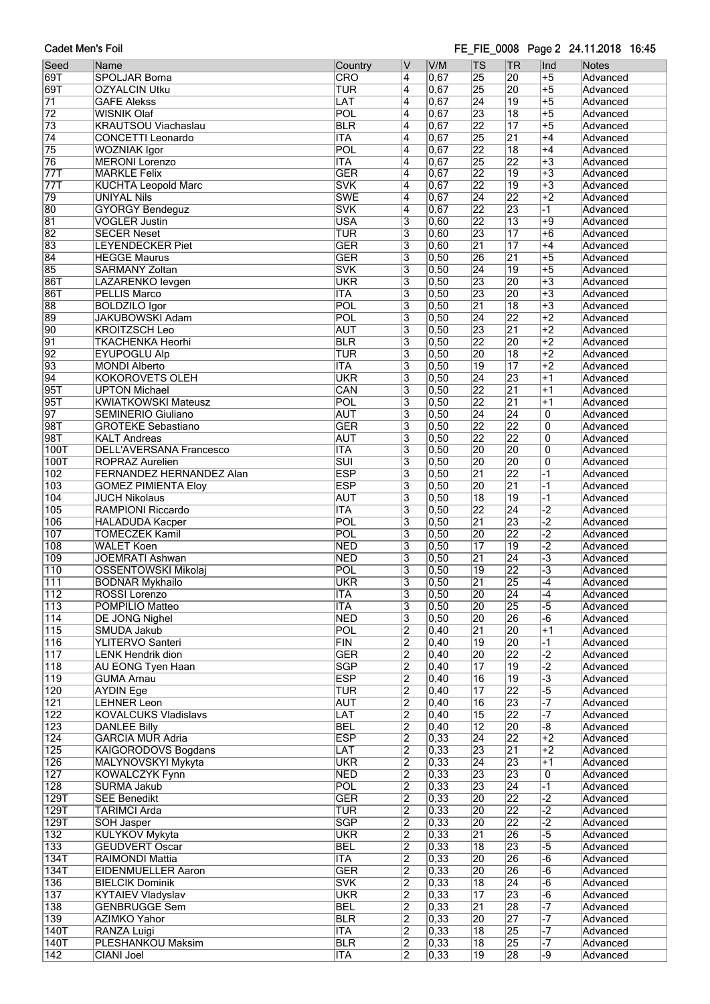### FE\_FIE\_0008 Page 2 24.11.2018 16:45

| Seed             | Name                                                 | Country                 | IV                        | V/M               | TS              | ∣TR             | Ind                       | Notes                |
|------------------|------------------------------------------------------|-------------------------|---------------------------|-------------------|-----------------|-----------------|---------------------------|----------------------|
| 69T              |                                                      |                         |                           | 0,67              | 25              |                 | $+5$                      |                      |
|                  | SPOLJAR Borna                                        | <b>CRO</b>              | 4                         |                   |                 | 20              |                           | Advanced             |
| 69T              | <b>OZYALCIN Utku</b>                                 | TUR                     | 4                         | 0,67              | $\overline{25}$ | 20              | $+5$                      | Advanced             |
| $\overline{71}$  | <b>GAFE Alekss</b>                                   | LAT                     | 4                         | 0,67              | $\overline{24}$ | $\overline{19}$ | $+5$                      | Advanced             |
| 72               | <b>WISNIK Olaf</b>                                   | POL                     | 4                         | 0,67              | 23              | $\overline{18}$ | $+5$                      | Advanced             |
| $\overline{73}$  | <b>KRAUTSOU Viachaslau</b>                           | <b>BLR</b>              | 4                         | 0,67              | $\overline{22}$ | $\overline{17}$ | $+5$                      | Advanced             |
| $\overline{74}$  | <b>CONCETTI Leonardo</b>                             | <b>ITA</b>              | 4                         | 0,67              | 25              | $\overline{21}$ | $+4$                      | Advanced             |
| 75               | WOZNIAK Igor                                         | POL                     | 4                         | 0,67              | $\overline{22}$ | $\overline{18}$ | $+4$                      | Advanced             |
| 76               | <b>MERONI Lorenzo</b>                                | <b>ITA</b>              | 4                         | 0,67              | 25              | $\overline{22}$ | $+3$                      | Advanced             |
| 77T              | <b>MARKLE Felix</b>                                  | <b>GER</b>              | 4                         | 0,67              | $\overline{22}$ | $\overline{19}$ | $+3$                      | Advanced             |
| 77T              | <b>KUCHTA Leopold Marc</b>                           | <b>SVK</b>              | 4                         | 0,67              | $\overline{22}$ | $\overline{19}$ | $+3$                      | Advanced             |
| 79               | <b>UNIYAL Nils</b>                                   | <b>SWE</b>              | $\overline{4}$            | 0,67              | $\overline{24}$ | $\overline{22}$ | $+2$                      | Advanced             |
| 80               | <b>GYORGY Bendeguz</b>                               | <b>SVK</b>              | 4                         | 0,67              | $\overline{22}$ | 23              | $-1$                      | Advanced             |
| 81               | <b>VOGLER Justin</b>                                 | <b>USA</b>              | $\overline{\overline{3}}$ | 0,60              | $\overline{22}$ | $\overline{13}$ | $+9$                      | Advanced             |
| 82               | <b>SECER Neset</b>                                   | <b>TUR</b>              | $\overline{\overline{3}}$ | 0,60              | 23              | $\overline{17}$ | $+6$                      | Advanced             |
| 83               | <b>LEYENDECKER Piet</b>                              | <b>GER</b>              | $\overline{\overline{3}}$ | 0,60              | $\overline{21}$ | $\overline{17}$ | $+4$                      | Advanced             |
| 84               | <b>HEGGE Maurus</b>                                  | <b>GER</b>              | 3                         | 0,50              | 26              | $\overline{21}$ | $+5$                      | Advanced             |
|                  |                                                      |                         |                           |                   |                 |                 | $+5$                      |                      |
| 85               | <b>SARMANY Zoltan</b>                                | <b>SVK</b>              | $\overline{3}$            | 0,50              | $\overline{24}$ | $\overline{19}$ |                           | Advanced             |
| <b>86T</b>       | LAZARENKO levgen                                     | <b>UKR</b>              | $\overline{\overline{3}}$ | 0,50              | 23              | 20              | $+3$                      | Advanced             |
| <b>86T</b>       | <b>PELLIS Marco</b>                                  | <b>ITA</b>              | 3                         | 0,50              | 23              | 20              | $+3$                      | Advanced             |
| 88               | <b>BOLDZILO Igor</b>                                 | POL                     | 3                         | $\overline{0,50}$ | $\overline{21}$ | $\overline{18}$ | $+3$                      | Advanced             |
| 89               | <b>JAKUBOWSKI Adam</b>                               | POL                     | $\overline{3}$            | 0,50              | 24              | $\overline{22}$ | $+2$                      | Advanced             |
| 90               | <b>KROITZSCH Leo</b>                                 | <b>AUT</b>              | 3                         | 0,50              | 23              | $\overline{21}$ | $+2$                      | Advanced             |
| $\overline{91}$  | <b>TKACHENKA Heorhi</b>                              | BLR                     | $\overline{\mathbf{3}}$   | 0,50              | $\overline{22}$ | 20              | $+2$                      | Advanced             |
| 92               | <b>EYUPOGLU Alp</b>                                  | TUR                     | $\overline{3}$            | 0,50              | 20              | $\overline{18}$ | $+2$                      | Advanced             |
| 93               | <b>MONDI Alberto</b>                                 | <b>ITA</b>              | $\overline{\mathbf{3}}$   | 0,50              | $\overline{19}$ | $\overline{17}$ | $+2$                      | Advanced             |
| 94               | <b>KOKOROVETS OLEH</b>                               | <b>UKR</b>              | $\overline{\mathbf{3}}$   | 0,50              | $\overline{24}$ | 23              | $+1$                      | Advanced             |
| 95T              | <b>UPTON Michael</b>                                 | CAN                     | $\overline{\mathbf{3}}$   | 0,50              | $\overline{22}$ | $\overline{21}$ | $+1$                      | Advanced             |
| 95T              | <b>KWIATKOWSKI Mateusz</b>                           | POL                     | 3                         | 0,50              | $\overline{22}$ | $\overline{21}$ | $+1$                      | Advanced             |
| $\overline{97}$  | <b>SEMINERIO Giuliano</b>                            | <b>AUT</b>              | $\overline{3}$            | $\overline{0,50}$ | $\overline{24}$ | $\overline{24}$ | 0                         | Advanced             |
| 98T              | <b>GROTEKE Sebastiano</b>                            | <b>GER</b>              | $\overline{\overline{3}}$ | 0,50              | $\overline{22}$ | $\overline{22}$ | $\overline{0}$            | Advanced             |
| 98T              | <b>KALT Andreas</b>                                  | <b>AUT</b>              | 3                         | 0,50              | $\overline{22}$ | $\overline{22}$ | $\overline{0}$            |                      |
|                  |                                                      |                         |                           |                   |                 |                 |                           | Advanced             |
| <b>100T</b>      | <b>DELL'AVERSANA Francesco</b>                       | <b>ITA</b>              | $\overline{\overline{3}}$ | $\overline{0,50}$ | 20              | 20              | $\overline{\mathfrak{o}}$ | Advanced             |
| <b>100T</b>      | <b>ROPRAZ Aurelien</b>                               | $\overline{\text{SUI}}$ | $\overline{\mathbf{3}}$   | 0,50              | 20              | 20              | $\overline{0}$            | Advanced             |
| 102              | <b>FERNANDEZ HERNANDEZ Alan</b>                      | <b>ESP</b>              | 3                         | 0,50              | $\overline{21}$ | $\overline{22}$ | $-1$                      | Advanced             |
| 103              | <b>GOMEZ PIMIENTA Eloy</b>                           | <b>ESP</b>              | $\overline{\mathbf{3}}$   | 0,50              | $\overline{20}$ | $\overline{21}$ | $-1$                      | Advanced             |
| 104              | <b>JUCH Nikolaus</b>                                 | <b>AUT</b>              | $\overline{\mathbf{3}}$   | 0,50              | $\overline{18}$ | 19              | $-1$                      | Advanced             |
| 105              | RAMPIONI Riccardo                                    | <b>ITA</b>              | $\overline{3}$            | 0,50              | $\overline{22}$ | $\overline{24}$ | $\overline{-2}$           | Advanced             |
| 106              | <b>HALADUDA Kacper</b>                               | POL                     | 3                         | 0,50              | $\overline{21}$ | 23              | $\overline{-2}$           | Advanced             |
| 107              | <b>TOMECZEK Kamil</b>                                | POL                     | $\overline{3}$            | 0,50              | 20              | $\overline{22}$ | $-2$                      | Advanced             |
| 108              | <b>WALET Koen</b>                                    | <b>NED</b>              | $\overline{3}$            | $\overline{0,50}$ | $\overline{17}$ | $\overline{19}$ | $\overline{.2}$           | Advanced             |
| 109              | <b>JOEMRATI Ashwan</b>                               | <b>NED</b>              | 3                         | 0,50              | $\overline{21}$ | $\overline{24}$ | $\overline{-3}$           | Advanced             |
| $\overline{110}$ | <b>OSSENTOWSKI Mikolaj</b>                           | POL                     | 3                         | $\overline{0,50}$ | $\overline{19}$ | $\overline{22}$ | $\overline{-3}$           | Advanced             |
| $\overline{111}$ | <b>BODNAR Mykhailo</b>                               | <b>UKR</b>              | $\overline{\mathbf{3}}$   | 0,50              | $\overline{21}$ | 25              | $-4$                      | Advanced             |
| 112              | ROSSI Lorenzo                                        | ITA                     | 3                         | 0,50              | $\overline{20}$ | $\overline{24}$ | $-4$                      | Advanced             |
| $\overline{113}$ | POMPILIO Matteo                                      | <b>ITA</b>              | 3                         | 0,50              | 20              | 25              | $-5$                      | Advanced             |
| 114              | DE JONG Nighel                                       | <b>NED</b>              | $\overline{3}$            | 0,50              | 20              | 26              | $-6$                      | Advanced             |
| 115              | SMUDA Jakub                                          | POL                     | $\overline{2}$            | $\overline{0,40}$ | $\overline{21}$ | $\overline{20}$ | $+1$                      | Advanced             |
| 116              | YLITERVO Santeri                                     | FIN                     | $\overline{2}$            | 0,40              | $\overline{19}$ | 20              | $-1$                      | Advanced             |
| 117              |                                                      | <b>GER</b>              | $\overline{2}$            | 0,40              | 20              | $\overline{22}$ | $-2$                      |                      |
|                  | <b>LENK Hendrik dion</b><br><b>AU EONG Tyen Haan</b> | <b>SGP</b>              |                           |                   | $\overline{17}$ | 19              | $\overline{-2}$           | Advanced<br>Advanced |
| 118              |                                                      |                         | $\overline{2}$            | $\overline{0,40}$ |                 |                 |                           |                      |
| 119              | <b>GUMA Arnau</b>                                    | <b>ESP</b>              | $\overline{2}$            | 0,40              | $\overline{16}$ | $\overline{19}$ | $\overline{\cdot 3}$      | Advanced             |
| 120              | <b>AYDIN Ege</b>                                     | <b>TUR</b>              | $\overline{2}$            | 0,40              | $\overline{17}$ | $\overline{22}$ | $-5$                      | Advanced             |
| 121              | <b>LEHNER Leon</b>                                   | <b>AUT</b>              | $\overline{2}$            | 0,40              | $\overline{16}$ | 23              |                           | Advanced             |
| 122              | <b>KOVALCUKS Vladislavs</b>                          | LAT                     | $\overline{2}$            | $\overline{0,40}$ | $\overline{15}$ | 22              | $-7$                      | Advanced             |
| 123              | <b>DANLEE Billy</b>                                  | <b>BEL</b>              | $\overline{2}$            | 0,40              | $\overline{12}$ | 20              | $-\sqrt{8}$               | Advanced             |
| 124              | <b>GARCIA MUR Adria</b>                              | <b>ESP</b>              | $\overline{2}$            | 0,33              | $\overline{24}$ | $\overline{22}$ | $+2$                      | Advanced             |
| 125              | KAIGORODOVS Bogdans                                  | LAT                     | $\overline{2}$            | $\overline{0,33}$ | 23              | $\overline{21}$ | $+2$                      | Advanced             |
| 126              | MALYNOVSKYI Mykyta                                   | <b>UKR</b>              | $\overline{2}$            | 0,33              | $\overline{24}$ | 23              | $+1$                      | Advanced             |
| 127              | <b>KOWALCZYK Fynn</b>                                | <b>NED</b>              | $\overline{2}$            | 0,33              | $\overline{23}$ | 23              | 0                         | Advanced             |
| $\overline{128}$ | <b>SURMA Jakub</b>                                   | POL                     | $\overline{2}$            | $\overline{0,33}$ | 23              | 24              | $\overline{\mathsf{L}}$   | Advanced             |
| 129T             | <b>SEE Benedikt</b>                                  | <b>GER</b>              | $\overline{2}$            | $\overline{0,33}$ | 20              | $\overline{22}$ | $\overline{-2}$           | Advanced             |
| 129T             | <b>TARIMCI Arda</b>                                  | <b>TUR</b>              | $\overline{2}$            | 0,33              | 20              | 22              | $\overline{-2}$           | Advanced             |
| 129T             | <b>SOH Jasper</b>                                    | <b>SGP</b>              | $\overline{2}$            | 0,33              | 20              | 22              | $\overline{-2}$           | Advanced             |
| 132              | <b>KULYKOV Mykyta</b>                                | <b>UKR</b>              | $\overline{2}$            | $\overline{0,33}$ | 21              | 26              | $-5$                      | Advanced             |
| 133              | <b>GEUDVERT Oscar</b>                                | <b>BEL</b>              | $\overline{2}$            | 0,33              | $\overline{18}$ | 23              | $\overline{-5}$           | Advanced             |
| <b>134T</b>      | RAIMONDI Mattia                                      | <b>ITA</b>              | $\overline{2}$            | 0,33              | $\overline{20}$ | 26              | $-\overline{6}$           | Advanced             |
| 134T             | <b>EIDENMUELLER Aaron</b>                            | <b>GER</b>              | $\overline{2}$            | 0,33              | 20              | 26              | $-6$                      | Advanced             |
|                  |                                                      | <b>SVK</b>              | $\overline{2}$            | $\overline{0,33}$ | $\overline{18}$ | 24              | $-\overline{6}$           |                      |
| 136              | <b>BIELCIK Dominik</b>                               |                         |                           |                   |                 |                 |                           | Advanced             |
| 137              | <b>KYTAIEV Vladyslav</b>                             | <b>UKR</b>              | $\overline{2}$            | 0,33              | $\overline{17}$ | 23              | $-\overline{6}$           | Advanced             |
| 138              | <b>GENBRUGGE Sem</b>                                 | <b>BEL</b>              | $\overline{2}$            | $\overline{0,33}$ | $\overline{21}$ | 28              | $\overline{\mathbf{z}}$   | Advanced             |
| 139              | <b>AZIMKO Yahor</b>                                  | <b>BLR</b>              | $\overline{2}$            | 0,33              | 20              | 27              | $\overline{\cdot}$        | Advanced             |
| <b>140T</b>      | <b>RANZA Luigi</b>                                   | <b>ITA</b>              | $\overline{2}$            | 0,33              | 18              | 25              | $-7$                      | Advanced             |
| 140T             | PLESHANKOU Maksim                                    | <b>BLR</b>              | $\overline{2}$            | $\overline{0,33}$ | $\overline{18}$ | 25              | $-7$                      | Advanced             |
| $\sqrt{142}$     | <b>CIANI Joel</b>                                    | <b>ITA</b>              | $\overline{2}$            | 0,33              | 19              | 28              | -9                        | Advanced             |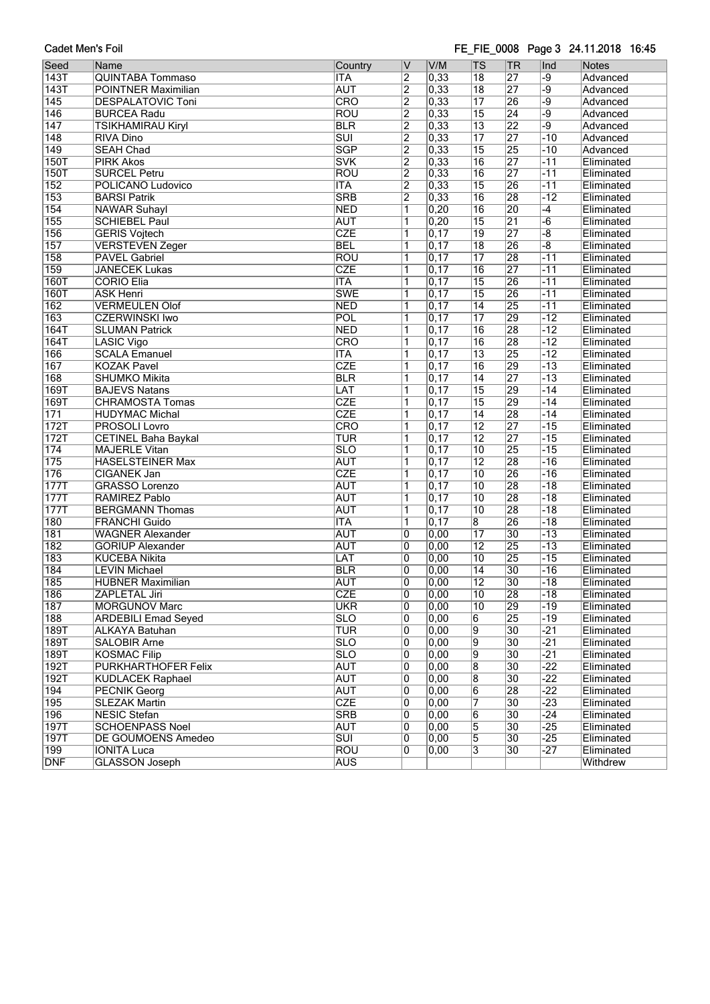### FE\_FIE\_0008 Page 3 24.11.2018 16:45

| Seed             | Name                       | Country                 | ۱V             | V/M               | <b>TS</b>       | <b>TR</b>       | Ind             | <b>Notes</b> |
|------------------|----------------------------|-------------------------|----------------|-------------------|-----------------|-----------------|-----------------|--------------|
| 143T             | <b>QUINTABA Tommaso</b>    | <b>ITA</b>              | $\overline{2}$ | $\overline{0,33}$ | $\overline{18}$ | 27              | -9              | Advanced     |
| 143T             | POINTNER Maximilian        | <b>AUT</b>              | $\overline{2}$ | 0,33              | $\overline{18}$ | $\overline{27}$ | -9              | Advanced     |
| $\overline{145}$ | <b>DESPALATOVIC Toni</b>   | CRO                     | $\overline{2}$ | $\overline{0,33}$ | $\overline{17}$ | 26              | -9              | Advanced     |
| 146              | <b>BURCEA Radu</b>         | <b>ROU</b>              | $\overline{2}$ | 0,33              | $\overline{15}$ | $\overline{24}$ | $-9$            | Advanced     |
| $\overline{147}$ | <b>TSIKHAMIRAU Kiryl</b>   | <b>BLR</b>              | $\overline{2}$ | 0,33              | $\overline{13}$ | $\overline{22}$ | $\overline{-9}$ | Advanced     |
| $\overline{148}$ | <b>RIVA Dino</b>           | $\overline{\text{SUI}}$ | $\overline{2}$ | 0,33              | $\overline{17}$ | $\overline{27}$ | $-10$           | Advanced     |
| $\overline{149}$ | <b>SEAH Chad</b>           | <b>SGP</b>              | $\overline{2}$ | 0,33              | $\overline{15}$ | 25              | $-10$           | Advanced     |
| <b>150T</b>      | <b>PIRK Akos</b>           | <b>SVK</b>              | $\overline{2}$ | 0,33              | $\overline{16}$ | 27              | $-11$           | Eliminated   |
| <b>150T</b>      | <b>SURCEL Petru</b>        | <b>ROU</b>              | $\overline{2}$ | 0,33              | $\overline{16}$ | 27              | $-11$           | Eliminated   |
| 152              | POLICANO Ludovico          | <b>ITA</b>              | $\overline{2}$ | $\overline{0,33}$ | $\overline{15}$ | 26              | $-11$           | Eliminated   |
| 153              | <b>BARSI Patrik</b>        | <b>SRB</b>              | $\overline{2}$ | $\overline{0,33}$ | $\overline{16}$ | 28              | $-12$           | Eliminated   |
| 154              | <b>NAWAR Suhayl</b>        | <b>NED</b>              | 1              | 0,20              | $\overline{16}$ | 20              | $-4$            | Eliminated   |
| 155              | <b>SCHIEBEL Paul</b>       | <b>AUT</b>              | 1              | 0,20              | $\overline{15}$ | $\overline{21}$ | $-6$            | Eliminated   |
| $\overline{156}$ | <b>GERIS Vojtech</b>       | <b>CZE</b>              | 1              | $\overline{0,17}$ | $\overline{19}$ | 27              | $-\sqrt{8}$     | Eliminated   |
| 157              | <b>VERSTEVEN Zeger</b>     | <b>BEL</b>              | 1              | 0,17              | $\overline{18}$ | 26              | $\overline{-8}$ | Eliminated   |
| 158              | <b>PAVEL Gabriel</b>       | <b>ROU</b>              | 1              | $\overline{0,17}$ | $\overline{17}$ | $\overline{28}$ | $-11$           | Eliminated   |
| 159              | <b>JANECEK Lukas</b>       | <b>CZE</b>              | 1              | $\overline{0,17}$ | $\overline{16}$ | $\overline{27}$ | $-11$           | Eliminated   |
| <b>160T</b>      | <b>CORIO Elia</b>          | <b>ITA</b>              | $\overline{1}$ | $\overline{0,17}$ | $\overline{15}$ | 26              | $-11$           | Eliminated   |
| <b>160T</b>      | <b>ASK Henri</b>           | <b>SWE</b>              | 1              | $\overline{0,17}$ | $\overline{15}$ | 26              | $-11$           | Eliminated   |
| $\overline{162}$ | <b>VERMEULEN Olof</b>      | <b>NED</b>              | 1              | $\overline{0,17}$ | $\overline{14}$ | $\overline{25}$ | $-11$           | Eliminated   |
| $\overline{163}$ | <b>CZERWINSKI Iwo</b>      | POL                     | $\overline{1}$ | 0,17              | $\overline{17}$ | 29              | $-12$           | Eliminated   |
| <b>164T</b>      | <b>SLUMAN Patrick</b>      | <b>NED</b>              | 1              | $\overline{0,17}$ | $\overline{16}$ | 28              | $-12$           | Eliminated   |
| <b>164T</b>      | <b>LASIC Vigo</b>          | CRO                     | 1              | $\overline{0,17}$ | $\overline{16}$ | $\overline{28}$ | $-12$           | Eliminated   |
| 166              | <b>SCALA Emanuel</b>       | <b>ITA</b>              | 1              | 0,17              | $\overline{13}$ | 25              | $-12$           | Eliminated   |
| 167              | <b>KOZAK Pavel</b>         | <b>CZE</b>              | 1              | $\overline{0,17}$ | $\overline{16}$ | 29              | $-13$           | Eliminated   |
| 168              | <b>SHUMKO Mikita</b>       | <b>BLR</b>              | 1              | $\overline{0,17}$ | $\overline{14}$ | 27              | $-13$           | Eliminated   |
| <b>169T</b>      | <b>BAJEVS Natans</b>       | LAT                     | 1              | $\overline{0,17}$ | $\overline{15}$ | 29              | $-14$           | Eliminated   |
| 169T             | <b>CHRAMOSTA Tomas</b>     | <b>CZE</b>              | 1              | $\overline{0,17}$ | $\overline{15}$ | 29              | $-14$           | Eliminated   |
| 171              | <b>HUDYMAC Michal</b>      | <b>CZE</b>              | $\mathbf{1}$   | $\overline{0,17}$ | $\overline{14}$ | 28              | $-14$           | Eliminated   |
| 172T             | <b>PROSOLI Lovro</b>       | CRO                     | 1              | $\overline{0,17}$ | $\overline{12}$ | $\overline{27}$ | $-15$           | Eliminated   |
| 172T             | <b>CETINEL Baha Baykal</b> | <b>TUR</b>              | 1              | $\overline{0,17}$ | $\overline{12}$ | $\overline{27}$ | $-15$           | Eliminated   |
| 174              | <b>MAJERLE Vitan</b>       | <b>SLO</b>              | 1              | $\overline{0,17}$ | $\overline{10}$ | 25              | $-15$           | Eliminated   |
| 175              | <b>HASELSTEINER Max</b>    | <b>AUT</b>              | $\overline{1}$ | 0,17              | $\overline{12}$ | 28              | $-16$           | Eliminated   |
| 176              | <b>CIGANEK Jan</b>         | <b>CZE</b>              | 1              | $\overline{0,17}$ | $\overline{10}$ | 26              | $-16$           | Eliminated   |
| 177T             | <b>GRASSO Lorenzo</b>      | <b>AUT</b>              | 1              | $\overline{0,17}$ | $\overline{10}$ | 28              | $-18$           | Eliminated   |
| 177T             | RAMIREZ Pablo              | <b>AUT</b>              | 1              | $\overline{0,17}$ | $\overline{10}$ | 28              | $-18$           | Eliminated   |
| 177T             | <b>BERGMANN Thomas</b>     | <b>AUT</b>              | 1              | $\overline{0,17}$ | $\overline{10}$ | 28              | $-18$           | Eliminated   |
| 180              | <b>FRANCHI Guido</b>       | <b>ITA</b>              | 1              | $\overline{0,17}$ | 8               | $\overline{26}$ | $-18$           | Eliminated   |
| $\overline{181}$ | <b>WAGNER Alexander</b>    | <b>AUT</b>              | $\overline{0}$ | 0,00              | $\overline{17}$ | $\overline{30}$ | $-13$           | Eliminated   |
| $\overline{182}$ | <b>GORIUP Alexander</b>    | <b>AUT</b>              | 0              | 0,00              | $\overline{12}$ | 25              | $-13$           | Eliminated   |
| 183              | <b>KUCEBA Nikita</b>       | LAT                     | 0              | 0,00              | $\overline{10}$ | $\overline{25}$ | $-15$           | Eliminated   |
| 184              | <b>LEVIN Michael</b>       | <b>BLR</b>              | $\overline{0}$ | 0,00              | $\overline{14}$ | $\overline{30}$ | $-16$           | Eliminated   |
| 185              | <b>HUBNER Maximilian</b>   | <b>AUT</b>              | $\overline{0}$ | $\overline{0,00}$ | $\overline{12}$ | $\overline{30}$ | $-18$           | Eliminated   |
| 186              | ZAPLETAL Jiri              | CZE                     | 0              | 0,00              | 10              | 28              | -18             | Eliminated   |
| 187              | <b>MORGUNOV Marc</b>       | <b>UKR</b>              | 0              | $\overline{0,00}$ | 10              | 29              | $-19$           | Eliminated   |
| 188              | <b>ARDEBILI Emad Seyed</b> | <b>SLO</b>              | 0              | 0,00              | 6               | $\overline{25}$ | $-19$           | Eliminated   |
| 189T             | ALKAYA Batuhan             | <b>TUR</b>              | 0              | $\overline{0,00}$ | 9               | 30              | $-21$           | Eliminated   |
| 189T             | SALOBIR Arne               | <b>SLO</b>              | 0              | 0,00              | 9               | 30              | $-21$           | Eliminated   |
| 189T             | <b>KOSMAC Filip</b>        | $\overline{\text{SLO}}$ | 0              | 0,00              | 9               | 30              | $-21$           | Eliminated   |
| 192T             | <b>PURKHARTHOFER Felix</b> | <b>AUT</b>              | 0              | $\overline{0,00}$ | $\overline{8}$  | $\overline{30}$ | $-22$           | Eliminated   |
| 192T             | <b>KUDLACEK Raphael</b>    | <b>AUT</b>              | 0              | $\overline{0,00}$ | $\overline{8}$  | $\overline{30}$ | $-22$           | Eliminated   |
| 194              | <b>PECNIK Georg</b>        | <b>AUT</b>              | 0              | 0,00              | $6\overline{6}$ | 28              | $-22$           | Eliminated   |
| 195              | <b>SLEZAK Martin</b>       | <b>CZE</b>              | 0              | $\overline{0,00}$ | 7               | 30              | $-23$           | Eliminated   |
| 196              | <b>NESIC Stefan</b>        | <b>SRB</b>              | 0              | $\overline{0,00}$ | 6               | 30              | $-24$           | Eliminated   |
| 197T             | <b>SCHOENPASS Noel</b>     | <b>AUT</b>              | 0              | 0,00              | 5               | 30              | $-25$           | Eliminated   |
| 197T             | DE GOUMOENS Amedeo         | $\overline{\text{SUI}}$ | 0              | $\overline{0,00}$ | 5               | 30              | $-25$           | Eliminated   |
| 199              | <b>IONITA Luca</b>         | <b>ROU</b>              | 0              | 0,00              | $\overline{3}$  | $\overline{30}$ | $-27$           | Eliminated   |
| <b>DNF</b>       | <b>GLASSON Joseph</b>      | <b>AUS</b>              |                |                   |                 |                 |                 | Withdrew     |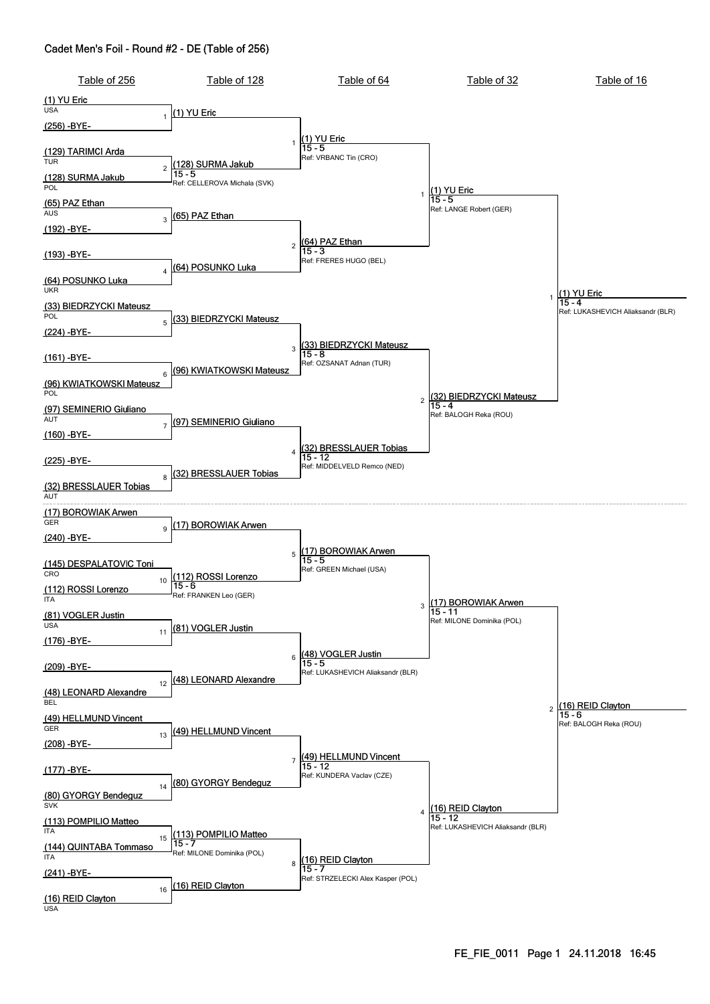| Table of 256                        | Table of 128                             | Table of 64                            | Table of 32                       | Table of 16                                 |
|-------------------------------------|------------------------------------------|----------------------------------------|-----------------------------------|---------------------------------------------|
| $(1)$ YU Eric                       |                                          |                                        |                                   |                                             |
| <b>USA</b><br>1                     | (1) YU Eric                              |                                        |                                   |                                             |
| <u>(256) -BYE-</u>                  |                                          |                                        |                                   |                                             |
| (129) TARIMCI Arda                  | $\mathbf{1}$                             | $(1)$ YU Eric<br>15 - 5                |                                   |                                             |
| <b>TUR</b><br>$\overline{c}$        | (128) SURMA Jakub                        | Ref: VRBANC Tin (CRO)                  |                                   |                                             |
| (128) SURMA Jakub                   | $15 - 5$<br>Ref: CELLEROVA Michala (SVK) |                                        |                                   |                                             |
| POL                                 |                                          |                                        | (1) YU Eric<br>15 - 5             |                                             |
| (65) PAZ Ethan<br><b>AUS</b>        | (65) PAZ Ethan                           |                                        | Ref: LANGE Robert (GER)           |                                             |
| 3<br>(192) -BYE-                    |                                          |                                        |                                   |                                             |
|                                     | $\overline{c}$                           | <mark>(64) PAZ Ethan</mark><br> 15 - 3 |                                   |                                             |
| <u>(193) -BYE-</u>                  |                                          | Ref: FRERES HUGO (BEL)                 |                                   |                                             |
| $\overline{4}$<br>(64) POSUNKO Luka | (64) POSUNKO Luka                        |                                        |                                   |                                             |
| <b>UKR</b>                          |                                          |                                        |                                   | (1) YU Eric                                 |
| (33) BIEDRZYCKI Mateusz             |                                          |                                        |                                   | 15 - 4<br>Ref: LUKASHEVICH Aliaksandr (BLR) |
| POL<br>$\overline{5}$               | (33) BIEDRZYCKI Mateusz                  |                                        |                                   |                                             |
| <u>(224) -BYE-</u>                  |                                          |                                        |                                   |                                             |
| (161) -BYE-                         | 3                                        | (33) BIEDRZYCKI Mateusz<br> 15 - 8     |                                   |                                             |
| 6                                   | (96) KWIATKOWSKI Mateusz                 | Ref: OZSANAT Adnan (TUR)               |                                   |                                             |
| (96) KWIATKOWSKI Mateusz<br>POL     |                                          |                                        |                                   |                                             |
| (97) SEMINERIO Giuliano             |                                          | $\overline{c}$                         | 32) BIEDRZYCKI Mateusz<br>15 - 4  |                                             |
| AUT<br>$\overline{7}$               | (97) SEMINERIO Giuliano                  |                                        | Ref: BALOGH Reka (ROU)            |                                             |
| (160) -BYE-                         |                                          |                                        |                                   |                                             |
|                                     |                                          | 4 (32) BRESSLAUER Tobias<br>15 - 12    |                                   |                                             |
| (225) -BYE-                         | (32) BRESSLAUER Tobias                   | Ref: MIDDELVELD Remco (NED)            |                                   |                                             |
| 8<br>(32) BRESSLAUER Tobias         |                                          |                                        |                                   |                                             |
| AUT                                 |                                          |                                        |                                   |                                             |
| (17) BOROWIAK Arwen<br>GER          |                                          |                                        |                                   |                                             |
| 9<br>(240) -BYE-                    | (17) BOROWIAK Arwen                      |                                        |                                   |                                             |
|                                     | 5                                        | <u> 17) BOROWIAK Arwen</u>             |                                   |                                             |
| (145) DESPALATOVIC Toni             |                                          | $15 - 5$<br>Ref: GREEN Michael (USA)   |                                   |                                             |
| CRO<br>10                           | (112) ROSSI Lorenzo<br>15 - 6            |                                        |                                   |                                             |
| (112) ROSSI Lorenzo<br>ITA          | Ref: FRANKEN Leo (GER)                   |                                        | (17) BOROWIAK Arwen               |                                             |
| (81) VOGLER Justin                  |                                          | 3                                      | $15 - 11$                         |                                             |
| <b>USA</b><br>11                    | (81) VOGLER Justin                       |                                        | Ref: MILONE Dominika (POL)        |                                             |
| <u>(176) -BYE-</u>                  |                                          |                                        |                                   |                                             |
| (209) -BYE-                         | 6                                        | (48) VOGLER Justin<br>15 - 5           |                                   |                                             |
| 12                                  | (48) LEONARD Alexandre                   | Ref: LUKASHEVICH Aliaksandr (BLR)      |                                   |                                             |
| (48) LEONARD Alexandre              |                                          |                                        |                                   |                                             |
| BEL                                 |                                          |                                        | 2                                 | (16) REID Clayton<br>$15 - 6$               |
| (49) HELLMUND Vincent<br>GER        | (49) HELLMUND Vincent                    |                                        |                                   | Ref: BALOGH Reka (ROU)                      |
| 13<br>(208) -BYE-                   |                                          |                                        |                                   |                                             |
|                                     |                                          | $7$ $(49)$ HELLMUND Vincent<br>15 - 12 |                                   |                                             |
| <u>(177) -BYE-</u>                  | (80) GYORGY Bendeguz                     | Ref: KUNDERA Vaclav (CZE)              |                                   |                                             |
| 14<br>(80) GYORGY Bendeguz          |                                          |                                        |                                   |                                             |
| <b>SVK</b>                          |                                          | 4                                      | (16) REID Clayton<br>15 - 12      |                                             |
| (113) POMPILIO Matteo<br>ITA        |                                          |                                        | Ref: LUKASHEVICH Aliaksandr (BLR) |                                             |
| 15<br>(144) QUINTABA Tommaso        | (113) POMPILIO Matteo<br>15 - 7          |                                        |                                   |                                             |
| <b>ITA</b>                          | Ref: MILONE Dominika (POL)               | 8 (16) REID Clayton                    |                                   |                                             |
| (241) -BYE-                         |                                          | Ref: STRZELECKI Alex Kasper (POL)      |                                   |                                             |
| 16                                  | (16) REID Clayton                        |                                        |                                   |                                             |
| (16) REID Clayton<br><b>USA</b>     |                                          |                                        |                                   |                                             |
|                                     |                                          |                                        |                                   |                                             |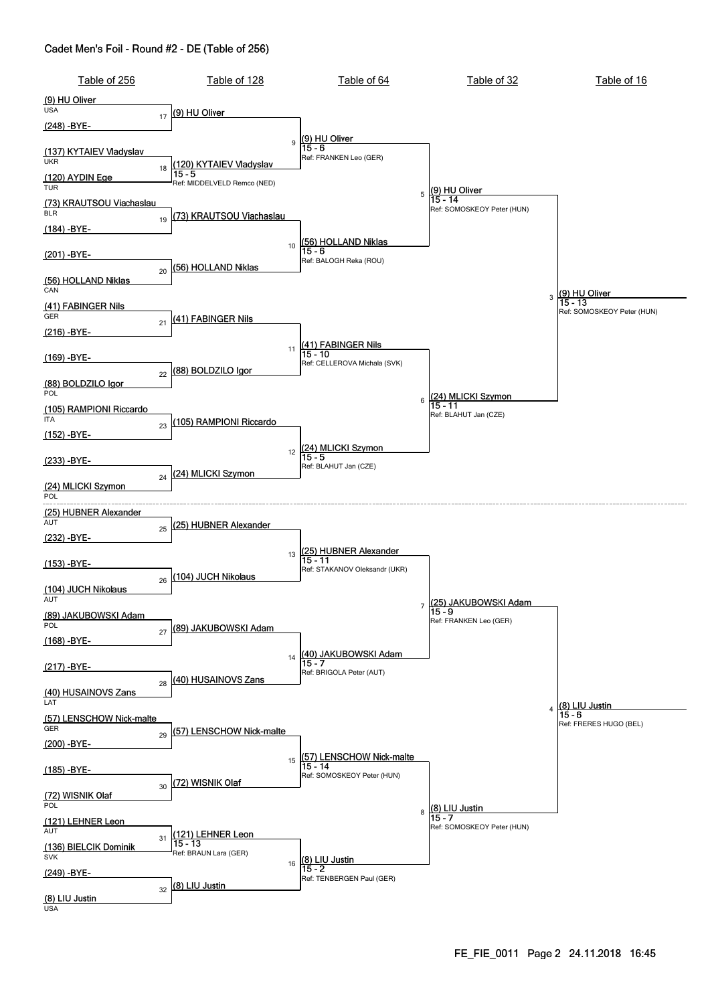| Table of 256                               | Table of 128                                                       | Table of 64                                                      | Table of 32                                            | Table of 16                             |
|--------------------------------------------|--------------------------------------------------------------------|------------------------------------------------------------------|--------------------------------------------------------|-----------------------------------------|
| (9) HU Oliver<br><b>USA</b>                |                                                                    |                                                                  |                                                        |                                         |
| 17<br><u>(248) -BYE-</u>                   | (9) HU Oliver                                                      |                                                                  |                                                        |                                         |
| (137) KYTAIEV Vladyslav<br><b>UKR</b>      | 9                                                                  | (9) HU Oliver<br>15 - 6<br>Ref: FRANKEN Leo (GER)                |                                                        |                                         |
| 18<br><u>(120) AYDIN Ege</u><br><b>TUR</b> | (120) KYTAIEV Vladyslav<br>$15 - 5$<br>Ref: MIDDELVELD Remco (NED) |                                                                  |                                                        |                                         |
| (73) KRAUTSOU Viachaslau<br><b>BLR</b>     |                                                                    | 5                                                                | (9) HU Oliver<br>15 - 14<br>Ref: SOMOSKEOY Peter (HUN) |                                         |
| 19<br>$(184) - BYE-$                       | <u>(73) KRAUTSOU Viachaslau</u>                                    |                                                                  |                                                        |                                         |
| (201) -BYE-                                | 10<br>(56) HOLLAND Niklas                                          | 56) HOLLAND Niklas<br>$15 - 6$<br>Ref: BALOGH Reka (ROU)         |                                                        |                                         |
| 20<br>(56) HOLLAND Niklas<br>CAN           |                                                                    |                                                                  |                                                        | 3 (9) HU Oliver                         |
| (41) FABINGER Nils<br>GER                  | (41) FABINGER Nils                                                 |                                                                  |                                                        | $15 - 13$<br>Ref: SOMOSKEOY Peter (HUN) |
| 21<br>(216) -BYE-                          |                                                                    |                                                                  |                                                        |                                         |
| (169) -BYE-                                | (88) BOLDZILO Igor                                                 | 11 (41) FABINGER Nils<br>15 - 10<br>Ref: CELLEROVA Michala (SVK) |                                                        |                                         |
| 22<br>(88) BOLDZILO Igor<br>POL            |                                                                    |                                                                  | (24) MLICKI Szymon                                     |                                         |
| <u>(105) RAMPIONI Riccardo</u><br>ITA      | (105) RAMPIONI Riccardo                                            | 6                                                                | 15 - 11<br>Ref: BLAHUT Jan (CZE)                       |                                         |
| 23<br>$(152) - BYE-$                       | 12                                                                 | (24) MLICKI Szymon<br>15 - 5                                     |                                                        |                                         |
| (233) -BYE-<br>24                          | (24) MLICKI Szymon                                                 | Ref: BLAHUT Jan (CZE)                                            |                                                        |                                         |
| (24) MLICKI Szymon<br>POL                  |                                                                    |                                                                  |                                                        |                                         |
| (25) HUBNER Alexander<br>AUT<br>25         | (25) HUBNER Alexander                                              |                                                                  |                                                        |                                         |
| (232) -BYE-                                | 13                                                                 | <u> 25) HUBNER Alexander</u>                                     |                                                        |                                         |
| (153) -BYE-<br>26                          | (104) JUCH Nikolaus                                                | $15 - 11$<br>Ref: STAKANOV Oleksandr (UKR)                       |                                                        |                                         |
| (104) JUCH Nikolaus<br>AUT                 |                                                                    | $\overline{7}$                                                   | (25) JAKUBOWSKI Adam                                   |                                         |
| (89) JAKUBOWSKI Adam<br>POL<br>27          | (89) JAKUBOWSKI Adam                                               |                                                                  | $15 - 9$<br>Ref: FRANKEN Leo (GER)                     |                                         |
| <u>(168) -BYE-</u>                         | 14                                                                 | (40) JAKUBOWSKI Adam                                             |                                                        |                                         |
| (217) -BYE-<br>28                          | <u>(40) HUSAINOVS Zans</u>                                         | Ref: BRIGOLA Peter (AUT)                                         |                                                        |                                         |
| (40) HUSAINOVS Zans<br>LAT                 |                                                                    |                                                                  |                                                        | (8) LIU Justin                          |
| (57) LENSCHOW Nick-malte<br>GER<br>29      | (57) LENSCHOW Nick-malte                                           |                                                                  |                                                        | $15 - 6$<br>Ref: FRERES HUGO (BEL)      |
| (200) -BYE-                                | 15                                                                 | (57) LENSCHOW Nick-malte                                         |                                                        |                                         |
| <u>(185) -BYE-</u><br>30                   | (72) WISNIK Olaf                                                   | $15 - 14$<br>Ref: SOMOSKEOY Peter (HUN)                          |                                                        |                                         |
| (72) WISNIK Olaf<br>POL                    |                                                                    | 8                                                                | (8) LIU Justin                                         |                                         |
| (121) LEHNER Leon<br>AUT<br>31             | (121) LEHNER Leon                                                  |                                                                  | $15 - 7$<br>Ref: SOMOSKEOY Peter (HUN)                 |                                         |
| (136) BIELCIK Dominik<br><b>SVK</b>        | $15 - 13$<br>Ref: BRAUN Lara (GER)                                 | 16 (8) LIU Justin                                                |                                                        |                                         |
| <u>(249) -BYE-</u><br>32                   | (8) LIU Justin                                                     | Ref: TENBERGEN Paul (GER)                                        |                                                        |                                         |
| (8) LIU Justin<br><b>USA</b>               |                                                                    |                                                                  |                                                        |                                         |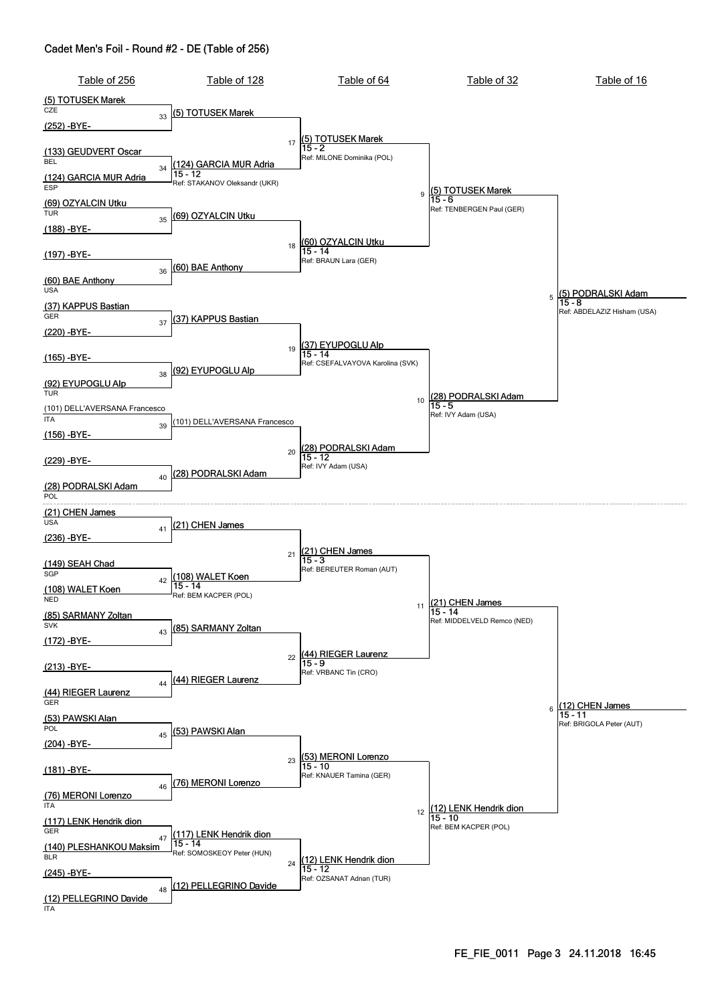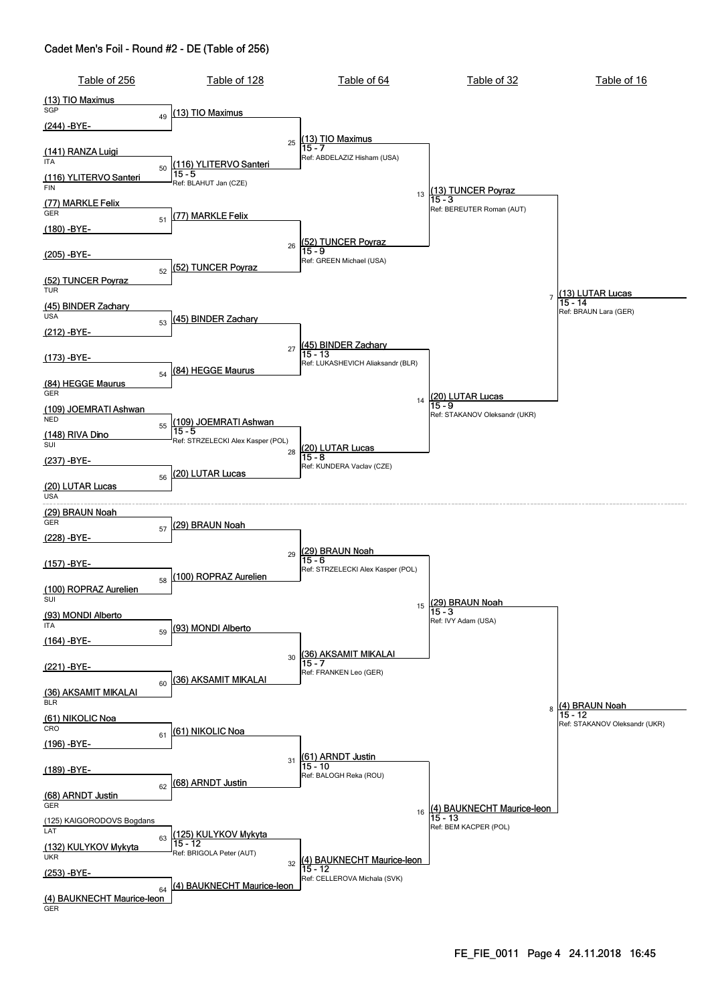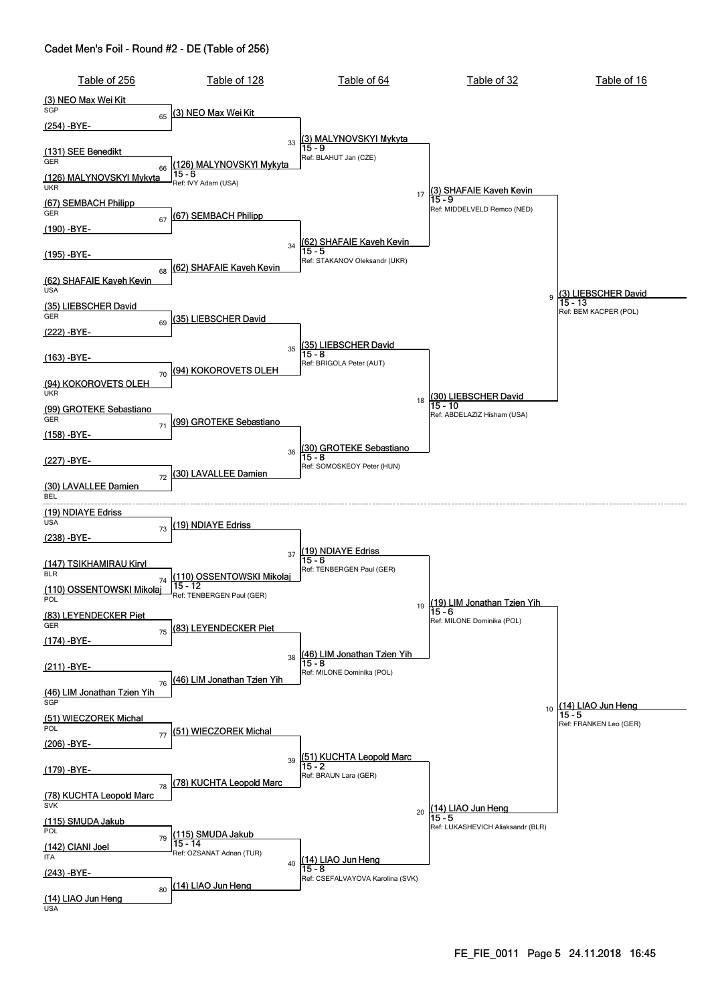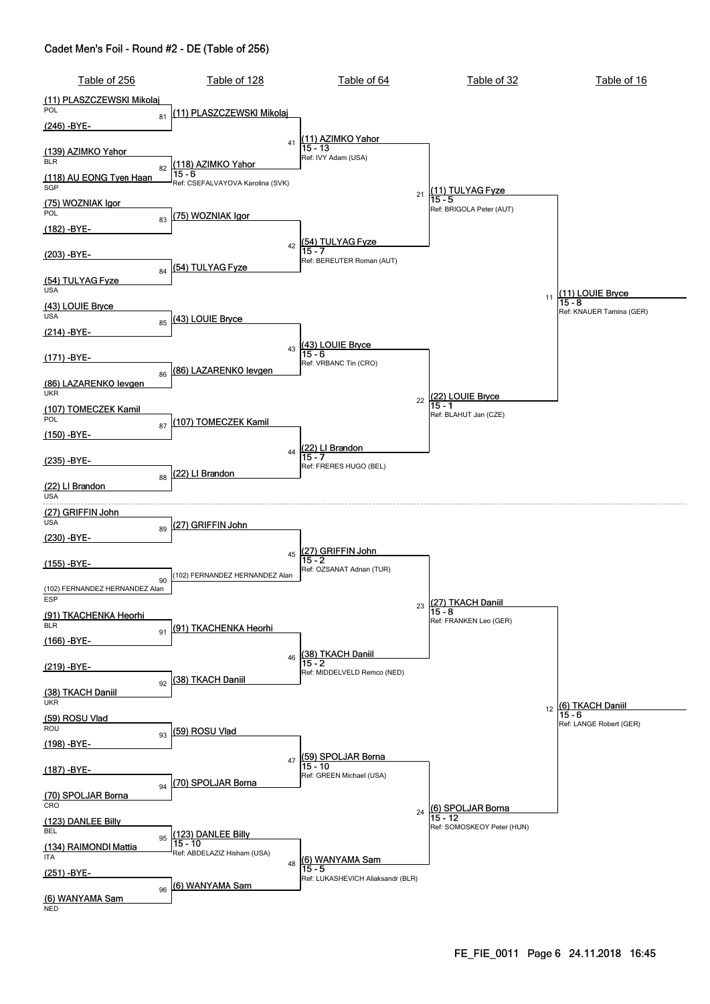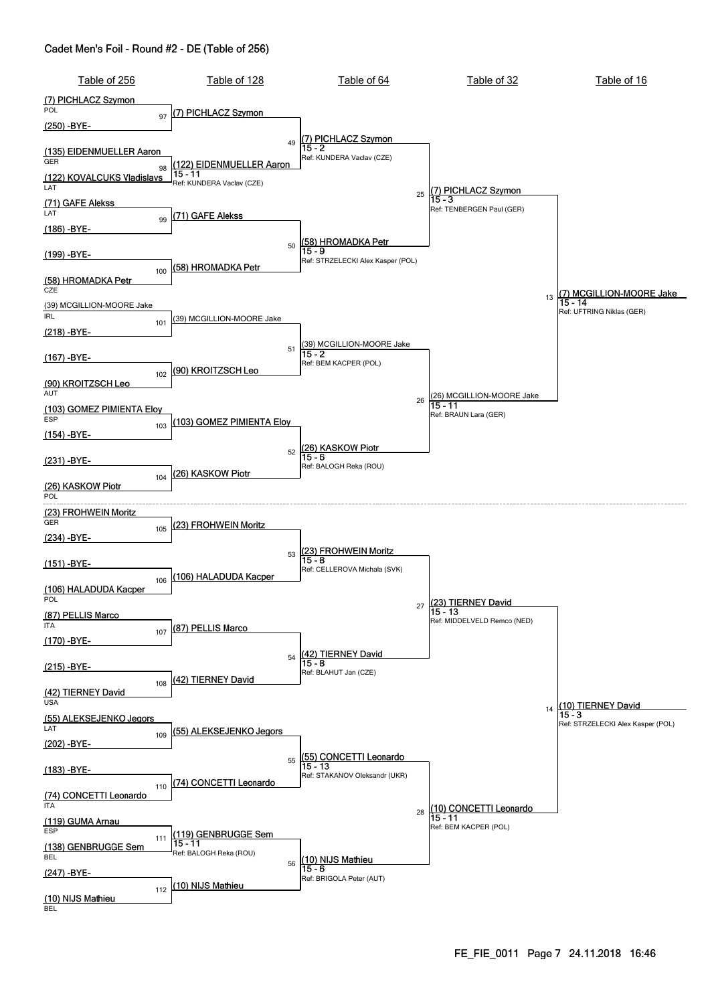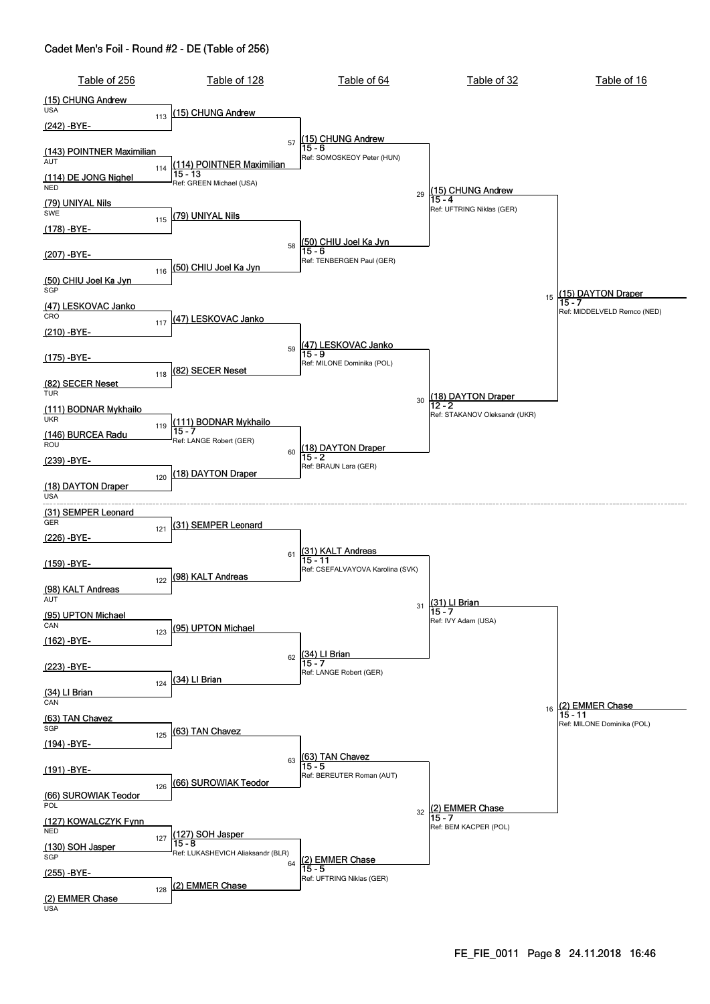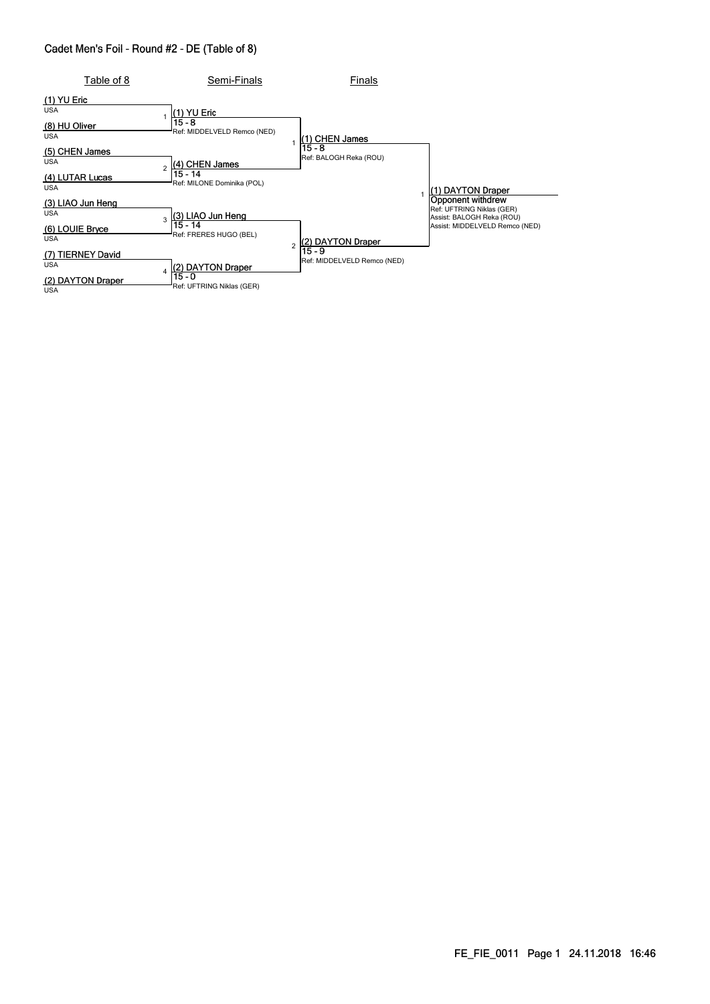| Table of 8                                                         | Semi-Finals                                                                           | Finals                                |                                                                                                               |
|--------------------------------------------------------------------|---------------------------------------------------------------------------------------|---------------------------------------|---------------------------------------------------------------------------------------------------------------|
| $(1)$ YU Eric<br><b>USA</b><br>(8) HU Oliver<br><b>USA</b>         | (1) YU Eric<br>$15 - 8$<br>Ref: MIDDELVELD Remco (NED)                                | (1) CHEN James<br>15 - 8              |                                                                                                               |
| (5) CHEN James<br><b>USA</b><br>(4) LUTAR Lucas<br><b>USA</b>      | (4) CHEN James<br>$15 - 14$<br>Ref: MILONE Dominika (POL)                             | Ref: BALOGH Reka (ROU)                | <b>DAYTON Draper</b>                                                                                          |
| (3) LIAO Jun Heng<br><b>USA</b><br>(6) LOUIE Bryce<br><b>USA</b>   | (3) LIAO Jun Heng<br>3<br>15 - 14<br>Ref: FRERES HUGO (BEL)<br>$\overline{2}$         | (2) DAYTON Draper                     | Opponent withdrew<br>Ref: UFTRING Niklas (GER)<br>Assist: BALOGH Reka (ROU)<br>Assist: MIDDELVELD Remco (NED) |
| (7) TIERNEY David<br><b>USA</b><br>(2) DAYTON Draper<br><b>USA</b> | (2) DAYTON Draper<br>$\overline{\mathbf{A}}$<br>$15 - 0$<br>Ref: UFTRING Niklas (GER) | 15 - 9<br>Ref: MIDDELVELD Remco (NED) |                                                                                                               |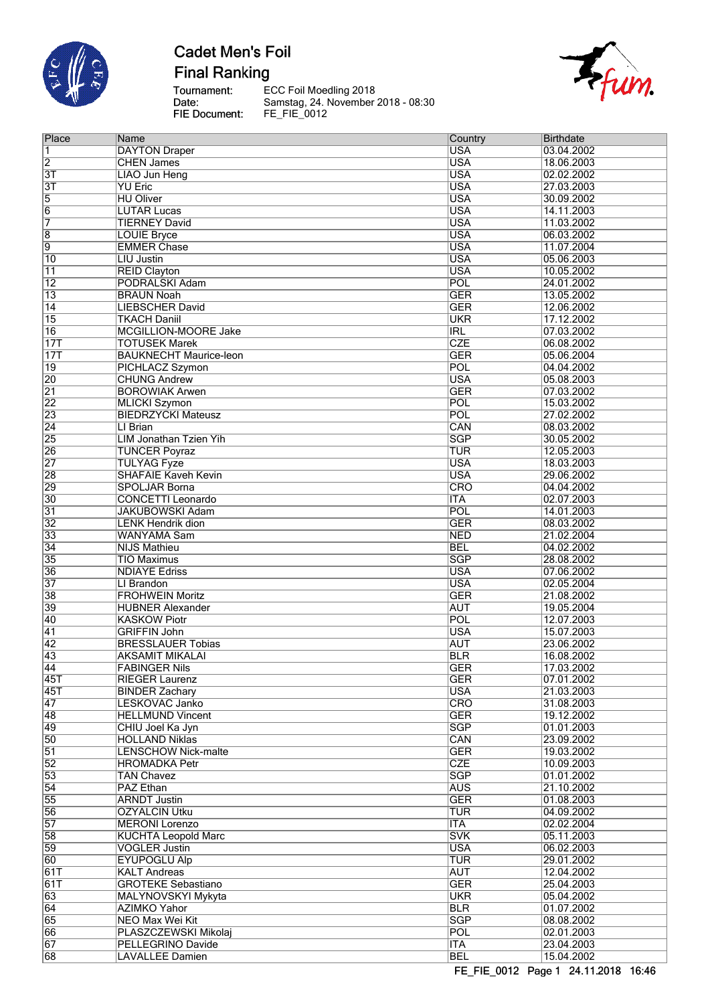

**Final Ranking** 

Tournament:<br>Date:<br>FIE Document:

ECC Foil Moedling 2018<br>Samstag, 24. November 2018 - 08:30<br>FE\_FIE\_0012



| Place           | Name                          | Country                 | <b>Birthdate</b> |
|-----------------|-------------------------------|-------------------------|------------------|
| 1               | <b>DAYTON Draper</b>          | <b>USA</b>              | 03.04.2002       |
| $\overline{2}$  | <b>CHEN James</b>             | <b>USA</b>              | 18.06.2003       |
|                 |                               | <b>USA</b>              |                  |
| $\overline{3T}$ | <b>LIAO Jun Heng</b>          |                         | 02.02.2002       |
| $\overline{3T}$ | <b>YU Eric</b>                | <b>USA</b>              | 27.03.2003       |
| 5               | <b>HU Oliver</b>              | <b>USA</b>              | 30.09.2002       |
| 6               | <b>LUTAR Lucas</b>            | <b>USA</b>              | 14.11.2003       |
| 7               | <b>TIERNEY David</b>          | <b>USA</b>              | 11.03.2002       |
|                 |                               | <b>USA</b>              | 06.03.2002       |
| $\overline{8}$  | <b>LOUIE Bryce</b>            |                         |                  |
| 9               | <b>EMMER Chase</b>            | <b>USA</b>              | 11.07.2004       |
| 10              | <b>LIU Justin</b>             | <b>USA</b>              | 05.06.2003       |
| 11              | <b>REID Clayton</b>           | <b>USA</b>              | 10.05.2002       |
| $\overline{12}$ | PODRALSKI Adam                | POL                     | 24.01.2002       |
| $\overline{13}$ | <b>BRAUN Noah</b>             | <b>GER</b>              | 13.05.2002       |
|                 |                               |                         |                  |
| 14              | LIEBSCHER David               | <b>GER</b>              | 12.06.2002       |
| $\overline{15}$ | <b>TKACH Daniil</b>           | <b>UKR</b>              | 17.12.2002       |
| $\overline{16}$ | MCGILLION-MOORE Jake          | <b>IRL</b>              | 07.03.2002       |
| 17T             | <b>TOTUSEK Marek</b>          | CZE                     | 06.08.2002       |
| 17T             | <b>BAUKNECHT Maurice-leon</b> | <b>GER</b>              | 05.06.2004       |
|                 |                               |                         |                  |
| 19              | PICHLACZ Szymon               | POL                     | 04.04.2002       |
| $\overline{20}$ | <b>CHUNG Andrew</b>           | <b>USA</b>              | 05.08.2003       |
| $\overline{21}$ | <b>BOROWIAK Arwen</b>         | <b>GER</b>              | 07.03.2002       |
| $\overline{22}$ | <b>MLICKI Szymon</b>          | <b>POL</b>              | 15.03.2002       |
| $\overline{23}$ | <b>BIEDRZYCKI Mateusz</b>     | POL                     | 27.02.2002       |
|                 |                               |                         |                  |
| $\overline{24}$ | LI Brian                      | CAN                     | 08.03.2002       |
| $\overline{25}$ | <b>LIM Jonathan Tzien Yih</b> | <b>SGP</b>              | 30.05.2002       |
| 26              | <b>TUNCER Poyraz</b>          | TUR                     | 12.05.2003       |
| $\overline{27}$ | <b>TULYAG Fyze</b>            | <b>USA</b>              | 18.03.2003       |
| $\overline{28}$ | <b>SHAFAIE Kaveh Kevin</b>    | <b>USA</b>              | 29.06.2002       |
|                 |                               |                         |                  |
| 29              | <b>SPOLJAR Borna</b>          | <b>CRO</b>              | 04.04.2002       |
| $\overline{30}$ | <b>CONCETTI Leonardo</b>      | <b>ITA</b>              | 02.07.2003       |
| $\overline{31}$ | <b>JAKUBOWSKI Adam</b>        | POL                     | 14.01.2003       |
| $\overline{32}$ | <b>LENK Hendrik dion</b>      | <b>GER</b>              | 08.03.2002       |
| $\overline{33}$ | <b>WANYAMA Sam</b>            | <b>NED</b>              | 21.02.2004       |
|                 |                               |                         |                  |
| $\overline{34}$ | <b>NIJS Mathieu</b>           | <b>BEL</b>              | 04.02.2002       |
| $\overline{35}$ | <b>TIO Maximus</b>            | <b>SGP</b>              | 28.08.2002       |
| $\overline{36}$ | <b>NDIAYE Edriss</b>          | <b>USA</b>              | 07.06.2002       |
| $\overline{37}$ | LI Brandon                    | <b>USA</b>              | 02.05.2004       |
| 38              | <b>FROHWEIN Moritz</b>        | <b>GER</b>              | 21.08.2002       |
| 39              | <b>HUBNER Alexander</b>       | <b>AUT</b>              | 19.05.2004       |
|                 |                               |                         |                  |
| $\overline{40}$ | <b>KASKOW Piotr</b>           | POL                     | 12.07.2003       |
| $\overline{41}$ | <b>GRIFFIN John</b>           | <b>USA</b>              | 15.07.2003       |
| 42              | <b>BRESSLAUER Tobias</b>      | <b>AUT</b>              | 23.06.2002       |
| $\overline{43}$ | <b>AKSAMIT MIKALAI</b>        | <b>BLR</b>              | 16.08.2002       |
| 44              |                               | <b>GER</b>              | 17.03.2002       |
|                 | <b>FABINGER Nils</b>          |                         |                  |
| 45T             | <b>RIEGER Laurenz</b>         | GER                     | 07.01.2002       |
| 45T             | <b>BINDER Zachary</b>         | <b>USA</b>              | 21.03.2003       |
| 47              | LESKOVAC Janko                | CRO                     | 31.08.2003       |
| 48              | <b>HELLMUND Vincent</b>       | <b>GER</b>              | 19.12.2002       |
| 49              | CHIU Joel Ka Jyn              | $\overline{\text{SGP}}$ | 01.01.2003       |
|                 |                               |                         |                  |
| $\overline{50}$ | <b>HOLLAND Niklas</b>         | CAN                     | 23.09.2002       |
| $\overline{51}$ | <b>LENSCHOW Nick-malte</b>    | <b>GER</b>              | 19.03.2002       |
| $\overline{52}$ | <b>HROMADKA Petr</b>          | <b>CZE</b>              | 10.09.2003       |
| $\overline{53}$ | <b>TAN Chavez</b>             | <b>SGP</b>              | 01.01.2002       |
| $\overline{54}$ | PAZ Ethan                     | <b>AUS</b>              | 21.10.2002       |
|                 |                               |                         |                  |
| $\overline{55}$ | <b>ARNDT Justin</b>           | <b>GER</b>              | 01.08.2003       |
| 56              | <b>OZYALCIN Utku</b>          | <b>TUR</b>              | 04.09.2002       |
| $\overline{57}$ | <b>MERONI</b> Lorenzo         | <b>ITA</b>              | 02.02.2004       |
| $\overline{58}$ | <b>KUCHTA Leopold Marc</b>    | <b>SVK</b>              | 05.11.2003       |
| 59              | <b>VOGLER Justin</b>          | <b>USA</b>              | 06.02.2003       |
| 60              | <b>EYUPOGLU Alp</b>           | TUR                     | 29.01.2002       |
|                 |                               |                         |                  |
| 61T             | <b>KALT Andreas</b>           | <b>AUT</b>              | 12.04.2002       |
| 61T             | <b>GROTEKE Sebastiano</b>     | <b>GER</b>              | 25.04.2003       |
| 63              | MALYNOVSKYI Mykyta            | <b>UKR</b>              | 05.04.2002       |
| 64              | <b>AZIMKO Yahor</b>           | <b>BLR</b>              | 01.07.2002       |
|                 |                               |                         |                  |
| 65              | NEO Max Wei Kit               | <b>SGP</b>              | 08.08.2002       |
| 66              | PLASZCZEWSKI Mikolaj          | <b>POL</b>              | 02.01.2003       |
| 67              | <b>PELLEGRINO Davide</b>      | ITA                     | 23.04.2003       |
| $\overline{68}$ | <b>LAVALLEE Damien</b>        | <b>BEL</b>              | 15.04.2002       |
|                 |                               |                         |                  |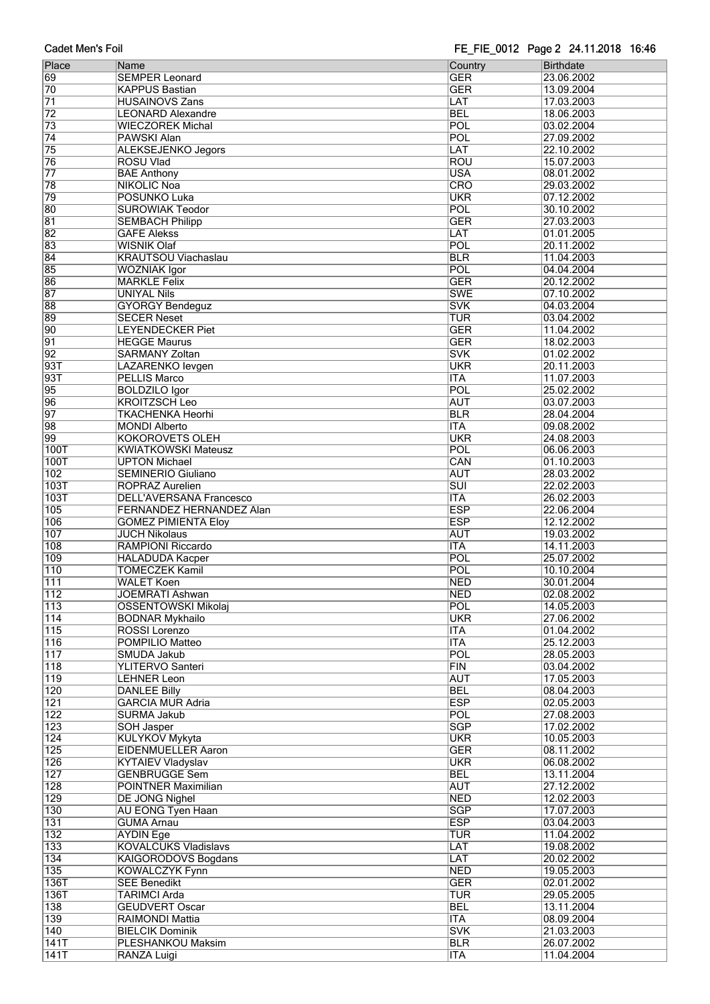| Place            | Name                            | Country          | <b>Birthdate</b> |
|------------------|---------------------------------|------------------|------------------|
|                  |                                 |                  |                  |
| 69               | <b>SEMPER Leonard</b>           | <b>GER</b>       | 23.06.2002       |
| 70               | <b>KAPPUS Bastian</b>           | <b>GER</b>       | 13.09.2004       |
| 71               | <b>HUSAINOVS Zans</b>           | LAT              | 17.03.2003       |
| $\overline{72}$  | <b>LEONARD Alexandre</b>        | <b>BEL</b>       | 18.06.2003       |
| 73               | <b>WIECZOREK Michal</b>         | POL              | 03.02.2004       |
| $\overline{74}$  | <b>PAWSKI Alan</b>              | POL              | 27.09.2002       |
| $\overline{75}$  |                                 |                  |                  |
|                  | <b>ALEKSEJENKO Jegors</b>       | LAT              | 22.10.2002       |
| 76               | <b>ROSU Vlad</b>                | <b>ROU</b>       | 15.07.2003       |
| $\overline{77}$  | <b>BAE Anthony</b>              | <b>USA</b>       | 08.01.2002       |
| 78               | <b>NIKOLIC Noa</b>              | CRO              | 29.03.2002       |
| 79               | POSUNKO Luka                    | <b>UKR</b>       | 07.12.2002       |
| 80               | <b>SUROWIAK Teodor</b>          | POL              | 30.10.2002       |
| $\overline{81}$  | <b>SEMBACH Philipp</b>          | <b>GER</b>       | 27.03.2003       |
| $\overline{82}$  | <b>GAFE Alekss</b>              | LAT              | 01.01.2005       |
| $\overline{83}$  | <b>WISNIK Olaf</b>              | POL              | 20.11.2002       |
|                  |                                 |                  |                  |
| 84               | <b>KRAUTSOU Viachaslau</b>      | <b>BLR</b>       | 11.04.2003       |
| 85               | <b>WOZNIAK Igor</b>             | POL              | 04.04.2004       |
| 86               | <b>MARKLE Felix</b>             | <b>GER</b>       | 20.12.2002       |
| 87               | <b>UNIYAL Nils</b>              | <b>SWE</b>       | 07.10.2002       |
| 88               | <b>GYORGY Bendeguz</b>          | <b>SVK</b>       | 04.03.2004       |
| 89               | <b>SECER Neset</b>              | TUR              | 03.04.2002       |
| 90               | <b>LEYENDECKER Piet</b>         | <b>GER</b>       | 11.04.2002       |
|                  |                                 |                  |                  |
| $\overline{91}$  | <b>HEGGE Maurus</b>             | <b>GER</b>       | 18.02.2003       |
| $\overline{92}$  | <b>SARMANY Zoltan</b>           | <b>SVK</b>       | 01.02.2002       |
| 93T              | LAZARENKO levgen                | <b>UKR</b>       | 20.11.2003       |
| 93T              | <b>PELLIS Marco</b>             | <b>ITA</b>       | 11.07.2003       |
| 95               | <b>BOLDZILO Igor</b>            | POL              | 25.02.2002       |
| 96               | <b>KROITZSCH Leo</b>            | <b>AUT</b>       | 03.07.2003       |
| $\overline{97}$  | <b>TKACHENKA Heorhi</b>         | <b>BLR</b>       | 28.04.2004       |
| 98               | <b>MONDI Alberto</b>            | <b>ITA</b>       | 09.08.2002       |
|                  |                                 | <b>UKR</b>       |                  |
| 99               | <b>KOKOROVETS OLEH</b>          |                  | 24.08.2003       |
| 100T             | <b>KWIATKOWSKI Mateusz</b>      | POL              | 06.06.2003       |
| <b>100T</b>      | <b>UPTON Michael</b>            | CAN              | 01.10.2003       |
| 102              | <b>SEMINERIO Giuliano</b>       | <b>AUT</b>       | 28.03.2002       |
| 103T             | ROPRAZ Aurelien                 | $\overline{SUI}$ | 22.02.2003       |
| 103T             | <b>DELL'AVERSANA Francesco</b>  | <b>ITA</b>       | 26.02.2003       |
| 105              | <b>FERNANDEZ HERNANDEZ Alan</b> | <b>ESP</b>       | 22.06.2004       |
| 106              | <b>GOMEZ PIMIENTA Eloy</b>      | <b>ESP</b>       | 12.12.2002       |
| 107              | <b>JUCH Nikolaus</b>            | <b>AUT</b>       | 19.03.2002       |
|                  |                                 |                  |                  |
| 108              | RAMPIONI Riccardo               | <b>ITA</b>       | 14.11.2003       |
| 109              | <b>HALADUDA Kacper</b>          | POL              | 25.07.2002       |
| 110              | <b>TOMECZEK Kamil</b>           | POL              | 10.10.2004       |
| 111              | <b>WALET Koen</b>               | <b>NED</b>       | 30.01.2004       |
| 112              | <b>JOEMRATI Ashwan</b>          | <b>NED</b>       | 02.08.2002       |
| 113              | <b>OSSENTOWSKI Mikolaj</b>      | POL              | 14.05.2003       |
| 114              | <b>BODNAR Mykhailo</b>          | <b>UKR</b>       | 27.06.2002       |
| 115              | ROSSI Lorenzo                   | <b>ITA</b>       | 01.04.2002       |
|                  |                                 |                  |                  |
| 116              | POMPILIO Matteo                 | <b>ITA</b>       | 25.12.2003       |
| $\overline{117}$ | <b>SMUDA Jakub</b>              | POL              | 28.05.2003       |
| $\overline{118}$ | <b>YLITERVO Santeri</b>         | <b>FIN</b>       | 03.04.2002       |
| $\overline{119}$ | <b>LEHNER Leon</b>              | <b>AUT</b>       | 17.05.2003       |
| 120              | <b>DANLEE Billy</b>             | <b>BEL</b>       | 08.04.2003       |
| 121              | <b>GARCIA MUR Adria</b>         | <b>ESP</b>       | 02.05.2003       |
| 122              | SURMA Jakub                     | POL              | 27.08.2003       |
| 123              | <b>SOH Jasper</b>               | <b>SGP</b>       | 17.02.2002       |
| 124              | <b>KULYKOV Mykyta</b>           | <b>UKR</b>       | 10.05.2003       |
|                  |                                 |                  |                  |
| 125              | <b>EIDENMUELLER Aaron</b>       | <b>GER</b>       | 08.11.2002       |
| 126              | <b>KYTAIEV Vladyslav</b>        | <b>UKR</b>       | 06.08.2002       |
| $\overline{127}$ | <b>GENBRUGGE Sem</b>            | <b>BEL</b>       | 13.11.2004       |
| 128              | POINTNER Maximilian             | <b>AUT</b>       | 27.12.2002       |
| 129              | <b>DE JONG Nighel</b>           | <b>NED</b>       | 12.02.2003       |
| 130              | <b>AU EONG Tyen Haan</b>        | <b>SGP</b>       | 17.07.2003       |
| 131              | <b>GUMA Arnau</b>               | <b>ESP</b>       | 03.04.2003       |
| 132              | <b>AYDIN Ege</b>                | <b>TUR</b>       | 11.04.2002       |
|                  |                                 |                  |                  |
| 133              | <b>KOVALCUKS Vladislavs</b>     | LAT              | 19.08.2002       |
| $\overline{134}$ | <b>KAIGORODOVS Bogdans</b>      | LAT              | 20.02.2002       |
| 135              | <b>KOWALCZYK Fynn</b>           | <b>NED</b>       | 19.05.2003       |
| 136T             | <b>SEE Benedikt</b>             | <b>GER</b>       | 02.01.2002       |
| 136T             | <b>TARIMCI Arda</b>             | TUR              | 29.05.2005       |
| 138              | <b>GEUDVERT Oscar</b>           | <b>BEL</b>       | 13.11.2004       |
| 139              | RAIMONDI Mattia                 | <b>ITA</b>       | 08.09.2004       |
| 140              |                                 | <b>SVK</b>       | 21.03.2003       |
|                  | <b>BIELCIK Dominik</b>          |                  |                  |
| 141T             | PLESHANKOU Maksim               | <b>BLR</b>       | 26.07.2002       |
| 141T             | <b>RANZA Luigi</b>              | <b>ITA</b>       | 11.04.2004       |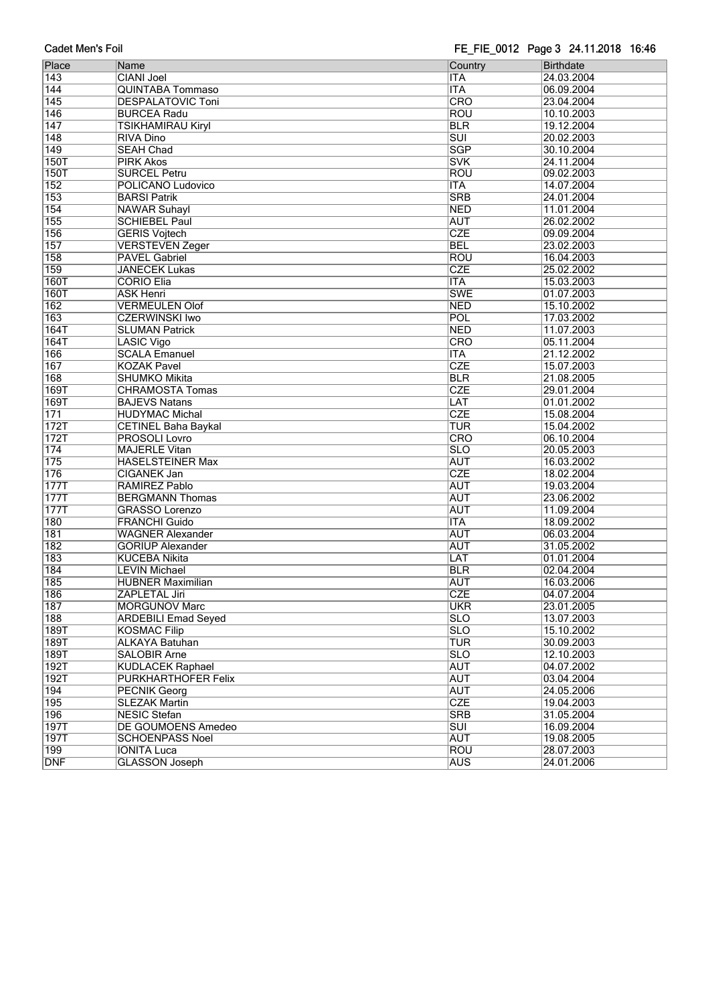| Place            | Name                       | Country                 | <b>Birthdate</b> |
|------------------|----------------------------|-------------------------|------------------|
| 143              | <b>CIANI Joel</b>          | <b>ITA</b>              | 24.03.2004       |
| 144              | <b>QUINTABA Tommaso</b>    | <b>ITA</b>              | 06.09.2004       |
| 145              | <b>DESPALATOVIC Toni</b>   | $\overline{\text{CRO}}$ | 23.04.2004       |
| $\overline{146}$ | <b>BURCEA Radu</b>         | <b>ROU</b>              | 10.10.2003       |
| 147              | TSIKHAMIRAU Kiryl          | <b>BLR</b>              | 19.12.2004       |
| $\overline{148}$ | <b>RIVA Dino</b>           | $\overline{\text{SUI}}$ | 20.02.2003       |
| 149              | <b>SEAH Chad</b>           | <b>SGP</b>              | 30.10.2004       |
| <b>150T</b>      | <b>PIRK Akos</b>           | <b>SVK</b>              | 24.11.2004       |
| <b>150T</b>      | <b>SURCEL Petru</b>        | <b>ROU</b>              | 09.02.2003       |
| 152              | POLICANO Ludovico          | <b>ITA</b>              | 14.07.2004       |
| 153              | <b>BARSI Patrik</b>        | <b>SRB</b>              | 24.01.2004       |
| 154              | <b>NAWAR Suhayl</b>        | <b>NED</b>              | 11.01.2004       |
| 155              | <b>SCHIEBEL Paul</b>       | <b>AUT</b>              | 26.02.2002       |
| 156              | <b>GERIS Vojtech</b>       | <b>CZE</b>              | 09.09.2004       |
| 157              | <b>VERSTEVEN Zeger</b>     | <b>BEL</b>              | 23.02.2003       |
| 158              | <b>PAVEL Gabriel</b>       | <b>ROU</b>              | 16.04.2003       |
| 159              | <b>JANECEK Lukas</b>       | <b>CZE</b>              | 25.02.2002       |
| <b>160T</b>      | <b>CORIO Elia</b>          | <b>ITA</b>              | 15.03.2003       |
| <b>160T</b>      | <b>ASK Henri</b>           | <b>SWE</b>              | 01.07.2003       |
| 162              | <b>VERMEULEN Olof</b>      | <b>NED</b>              | 15.10.2002       |
| 163              | <b>CZERWINSKI Iwo</b>      | <b>POL</b>              | 17.03.2002       |
| 164T             | <b>SLUMAN Patrick</b>      | <b>NED</b>              | 11.07.2003       |
| 164T             | LASIC Vigo                 | CRO                     | 05.11.2004       |
|                  |                            |                         |                  |
| 166              | <b>SCALA Emanuel</b>       | <b>ITA</b>              | 21.12.2002       |
| 167              | <b>KOZAK Pavel</b>         | <b>CZE</b>              | 15.07.2003       |
| 168              | <b>SHUMKO Mikita</b>       | <b>BLR</b>              | 21.08.2005       |
| 169T             | <b>CHRAMOSTA Tomas</b>     | <b>CZE</b>              | 29.01.2004       |
| 169T             | <b>BAJEVS Natans</b>       | LAT                     | 01.01.2002       |
| $\overline{171}$ | <b>HUDYMAC Michal</b>      | <b>CZE</b>              | 15.08.2004       |
| 172T             | <b>CETINEL Baha Baykal</b> | <b>TUR</b>              | 15.04.2002       |
| 172T             | PROSOLI Lovro              | CRO                     | 06.10.2004       |
| $\overline{174}$ | <b>MAJERLE Vitan</b>       | $\overline{\text{SLO}}$ | 20.05.2003       |
| $\overline{175}$ | <b>HASELSTEINER Max</b>    | <b>AUT</b>              | 16.03.2002       |
| 176              | <b>CIGANEK Jan</b>         | <b>CZE</b>              | 18.02.2004       |
| 177T             | RAMIREZ Pablo              | <b>AUT</b>              | 19.03.2004       |
| 177T             | <b>BERGMANN Thomas</b>     | <b>AUT</b>              | 23.06.2002       |
| 177T             | <b>GRASSO Lorenzo</b>      | <b>AUT</b>              | 11.09.2004       |
| 180              | <b>FRANCHI Guido</b>       | <b>ITA</b>              | 18.09.2002       |
| 181              | <b>WAGNER Alexander</b>    | <b>AUT</b>              | 06.03.2004       |
| 182              | <b>GORIUP Alexander</b>    | <b>AUT</b>              | 31.05.2002       |
| 183              | <b>KUCEBA Nikita</b>       | LAT                     | 01.01.2004       |
| 184              | <b>LEVIN Michael</b>       | <b>BLR</b>              | 02.04.2004       |
| 185              | <b>HUBNER Maximilian</b>   | <b>AUT</b>              | 16.03.2006       |
| 186              | <b>ZAPLETAL Jiri</b>       | <b>CZE</b>              | 04.07.2004       |
| 187              | <b>MORGUNOV Marc</b>       | <b>UKR</b>              | 23.01.2005       |
| 188              | <b>ARDEBILI Emad Seyed</b> | <b>SLO</b>              | 13.07.2003       |
| 189T             | <b>KOSMAC Filip</b>        | $\overline{\text{SLO}}$ | 15.10.2002       |
| 189T             | <b>ALKAYA Batuhan</b>      | <b>TUR</b>              | 30.09.2003       |
| 189T             | <b>SALOBIR Arne</b>        | <b>SLO</b>              | 12.10.2003       |
| 192T             | <b>KUDLACEK Raphael</b>    | <b>AUT</b>              | 04.07.2002       |
| 192T             | <b>PURKHARTHOFER Felix</b> | <b>AUT</b>              | 03.04.2004       |
| 194              | <b>PECNIK Georg</b>        | <b>AUT</b>              | 24.05.2006       |
| 195              | <b>SLEZAK Martin</b>       | <b>CZE</b>              | 19.04.2003       |
| 196              | <b>NESIC Stefan</b>        | <b>SRB</b>              | 31.05.2004       |
| 197T             | DE GOUMOENS Amedeo         | $\overline{\text{SUI}}$ | 16.09.2004       |
| 197T             | <b>SCHOENPASS Noel</b>     | <b>AUT</b>              | 19.08.2005       |
| 199              | <b>IONITA Luca</b>         | <b>ROU</b>              | 28.07.2003       |
| <b>DNF</b>       | <b>GLASSON Joseph</b>      | <b>AUS</b>              | 24.01.2006       |
|                  |                            |                         |                  |